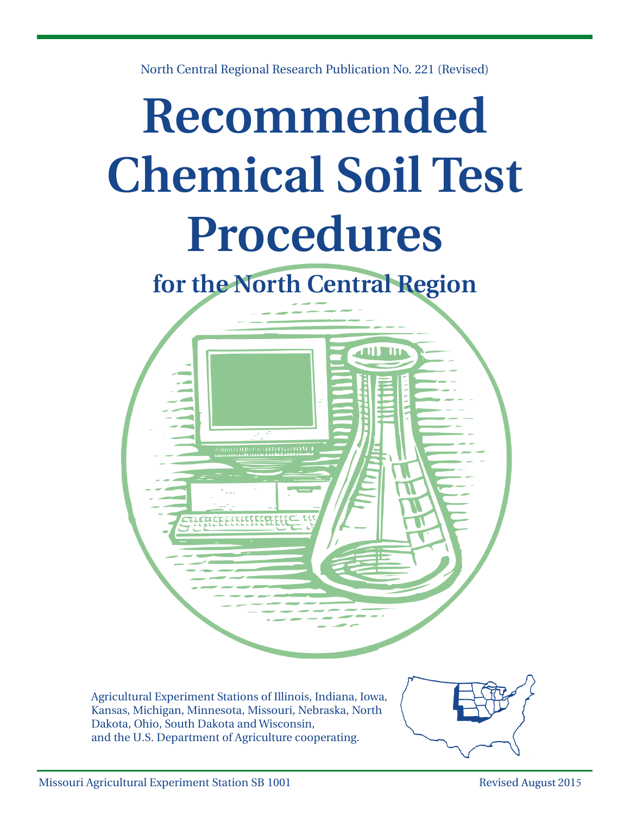

North Central Regional Research Publication No. 221 (Revised)

Agricultural Experiment Stations of Illinois, Indiana, Iowa, Kansas, Michigan, Minnesota, Missouri, Nebraska, North Dakota, Ohio, South Dakota and Wisconsin, and the U.S. Department of Agriculture cooperating.

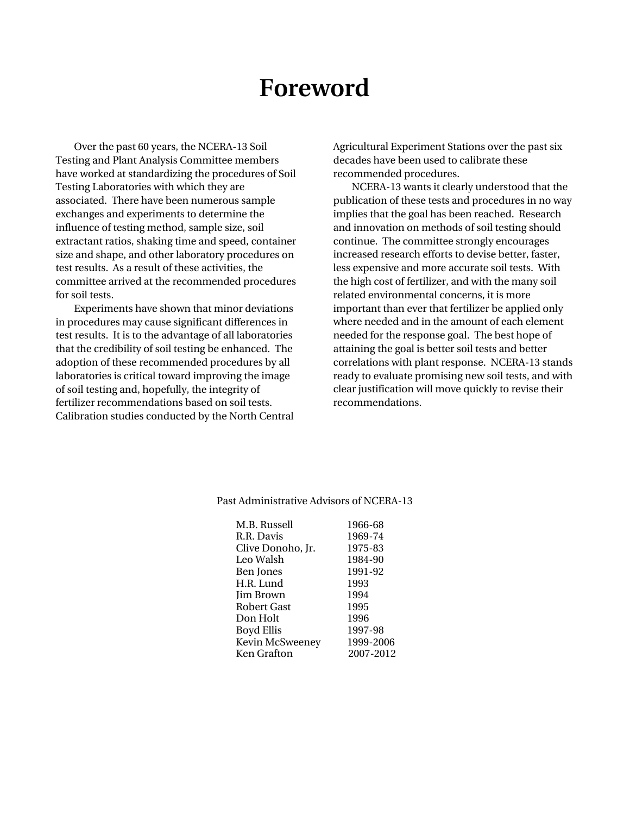## **Foreword**

Over the past 60 years, the NCERA-13 Soil Testing and Plant Analysis Committee members have worked at standardizing the procedures of Soil Testing Laboratories with which they are associated. There have been numerous sample exchanges and experiments to determine the influence of testing method, sample size, soil extractant ratios, shaking time and speed, container size and shape, and other laboratory procedures on test results. As a result of these activities, the committee arrived at the recommended procedures for soil tests.

Experiments have shown that minor deviations in procedures may cause significant differences in test results. It is to the advantage of all laboratories that the credibility of soil testing be enhanced. The adoption of these recommended procedures by all laboratories is critical toward improving the image of soil testing and, hopefully, the integrity of fertilizer recommendations based on soil tests. Calibration studies conducted by the North Central Agricultural Experiment Stations over the past six decades have been used to calibrate these recommended procedures.

NCERA-13 wants it clearly understood that the publication of these tests and procedures in no way implies that the goal has been reached. Research and innovation on methods of soil testing should continue. The committee strongly encourages increased research efforts to devise better, faster, less expensive and more accurate soil tests. With the high cost of fertilizer, and with the many soil related environmental concerns, it is more important than ever that fertilizer be applied only where needed and in the amount of each element needed for the response goal. The best hope of attaining the goal is better soil tests and better correlations with plant response. NCERA-13 stands ready to evaluate promising new soil tests, and with clear justification will move quickly to revise their recommendations.

| M.B. Russell      | 1966-68   |
|-------------------|-----------|
| R.R. Davis        | 1969-74   |
| Clive Donoho, Jr. | 1975-83   |
| Leo Walsh         | 1984-90   |
| Ben Jones         | 1991-92   |
| H.R. Lund         | 1993      |
| Jim Brown         | 1994      |
| Robert Gast       | 1995      |
| Don Holt          | 1996      |
| Boyd Ellis        | 1997-98   |
| Kevin McSweeney   | 1999-2006 |
| Ken Grafton       | 2007-2012 |
|                   |           |

#### Past Administrative Advisors of NCERA-13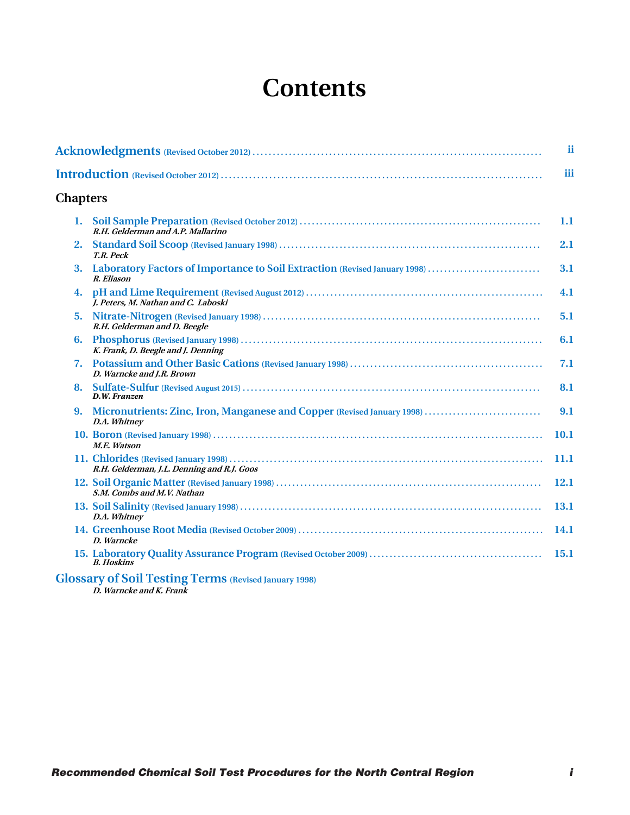# **Contents**

|                 |                                                                                          | ii   |
|-----------------|------------------------------------------------------------------------------------------|------|
|                 |                                                                                          | iii  |
| <b>Chapters</b> |                                                                                          |      |
| 1.              | R.H. Gelderman and A.P. Mallarino                                                        | 1.1  |
| 2.              | T.R. Peck                                                                                | 2.1  |
| 3.              | Laboratory Factors of Importance to Soil Extraction (Revised January 1998)<br>R. Eliason | 3.1  |
| 4.              | I. Peters. M. Nathan and C. Laboski                                                      | 4.1  |
| 5.              | R.H. Gelderman and D. Beegle                                                             | 5.1  |
| 6.              | K. Frank, D. Beegle and J. Denning                                                       | 6.1  |
| 7.              | D. Warncke and I.R. Brown                                                                | 7.1  |
| 8.              | D.W. Franzen                                                                             | 8.1  |
| 9.              | Micronutrients: Zinc, Iron, Manganese and Copper (Revised January 1998)<br>D.A. Whitney  | 9.1  |
|                 | M.E. Watson                                                                              | 10.1 |
|                 | R.H. Gelderman, J.L. Denning and R.J. Goos                                               | 11.1 |
|                 | S.M. Combs and M.V. Nathan                                                               | 12.1 |
|                 | D.A. Whitney                                                                             | 13.1 |
|                 | D. Warncke                                                                               | 14.1 |
|                 | <b>B.</b> Hoskins                                                                        | 15.1 |
|                 | <b>Glossary of Soil Testing Terms (Revised January 1998)</b>                             |      |

**D. Warncke and K. Frank**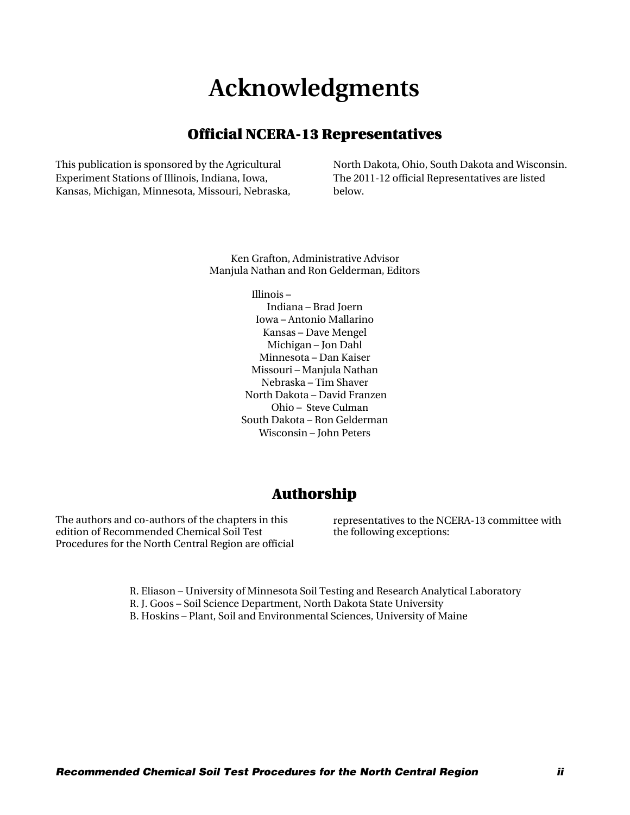# **Acknowledgments**

## Official NCERA-13 Representatives

<span id="page-3-0"></span>This publication is sponsored by the Agricultural Experiment Stations of Illinois, Indiana, Iowa, Kansas, Michigan, Minnesota, Missouri, Nebraska, North Dakota, Ohio, South Dakota and Wisconsin. The 2011-12 official Representatives are listed below.

Ken Grafton, Administrative Advisor Manjula Nathan and Ron Gelderman, Editors

> Illinois ─ Indiana ─ Brad Joern Iowa ─ Antonio Mallarino Kansas ─ Dave Mengel Michigan ─ Jon Dahl Minnesota ─ Dan Kaiser Missouri ─ Manjula Nathan Nebraska ─ Tim Shaver North Dakota ─ David Franzen Ohio ─ Steve Culman South Dakota ─ Ron Gelderman Wisconsin ─ John Peters

## Authorship

The authors and co-authors of the chapters in this edition of Recommended Chemical Soil Test Procedures for the North Central Region are official representatives to the NCERA-13 committee with the following exceptions:

R. Eliason ─ University of Minnesota Soil Testing and Research Analytical Laboratory R. J. Goos ─ Soil Science Department, North Dakota State University B. Hoskins ─ Plant, Soil and Environmental Sciences, University of Maine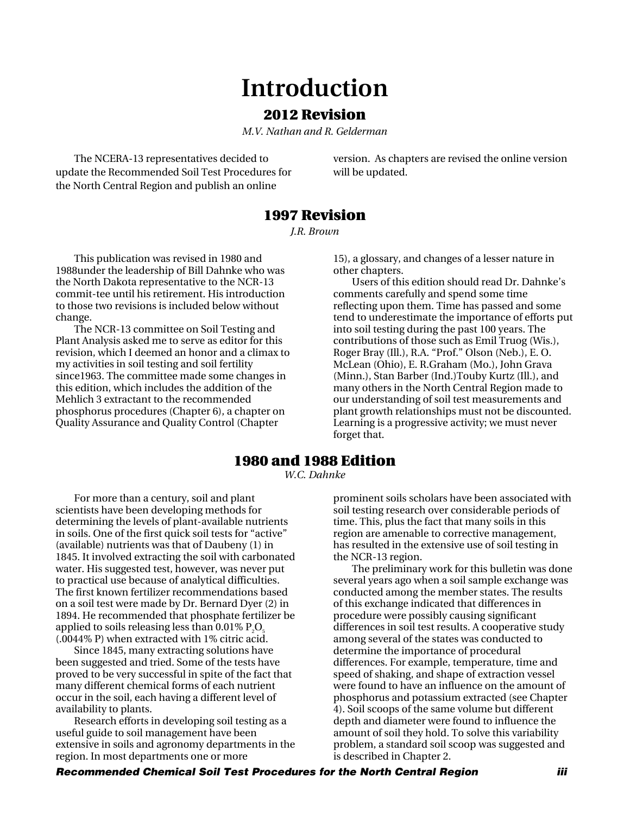# **Introduction**

## 2012 Revision

*M.V. Nathan and R. Gelderman*

<span id="page-4-0"></span>The NCERA-13 representatives decided to update the Recommended Soil Test Procedures for the North Central Region and publish an online

version. As chapters are revised the online version will be updated.

## 1997 Revision

*J.R. Brown*

This publication was revised in 1980 and 1988under the leadership of Bill Dahnke who was the North Dakota representative to the NCR-13 commit-tee until his retirement. His introduction to those two revisions is included below without change.

The NCR-13 committee on Soil Testing and Plant Analysis asked me to serve as editor for this revision, which I deemed an honor and a climax to my activities in soil testing and soil fertility since1963. The committee made some changes in this edition, which includes the addition of the Mehlich 3 extractant to the recommended phosphorus procedures (Chapter 6), a chapter on Quality Assurance and Quality Control (Chapter

15), a glossary, and changes of a lesser nature in other chapters.

Users of this edition should read Dr. Dahnke's comments carefully and spend some time reflecting upon them. Time has passed and some tend to underestimate the importance of efforts put into soil testing during the past 100 years. The contributions of those such as Emil Truog (Wis.), Roger Bray (Ill.), R.A. "Prof." Olson (Neb.), E. O. McLean (Ohio), E. R.Graham (Mo.), John Grava (Minn.), Stan Barber (Ind.)Touby Kurtz (Ill.), and many others in the North Central Region made to our understanding of soil test measurements and plant growth relationships must not be discounted. Learning is a progressive activity; we must never forget that.

## 1980 and 1988 Edition

*W.C. Dahnke*

For more than a century, soil and plant scientists have been developing methods for determining the levels of plant-available nutrients in soils. One of the first quick soil tests for "active" (available) nutrients was that of Daubeny (1) in 1845. It involved extracting the soil with carbonated water. His suggested test, however, was never put to practical use because of analytical difficulties. The first known fertilizer recommendations based on a soil test were made by Dr. Bernard Dyer (2) in 1894. He recommended that phosphate fertilizer be applied to soils releasing less than  $0.01\%$  P<sub>2</sub>O<sub>5</sub> (.0044% P) when extracted with 1% citric acid.

Since 1845, many extracting solutions have been suggested and tried. Some of the tests have proved to be very successful in spite of the fact that many different chemical forms of each nutrient occur in the soil, each having a different level of availability to plants.

Research efforts in developing soil testing as a useful guide to soil management have been extensive in soils and agronomy departments in the region. In most departments one or more

prominent soils scholars have been associated with soil testing research over considerable periods of time. This, plus the fact that many soils in this region are amenable to corrective management, has resulted in the extensive use of soil testing in the NCR-13 region.

The preliminary work for this bulletin was done several years ago when a soil sample exchange was conducted among the member states. The results of this exchange indicated that differences in procedure were possibly causing significant differences in soil test results. A cooperative study among several of the states was conducted to determine the importance of procedural differences. For example, temperature, time and speed of shaking, and shape of extraction vessel were found to have an influence on the amount of phosphorus and potassium extracted (see Chapter 4). Soil scoops of the same volume but different depth and diameter were found to influence the amount of soil they hold. To solve this variability problem, a standard soil scoop was suggested and is described in Chapter 2.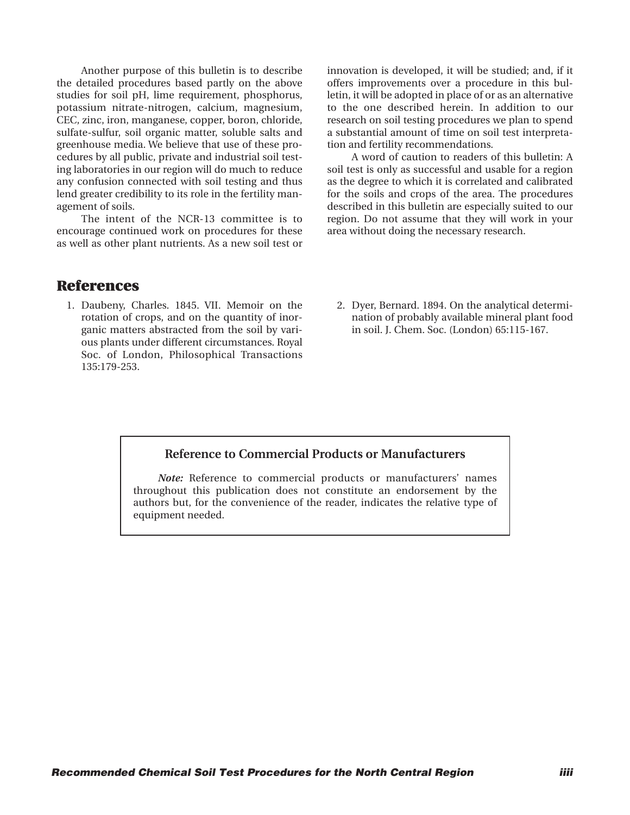Another purpose of this bulletin is to describe the detailed procedures based partly on the above studies for soil pH, lime requirement, phosphorus, potassium nitrate-nitrogen, calcium, magnesium, CEC, zinc, iron, manganese, copper, boron, chloride, sulfate-sulfur, soil organic matter, soluble salts and greenhouse media. We believe that use of these procedures by all public, private and industrial soil testing laboratories in our region will do much to reduce any confusion connected with soil testing and thus lend greater credibility to its role in the fertility management of soils.

The intent of the NCR-13 committee is to encourage continued work on procedures for these as well as other plant nutrients. As a new soil test or innovation is developed, it will be studied; and, if it offers improvements over a procedure in this bulletin, it will be adopted in place of or as an alternative to the one described herein. In addition to our research on soil testing procedures we plan to spend a substantial amount of time on soil test interpretation and fertility recommendations.

A word of caution to readers of this bulletin: A soil test is only as successful and usable for a region as the degree to which it is correlated and calibrated for the soils and crops of the area. The procedures described in this bulletin are especially suited to our region. Do not assume that they will work in your area without doing the necessary research.

## **References**

- 1. Daubeny, Charles. 1845. VII. Memoir on the rotation of crops, and on the quantity of inorganic matters abstracted from the soil by various plants under different circumstances. Royal Soc. of London, Philosophical Transactions 135:179-253.
- 2. Dyer, Bernard. 1894. On the analytical determination of probably available mineral plant food in soil. J. Chem. Soc. (London) 65:115-167.

#### **Reference to Commercial Products or Manufacturers**

*Note:* Reference to commercial products or manufacturers' names throughout this publication does not constitute an endorsement by the authors but, for the convenience of the reader, indicates the relative type of equipment needed.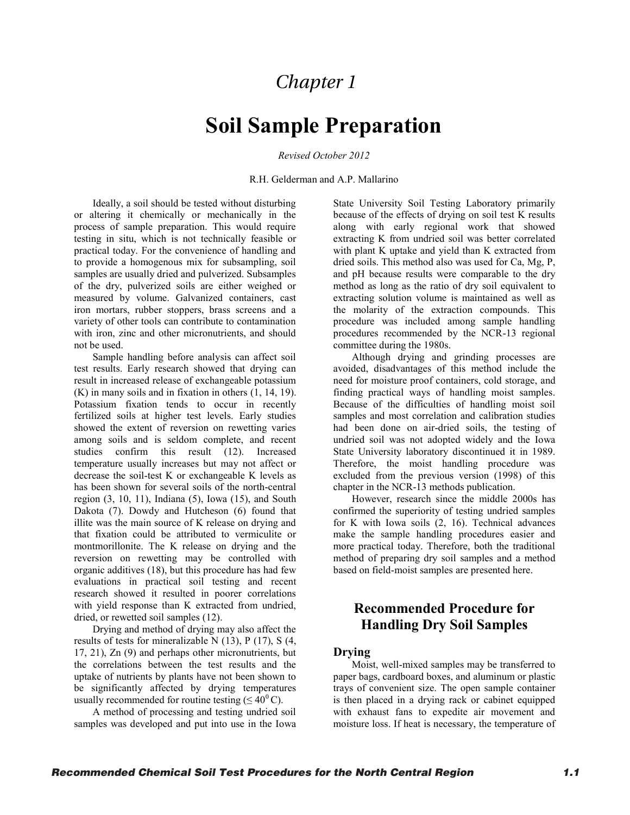## *Chapter 1*

## **Soil Sample Preparation**

*Revised October 2012* 

R.H. Gelderman and A.P. Mallarino

<span id="page-6-0"></span>Ideally, a soil should be tested without disturbing or altering it chemically or mechanically in the process of sample preparation. This would require testing in situ, which is not technically feasible or practical today. For the convenience of handling and to provide a homogenous mix for subsampling, soil samples are usually dried and pulverized. Subsamples of the dry, pulverized soils are either weighed or measured by volume. Galvanized containers, cast iron mortars, rubber stoppers, brass screens and a variety of other tools can contribute to contamination with iron, zinc and other micronutrients, and should not be used.

Sample handling before analysis can affect soil test results. Early research showed that drying can result in increased release of exchangeable potassium (K) in many soils and in fixation in others (1, 14, 19). Potassium fixation tends to occur in recently fertilized soils at higher test levels. Early studies showed the extent of reversion on rewetting varies among soils and is seldom complete, and recent studies confirm this result (12). Increased temperature usually increases but may not affect or decrease the soil-test K or exchangeable K levels as has been shown for several soils of the north-central region  $(3, 10, 11)$ , Indiana  $(5)$ , Iowa  $(15)$ , and South Dakota (7). Dowdy and Hutcheson (6) found that illite was the main source of K release on drying and that fixation could be attributed to vermiculite or montmorillonite. The K release on drying and the reversion on rewetting may be controlled with organic additives (18), but this procedure has had few evaluations in practical soil testing and recent research showed it resulted in poorer correlations with yield response than K extracted from undried, dried, or rewetted soil samples (12).

Drying and method of drying may also affect the results of tests for mineralizable N (13), P (17), S (4, 17, 21), Zn (9) and perhaps other micronutrients, but the correlations between the test results and the uptake of nutrients by plants have not been shown to be significantly affected by drying temperatures usually recommended for routine testing ( $\leq 40^{\circ}$ C).

A method of processing and testing undried soil samples was developed and put into use in the Iowa State University Soil Testing Laboratory primarily because of the effects of drying on soil test K results along with early regional work that showed extracting K from undried soil was better correlated with plant K uptake and yield than K extracted from dried soils. This method also was used for Ca, Mg, P, and pH because results were comparable to the dry method as long as the ratio of dry soil equivalent to extracting solution volume is maintained as well as the molarity of the extraction compounds. This procedure was included among sample handling procedures recommended by the NCR-13 regional committee during the 1980s.

Although drying and grinding processes are avoided, disadvantages of this method include the need for moisture proof containers, cold storage, and finding practical ways of handling moist samples. Because of the difficulties of handling moist soil samples and most correlation and calibration studies had been done on air-dried soils, the testing of undried soil was not adopted widely and the Iowa State University laboratory discontinued it in 1989. Therefore, the moist handling procedure was excluded from the previous version (1998) of this chapter in the NCR-13 methods publication.

However, research since the middle 2000s has confirmed the superiority of testing undried samples for K with Iowa soils (2, 16). Technical advances make the sample handling procedures easier and more practical today. Therefore, both the traditional method of preparing dry soil samples and a method based on field-moist samples are presented here.

## **Recommended Procedure for Handling Dry Soil Samples**

#### **Drying**

Moist, well-mixed samples may be transferred to paper bags, cardboard boxes, and aluminum or plastic trays of convenient size. The open sample container is then placed in a drying rack or cabinet equipped with exhaust fans to expedite air movement and moisture loss. If heat is necessary, the temperature of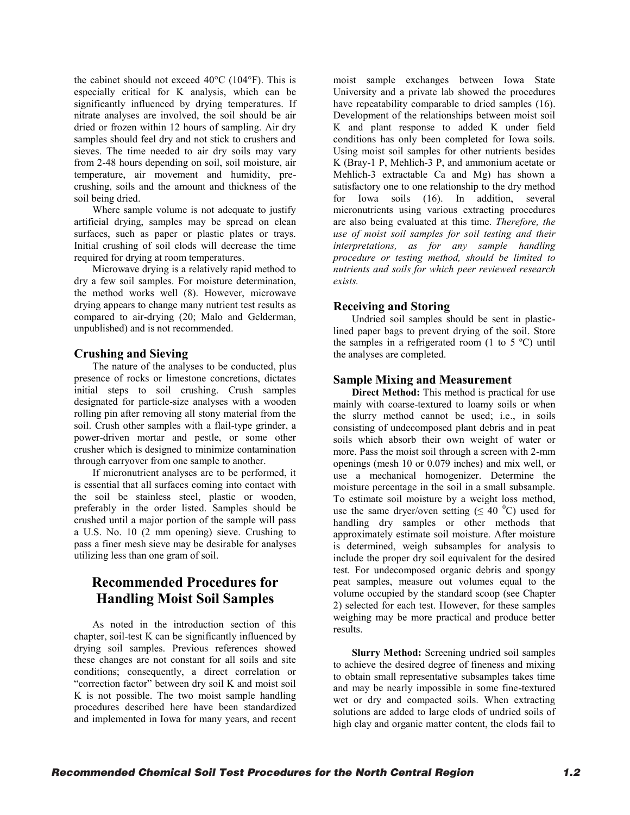the cabinet should not exceed 40°C (104°F). This is especially critical for K analysis, which can be significantly influenced by drying temperatures. If nitrate analyses are involved, the soil should be air dried or frozen within 12 hours of sampling. Air dry samples should feel dry and not stick to crushers and sieves. The time needed to air dry soils may vary from 2-48 hours depending on soil, soil moisture, air temperature, air movement and humidity, precrushing, soils and the amount and thickness of the soil being dried.

Where sample volume is not adequate to justify artificial drying, samples may be spread on clean surfaces, such as paper or plastic plates or trays. Initial crushing of soil clods will decrease the time required for drying at room temperatures.

Microwave drying is a relatively rapid method to dry a few soil samples. For moisture determination, the method works well (8). However, microwave drying appears to change many nutrient test results as compared to air-drying (20; Malo and Gelderman, unpublished) and is not recommended.

#### **Crushing and Sieving**

The nature of the analyses to be conducted, plus presence of rocks or limestone concretions, dictates initial steps to soil crushing. Crush samples designated for particle-size analyses with a wooden rolling pin after removing all stony material from the soil. Crush other samples with a flail-type grinder, a power-driven mortar and pestle, or some other crusher which is designed to minimize contamination through carryover from one sample to another.

If micronutrient analyses are to be performed, it is essential that all surfaces coming into contact with the soil be stainless steel, plastic or wooden, preferably in the order listed. Samples should be crushed until a major portion of the sample will pass a U.S. No. 10 (2 mm opening) sieve. Crushing to pass a finer mesh sieve may be desirable for analyses utilizing less than one gram of soil.

## **Recommended Procedures for Handling Moist Soil Samples**

As noted in the introduction section of this chapter, soil-test K can be significantly influenced by drying soil samples. Previous references showed these changes are not constant for all soils and site conditions; consequently, a direct correlation or "correction factor" between dry soil K and moist soil K is not possible. The two moist sample handling procedures described here have been standardized and implemented in Iowa for many years, and recent

moist sample exchanges between Iowa State University and a private lab showed the procedures have repeatability comparable to dried samples (16). Development of the relationships between moist soil K and plant response to added K under field conditions has only been completed for Iowa soils. Using moist soil samples for other nutrients besides K (Bray-1 P, Mehlich-3 P, and ammonium acetate or Mehlich-3 extractable Ca and Mg) has shown a satisfactory one to one relationship to the dry method<br>for Iowa soils (16). In addition, several for Iowa soils (16). In addition, several micronutrients using various extracting procedures are also being evaluated at this time. *Therefore, the use of moist soil samples for soil testing and their interpretations, as for any sample handling procedure or testing method, should be limited to nutrients and soils for which peer reviewed research exists.*

#### **Receiving and Storing**

Undried soil samples should be sent in plasticlined paper bags to prevent drying of the soil. Store the samples in a refrigerated room  $(1 \text{ to } 5 \text{ °C})$  until the analyses are completed.

#### **Sample Mixing and Measurement**

**Direct Method:** This method is practical for use mainly with coarse-textured to loamy soils or when the slurry method cannot be used; i.e., in soils consisting of undecomposed plant debris and in peat soils which absorb their own weight of water or more. Pass the moist soil through a screen with 2-mm openings (mesh 10 or 0.079 inches) and mix well, or use a mechanical homogenizer. Determine the moisture percentage in the soil in a small subsample. To estimate soil moisture by a weight loss method, use the same dryer/oven setting ( $\leq 40$  °C) used for handling dry samples or other methods that approximately estimate soil moisture. After moisture is determined, weigh subsamples for analysis to include the proper dry soil equivalent for the desired test. For undecomposed organic debris and spongy peat samples, measure out volumes equal to the volume occupied by the standard scoop (see Chapter 2) selected for each test. However, for these samples weighing may be more practical and produce better results.

**Slurry Method:** Screening undried soil samples to achieve the desired degree of fineness and mixing to obtain small representative subsamples takes time and may be nearly impossible in some fine-textured wet or dry and compacted soils. When extracting solutions are added to large clods of undried soils of high clay and organic matter content, the clods fail to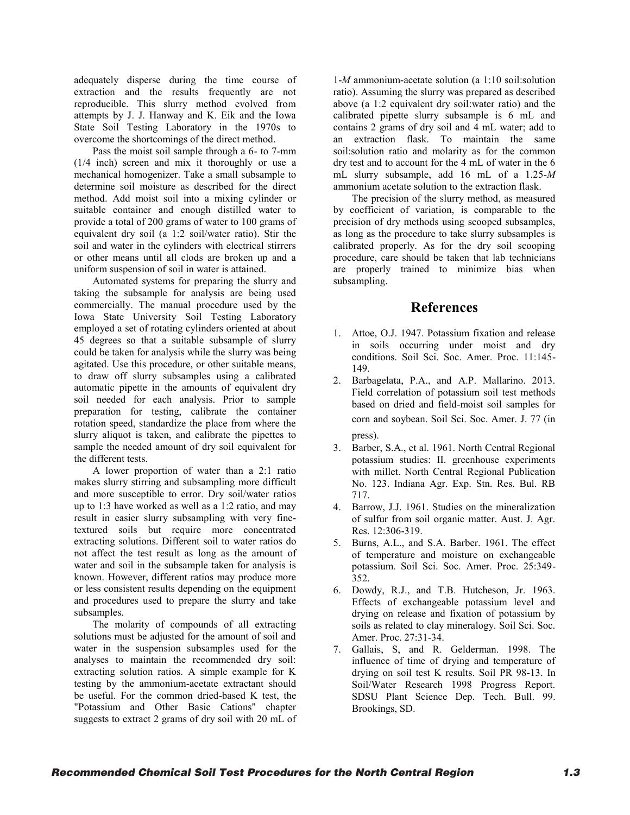adequately disperse during the time course of extraction and the results frequently are not reproducible. This slurry method evolved from attempts by J. J. Hanway and K. Eik and the Iowa State Soil Testing Laboratory in the 1970s to overcome the shortcomings of the direct method.

Pass the moist soil sample through a 6- to 7-mm (1/4 inch) screen and mix it thoroughly or use a mechanical homogenizer. Take a small subsample to determine soil moisture as described for the direct method. Add moist soil into a mixing cylinder or suitable container and enough distilled water to provide a total of 200 grams of water to 100 grams of equivalent dry soil (a 1:2 soil/water ratio). Stir the soil and water in the cylinders with electrical stirrers or other means until all clods are broken up and a uniform suspension of soil in water is attained.

Automated systems for preparing the slurry and taking the subsample for analysis are being used commercially. The manual procedure used by the Iowa State University Soil Testing Laboratory employed a set of rotating cylinders oriented at about 45 degrees so that a suitable subsample of slurry could be taken for analysis while the slurry was being agitated. Use this procedure, or other suitable means, to draw off slurry subsamples using a calibrated automatic pipette in the amounts of equivalent dry soil needed for each analysis. Prior to sample preparation for testing, calibrate the container rotation speed, standardize the place from where the slurry aliquot is taken, and calibrate the pipettes to sample the needed amount of dry soil equivalent for the different tests.

A lower proportion of water than a 2:1 ratio makes slurry stirring and subsampling more difficult and more susceptible to error. Dry soil/water ratios up to 1:3 have worked as well as a 1:2 ratio, and may result in easier slurry subsampling with very finetextured soils but require more concentrated extracting solutions. Different soil to water ratios do not affect the test result as long as the amount of water and soil in the subsample taken for analysis is known. However, different ratios may produce more or less consistent results depending on the equipment and procedures used to prepare the slurry and take subsamples.

The molarity of compounds of all extracting solutions must be adjusted for the amount of soil and water in the suspension subsamples used for the analyses to maintain the recommended dry soil: extracting solution ratios. A simple example for K testing by the ammonium-acetate extractant should be useful. For the common dried-based K test, the "Potassium and Other Basic Cations" chapter suggests to extract 2 grams of dry soil with 20 mL of 1-*M* ammonium-acetate solution (a 1:10 soil:solution ratio). Assuming the slurry was prepared as described above (a 1:2 equivalent dry soil:water ratio) and the calibrated pipette slurry subsample is 6 mL and contains 2 grams of dry soil and 4 mL water; add to an extraction flask. To maintain the same soil:solution ratio and molarity as for the common dry test and to account for the 4 mL of water in the 6 mL slurry subsample, add 16 mL of a 1.25-*M* ammonium acetate solution to the extraction flask.

The precision of the slurry method, as measured by coefficient of variation, is comparable to the precision of dry methods using scooped subsamples, as long as the procedure to take slurry subsamples is calibrated properly. As for the dry soil scooping procedure, care should be taken that lab technicians are properly trained to minimize bias when subsampling.

## **References**

- 1. Attoe, O.J. 1947. Potassium fixation and release in soils occurring under moist and dry conditions. Soil Sci. Soc. Amer. Proc. 11:145- 149.
- 2. Barbagelata, P.A., and A.P. Mallarino. 2013. Field correlation of potassium soil test methods based on dried and field-moist soil samples for corn and soybean. Soil Sci. Soc. Amer. J. 77 (in press).
- 3. Barber, S.A., et al. 1961. North Central Regional potassium studies: II. greenhouse experiments with millet. North Central Regional Publication No. 123. Indiana Agr. Exp. Stn. Res. Bul. RB 717.
- 4. Barrow, J.J. 1961. Studies on the mineralization of sulfur from soil organic matter. Aust. J. Agr. Res. 12:306-319.
- 5. Burns, A.L., and S.A. Barber. 1961. The effect of temperature and moisture on exchangeable potassium. Soil Sci. Soc. Amer. Proc. 25:349- 352.
- 6. Dowdy, R.J., and T.B. Hutcheson, Jr. 1963. Effects of exchangeable potassium level and drying on release and fixation of potassium by soils as related to clay mineralogy. Soil Sci. Soc. Amer. Proc. 27:31-34.
- 7. Gallais, S, and R. Gelderman. 1998. The influence of time of drying and temperature of drying on soil test K results. Soil PR 98-13. In Soil/Water Research 1998 Progress Report. SDSU Plant Science Dep. Tech. Bull. 99. Brookings, SD.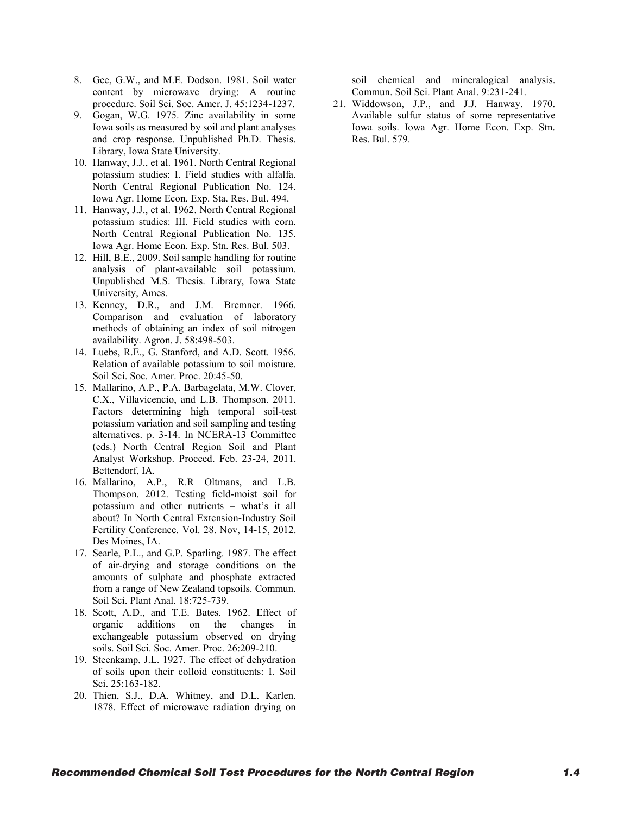- 8. Gee, G.W., and M.E. Dodson. 1981. Soil water content by microwave drying: A routine procedure. Soil Sci. Soc. Amer. J. 45:1234-1237.
- 9. Gogan, W.G. 1975. Zinc availability in some Iowa soils as measured by soil and plant analyses and crop response. Unpublished Ph.D. Thesis. Library, Iowa State University.
- 10. Hanway, J.J., et al. 1961. North Central Regional potassium studies: I. Field studies with alfalfa. North Central Regional Publication No. 124. Iowa Agr. Home Econ. Exp. Sta. Res. Bul. 494.
- 11. Hanway, J.J., et al. 1962. North Central Regional potassium studies: III. Field studies with corn. North Central Regional Publication No. 135. Iowa Agr. Home Econ. Exp. Stn. Res. Bul. 503.
- 12. Hill, B.E., 2009. Soil sample handling for routine analysis of plant-available soil potassium. Unpublished M.S. Thesis. Library, Iowa State University, Ames.
- 13. Kenney, D.R., and J.M. Bremner. 1966. Comparison and evaluation of laboratory methods of obtaining an index of soil nitrogen availability. Agron. J. 58:498-503.
- 14. Luebs, R.E., G. Stanford, and A.D. Scott. 1956. Relation of available potassium to soil moisture. Soil Sci. Soc. Amer. Proc. 20:45-50.
- 15. Mallarino, A.P., P.A. Barbagelata, M.W. Clover, C.X., Villavicencio, and L.B. Thompson. 2011. Factors determining high temporal soil-test potassium variation and soil sampling and testing alternatives. p. 3-14. In NCERA-13 Committee (eds.) North Central Region Soil and Plant Analyst Workshop. Proceed. Feb. 23-24, 2011. Bettendorf, IA.
- 16. Mallarino, A.P., R.R Oltmans, and L.B. Thompson. 2012. Testing field-moist soil for potassium and other nutrients – what's it all about? In North Central Extension-Industry Soil Fertility Conference. Vol. 28. Nov, 14-15, 2012. Des Moines, IA.
- 17. Searle, P.L., and G.P. Sparling. 1987. The effect of air-drying and storage conditions on the amounts of sulphate and phosphate extracted from a range of New Zealand topsoils. Commun. Soil Sci. Plant Anal. 18:725-739.
- 18. Scott, A.D., and T.E. Bates. 1962. Effect of organic additions on the changes in exchangeable potassium observed on drying soils. Soil Sci. Soc. Amer. Proc. 26:209-210.
- 19. Steenkamp, J.L. 1927. The effect of dehydration of soils upon their colloid constituents: I. Soil Sci. 25:163-182.
- 20. Thien, S.J., D.A. Whitney, and D.L. Karlen. 1878. Effect of microwave radiation drying on

soil chemical and mineralogical analysis. Commun. Soil Sci. Plant Anal. 9:231-241.

21. Widdowson, J.P., and J.J. Hanway. 1970. Available sulfur status of some representative Iowa soils. Iowa Agr. Home Econ. Exp. Stn. Res. Bul. 579.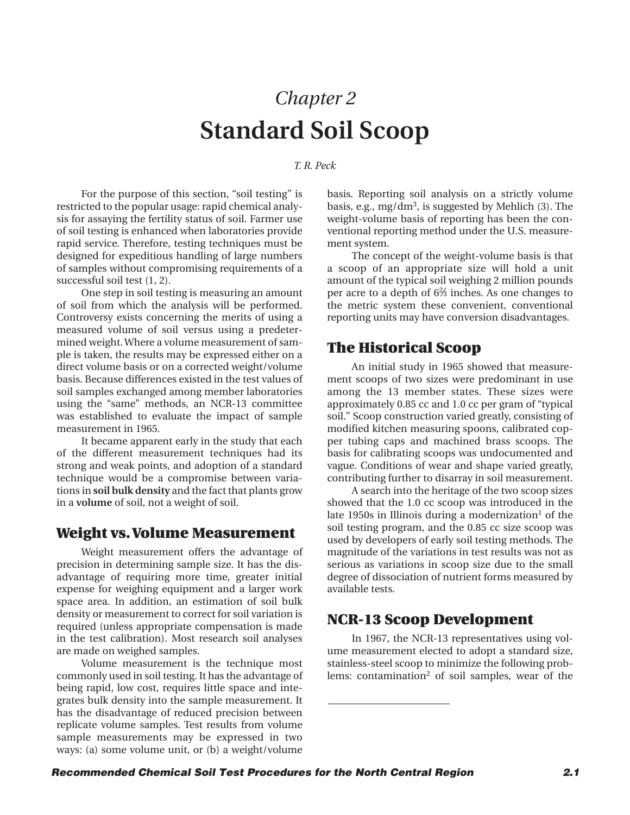# *Chapter 2* **Standard Soil Scoop**

#### *T. R. Peck*

<span id="page-10-0"></span>For the purpose of this section, "soil testing" is restricted to the popular usage: rapid chemical analysis for assaying the fertility status of soil. Farmer use of soil testing is enhanced when laboratories provide rapid service. Therefore, testing techniques must be designed for expeditious handling of large numbers of samples without compromising requirements of a successful soil test (1, 2).

One step in soil testing is measuring an amount of soil from which the analysis will be performed. Controversy exists concerning the merits of using a measured volume of soil versus using a predetermined weight. Where a volume measurement of sample is taken, the results may be expressed either on a direct volume basis or on a corrected weight/volume basis. Because differences existed in the test values of soil samples exchanged among member laboratories using the "same" methods, an NCR-13 committee was established to evaluate the impact of sample measurement in 1965.

It became apparent early in the study that each of the different measurement techniques had its strong and weak points, and adoption of a standard technique would be a compromise between variations in **soil bulk density** and the fact that plants grow in a **volume** of soil, not a weight of soil.

## **Weight vs. Volume Measurement**

Weight measurement offers the advantage of precision in determining sample size. It has the disadvantage of requiring more time, greater initial expense for weighing equipment and a larger work space area. In addition, an estimation of soil bulk density or measurement to correct for soil variation is required (unless appropriate compensation is made in the test calibration). Most research soil analyses are made on weighed samples.

Volume measurement is the technique most commonly used in soil testing. It has the advantage of being rapid, low cost, requires little space and integrates bulk density into the sample measurement. It has the disadvantage of reduced precision between replicate volume samples. Test results from volume sample measurements may be expressed in two ways: (a) some volume unit, or (b) a weight/volume

basis. Reporting soil analysis on a strictly volume basis, e.g., mg/dm<sup>3</sup>, is suggested by Mehlich  $(3)$ . The weight-volume basis of reporting has been the conventional reporting method under the U.S. measurement system.

The concept of the weight-volume basis is that a scoop of an appropriate size will hold a unit amount of the typical soil weighing 2 million pounds per acre to a depth of 6<sup>23</sup> inches. As one changes to the metric system these convenient, conventional reporting units may have conversion disadvantages.

## **The Historical Scoop**

An initial study in 1965 showed that measurement scoops of two sizes were predominant in use among the 13 member states. These sizes were approximately 0.85 cc and 1.0 cc per gram of "typical soil." Scoop construction varied greatly, consisting of modified kitchen measuring spoons, calibrated copper tubing caps and machined brass scoops. The basis for calibrating scoops was undocumented and vague. Conditions of wear and shape varied greatly, contributing further to disarray in soil measurement.

A search into the heritage of the two scoop sizes showed that the 1.0 cc scoop was introduced in the late 1950s in Illinois during a modernization<sup>1</sup> of the soil testing program, and the 0.85 cc size scoop was used by developers of early soil testing methods. The magnitude of the variations in test results was not as serious as variations in scoop size due to the small degree of dissociation of nutrient forms measured by available tests.

## **NCR-13 Scoop Development**

In 1967, the NCR-13 representatives using volume measurement elected to adopt a standard size, stainless-steel scoop to minimize the following problems: contamination<sup>2</sup> of soil samples, wear of the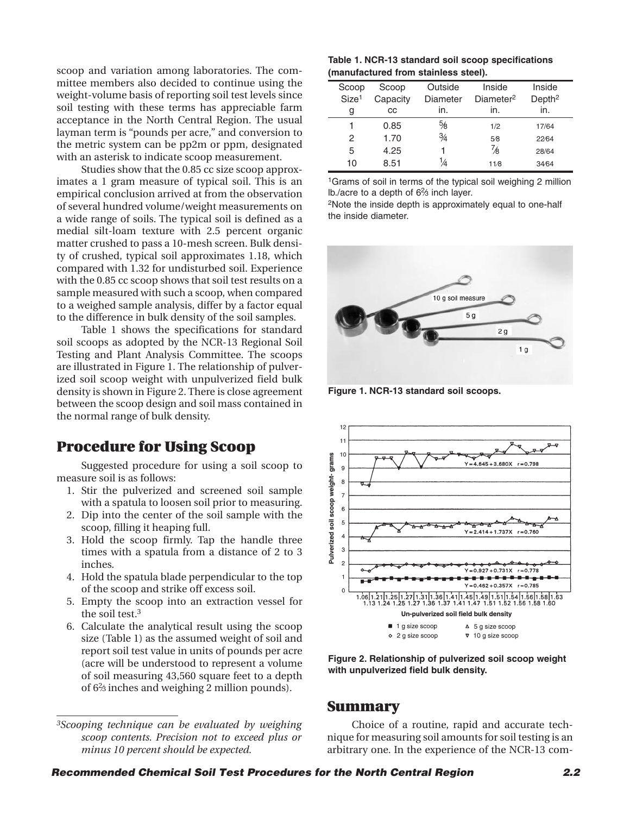scoop and variation among laboratories. The committee members also decided to continue using the weight-volume basis of reporting soil test levels since soil testing with these terms has appreciable farm acceptance in the North Central Region. The usual layman term is "pounds per acre," and conversion to the metric system can be pp2m or ppm, designated with an asterisk to indicate scoop measurement.

Studies show that the 0.85 cc size scoop approximates a 1 gram measure of typical soil. This is an empirical conclusion arrived at from the observation of several hundred volume/weight measurements on a wide range of soils. The typical soil is defined as a medial silt-loam texture with 2.5 percent organic matter crushed to pass a 10-mesh screen. Bulk density of crushed, typical soil approximates 1.18, which compared with 1.32 for undisturbed soil. Experience with the 0.85 cc scoop shows that soil test results on a sample measured with such a scoop, when compared to a weighed sample analysis, differ by a factor equal to the difference in bulk density of the soil samples.

Table 1 shows the specifications for standard soil scoops as adopted by the NCR-13 Regional Soil Testing and Plant Analysis Committee. The scoops are illustrated in Figure 1. The relationship of pulverized soil scoop weight with unpulverized field bulk density is shown in Figure 2. There is close agreement between the scoop design and soil mass contained in the normal range of bulk density.

## **Procedure for Using Scoop**

Suggested procedure for using a soil scoop to measure soil is as follows:

- 1. Stir the pulverized and screened soil sample with a spatula to loosen soil prior to measuring.
- 2. Dip into the center of the soil sample with the scoop, filling it heaping full.
- 3. Hold the scoop firmly. Tap the handle three times with a spatula from a distance of 2 to 3 inches.
- 4. Hold the spatula blade perpendicular to the top of the scoop and strike off excess soil.
- 5. Empty the scoop into an extraction vessel for the soil test.3
- 6. Calculate the analytical result using the scoop size (Table 1) as the assumed weight of soil and report soil test value in units of pounds per acre (acre will be understood to represent a volume of soil measuring 43,560 square feet to a depth of 62 ⁄3 inches and weighing 2 million pounds).

**Table 1. NCR-13 standard soil scoop specifications (manufactured from stainless steel).**

| Scoop             | Scoop    | Outside       | Inside                | Inside             |  |
|-------------------|----------|---------------|-----------------------|--------------------|--|
| Size <sup>1</sup> | Capacity | Diameter      | Diameter <sup>2</sup> | Depth <sup>2</sup> |  |
| g                 | CС       | in.           | in.                   | in.                |  |
| 1                 | 0.85     | 5⁄8           | 1/2                   | 17/64              |  |
| 2                 | 1.70     | $\frac{3}{4}$ | 5⁄8                   | 22/64              |  |
| 5                 | 4.25     |               | $\frac{7}{8}$         | 28/64              |  |
| 10                | 8.51     |               | 11/8                  | 3464               |  |
|                   |          |               |                       |                    |  |

1Grams of soil in terms of the typical soil weighing 2 million Ib./acre to a depth of 6<sup>2</sup>/<sub>3</sub> inch layer.

2Note the inside depth is approximately equal to one-half the inside diameter.



**Figure 1. NCR-13 standard soil scoops.**



**Figure 2. Relationship of pulverized soil scoop weight with unpulverized field bulk density.**

## **Summary**

Choice of a routine, rapid and accurate technique for measuring soil amounts for soil testing is an arbitrary one. In the experience of the NCR-13 com-

*<sup>3</sup>Scooping technique can be evaluated by weighing scoop contents. Precision not to exceed plus or minus 10 percent should be expected.*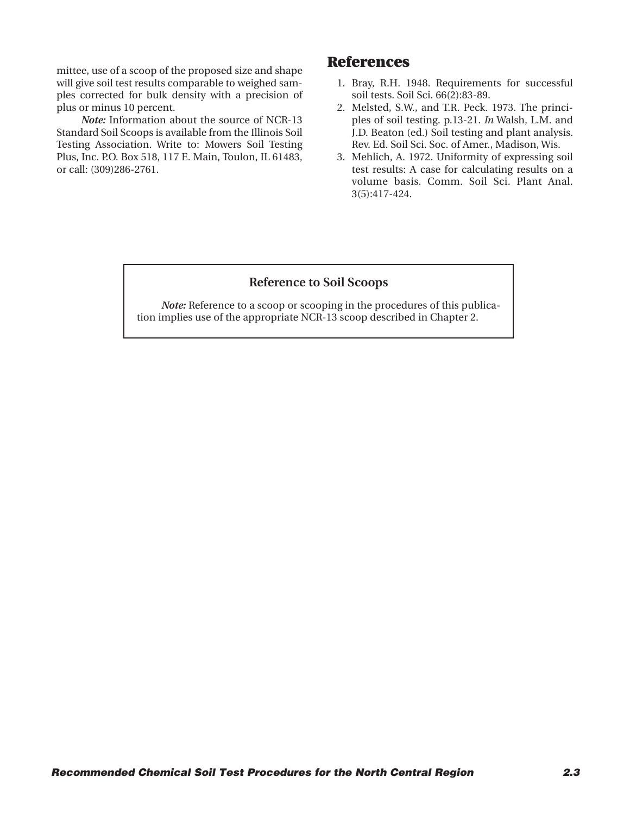mittee, use of a scoop of the proposed size and shape will give soil test results comparable to weighed samples corrected for bulk density with a precision of plus or minus 10 percent.

*Note:* Information about the source of NCR-13 Standard Soil Scoops is available from the Illinois Soil Testing Association. Write to: Mowers Soil Testing Plus, Inc. P.O. Box 518, 117 E. Main, Toulon, IL 61483, or call: (309)286-2761.

## **References**

- 1. Bray, R.H. 1948. Requirements for successful soil tests. Soil Sci. 66(2):83-89.
- 2. Melsted, S.W., and T.R. Peck. 1973. The principles of soil testing. p.13-21. *In* Walsh, L.M. and J.D. Beaton (ed.) Soil testing and plant analysis. Rev. Ed. Soil Sci. Soc. of Amer., Madison, Wis.
- 3. Mehlich, A. 1972. Uniformity of expressing soil test results: A case for calculating results on a volume basis. Comm. Soil Sci. Plant Anal. 3(5):417-424.

#### **Reference to Soil Scoops**

*Note:* Reference to a scoop or scooping in the procedures of this publication implies use of the appropriate NCR-13 scoop described in Chapter 2.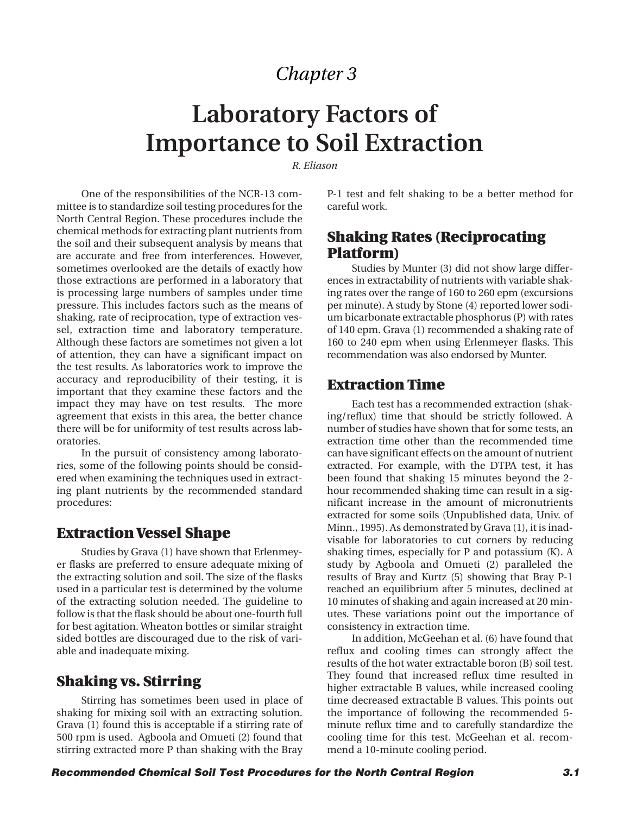## *Chapter 3*

# <span id="page-13-0"></span>**Laboratory Factors of Importance to Soil Extraction**

*R. Eliason*

One of the responsibilities of the NCR-13 committee is to standardize soil testing procedures for the North Central Region. These procedures include the chemical methods for extracting plant nutrients from the soil and their subsequent analysis by means that are accurate and free from interferences. However, sometimes overlooked are the details of exactly how those extractions are performed in a laboratory that is processing large numbers of samples under time pressure. This includes factors such as the means of shaking, rate of reciprocation, type of extraction vessel, extraction time and laboratory temperature. Although these factors are sometimes not given a lot of attention, they can have a significant impact on the test results. As laboratories work to improve the accuracy and reproducibility of their testing, it is important that they examine these factors and the impact they may have on test results. The more agreement that exists in this area, the better chance there will be for uniformity of test results across laboratories.

In the pursuit of consistency among laboratories, some of the following points should be considered when examining the techniques used in extracting plant nutrients by the recommended standard procedures:

## **Extraction Vessel Shape**

Studies by Grava (1) have shown that Erlenmeyer flasks are preferred to ensure adequate mixing of the extracting solution and soil. The size of the flasks used in a particular test is determined by the volume of the extracting solution needed. The guideline to follow is that the flask should be about one-fourth full for best agitation. Wheaton bottles or similar straight sided bottles are discouraged due to the risk of variable and inadequate mixing.

## **Shaking vs. Stirring**

Stirring has sometimes been used in place of shaking for mixing soil with an extracting solution. Grava (1) found this is acceptable if a stirring rate of 500 rpm is used. Agboola and Omueti (2) found that stirring extracted more P than shaking with the Bray

P-1 test and felt shaking to be a better method for careful work.

## **Shaking Rates (Reciprocating Platform)**

Studies by Munter (3) did not show large differences in extractability of nutrients with variable shaking rates over the range of 160 to 260 epm (excursions per minute). A study by Stone (4) reported lower sodium bicarbonate extractable phosphorus (P) with rates of 140 epm. Grava (1) recommended a shaking rate of 160 to 240 epm when using Erlenmeyer flasks. This recommendation was also endorsed by Munter.

## **Extraction Time**

Each test has a recommended extraction (shaking/reflux) time that should be strictly followed. A number of studies have shown that for some tests, an extraction time other than the recommended time can have significant effects on the amount of nutrient extracted. For example, with the DTPA test, it has been found that shaking 15 minutes beyond the 2 hour recommended shaking time can result in a significant increase in the amount of micronutrients extracted for some soils (Unpublished data, Univ. of Minn., 1995). As demonstrated by Grava (1), it is inadvisable for laboratories to cut corners by reducing shaking times, especially for P and potassium (K). A study by Agboola and Omueti (2) paralleled the results of Bray and Kurtz (5) showing that Bray P-1 reached an equilibrium after 5 minutes, declined at 10 minutes of shaking and again increased at 20 minutes. These variations point out the importance of consistency in extraction time.

In addition, McGeehan et al. (6) have found that reflux and cooling times can strongly affect the results of the hot water extractable boron (B) soil test. They found that increased reflux time resulted in higher extractable B values, while increased cooling time decreased extractable B values. This points out the importance of following the recommended 5 minute reflux time and to carefully standardize the cooling time for this test. McGeehan et al. recommend a 10-minute cooling period.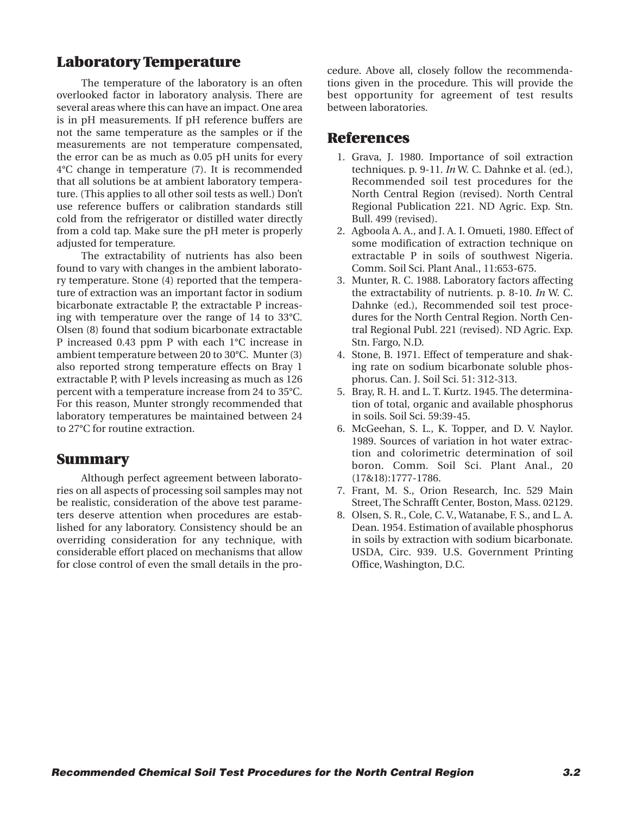## **Laboratory Temperature**

The temperature of the laboratory is an often overlooked factor in laboratory analysis. There are several areas where this can have an impact. One area is in pH measurements. If pH reference buffers are not the same temperature as the samples or if the measurements are not temperature compensated, the error can be as much as 0.05 pH units for every 4°C change in temperature (7). It is recommended that all solutions be at ambient laboratory temperature. (This applies to all other soil tests as well.) Don't use reference buffers or calibration standards still cold from the refrigerator or distilled water directly from a cold tap. Make sure the pH meter is properly adjusted for temperature.

The extractability of nutrients has also been found to vary with changes in the ambient laboratory temperature. Stone (4) reported that the temperature of extraction was an important factor in sodium bicarbonate extractable P, the extractable P increasing with temperature over the range of 14 to 33°C. Olsen (8) found that sodium bicarbonate extractable P increased 0.43 ppm P with each 1°C increase in ambient temperature between 20 to 30°C. Munter (3) also reported strong temperature effects on Bray 1 extractable P, with P levels increasing as much as 126 percent with a temperature increase from 24 to 35°C. For this reason, Munter strongly recommended that laboratory temperatures be maintained between 24 to 27°C for routine extraction.

## **Summary**

Although perfect agreement between laboratories on all aspects of processing soil samples may not be realistic, consideration of the above test parameters deserve attention when procedures are established for any laboratory. Consistency should be an overriding consideration for any technique, with considerable effort placed on mechanisms that allow for close control of even the small details in the procedure. Above all, closely follow the recommendations given in the procedure. This will provide the best opportunity for agreement of test results between laboratories.

## **References**

- 1. Grava, J. 1980. Importance of soil extraction techniques. p. 9-11. *In* W. C. Dahnke et al. (ed.), Recommended soil test procedures for the North Central Region (revised). North Central Regional Publication 221. ND Agric. Exp. Stn. Bull. 499 (revised).
- 2. Agboola A. A., and J. A. I. Omueti, 1980. Effect of some modification of extraction technique on extractable P in soils of southwest Nigeria. Comm. Soil Sci. Plant Anal., 11:653-675.
- 3. Munter, R. C. 1988. Laboratory factors affecting the extractability of nutrients. p. 8-10. *In* W. C. Dahnke (ed.), Recommended soil test procedures for the North Central Region. North Central Regional Publ. 221 (revised). ND Agric. Exp. Stn. Fargo, N.D.
- 4. Stone, B. 1971. Effect of temperature and shaking rate on sodium bicarbonate soluble phosphorus. Can. J. Soil Sci. 51: 312-313.
- 5. Bray, R. H. and L. T. Kurtz. 1945. The determination of total, organic and available phosphorus in soils. Soil Sci. 59:39-45.
- 6. McGeehan, S. L., K. Topper, and D. V. Naylor. 1989. Sources of variation in hot water extraction and colorimetric determination of soil boron. Comm. Soil Sci. Plant Anal., 20 (17&18):1777-1786.
- 7. Frant, M. S., Orion Research, Inc. 529 Main Street, The Schrafft Center, Boston, Mass. 02129.
- 8. Olsen, S. R., Cole, C. V., Watanabe, F. S., and L. A. Dean. 1954. Estimation of available phosphorus in soils by extraction with sodium bicarbonate. USDA, Circ. 939. U.S. Government Printing Office, Washington, D.C.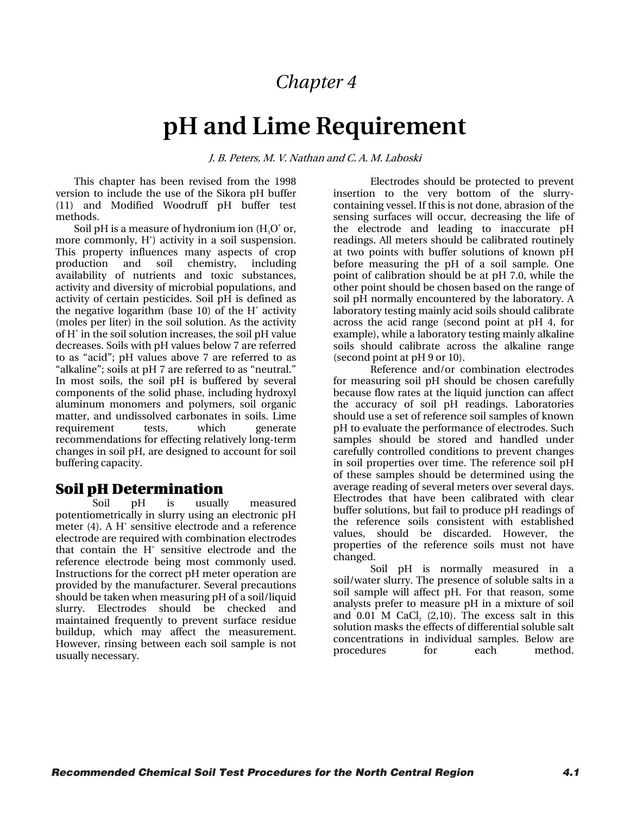## *Chapter 4*

# **pH and Lime Requirement**

J. B. Peters, M. V. Nathan and C. A. M. Laboski

This chapter has been revised from the 1998 version to include the use of the Sikora pH buffer (11) and Modified Woodruff pH buffer test methods.

Soil pH is a measure of hydronium ion  $(\mathrm{H}_{_{3}O^{+}}$  or, more commonly, H<sup>+</sup>) activity in a soil suspension. This property influences many aspects of crop production and soil chemistry, including availability of nutrients and toxic substances, activity and diversity of microbial populations, and activity of certain pesticides. Soil pH is defined as the negative logarithm (base  $10$ ) of the H<sup>+</sup> activity (moles per liter) in the soil solution. As the activity of H<sup>+</sup> in the soil solution increases, the soil pH value decreases. Soils with pH values below 7 are referred to as "acid"; pH values above 7 are referred to as "alkaline"; soils at pH 7 are referred to as "neutral." In most soils, the soil pH is buffered by several components of the solid phase, including hydroxyl aluminum monomers and polymers, soil organic matter, and undissolved carbonates in soils. Lime requirement tests, which generate recommendations for effecting relatively long-term changes in soil pH, are designed to account for soil buffering capacity.

## Soil pH Determination

Soil pH is usually measured potentiometrically in slurry using an electronic pH meter  $(4)$ . A H<sup>+</sup> sensitive electrode and a reference electrode are required with combination electrodes that contain the H<sup>+</sup> sensitive electrode and the reference electrode being most commonly used. Instructions for the correct pH meter operation are provided by the manufacturer. Several precautions should be taken when measuring pH of a soil/liquid slurry. Electrodes should be checked and maintained frequently to prevent surface residue buildup, which may affect the measurement. However, rinsing between each soil sample is not usually necessary.

Electrodes should be protected to prevent insertion to the very bottom of the slurrycontaining vessel. If this is not done, abrasion of the sensing surfaces will occur, decreasing the life of the electrode and leading to inaccurate pH readings. All meters should be calibrated routinely at two points with buffer solutions of known pH before measuring the pH of a soil sample. One point of calibration should be at pH 7.0, while the other point should be chosen based on the range of soil pH normally encountered by the laboratory. A laboratory testing mainly acid soils should calibrate across the acid range (second point at pH 4, for example), while a laboratory testing mainly alkaline soils should calibrate across the alkaline range (second point at pH 9 or 10).

Reference and/or combination electrodes for measuring soil pH should be chosen carefully because flow rates at the liquid junction can affect the accuracy of soil pH readings. Laboratories should use a set of reference soil samples of known pH to evaluate the performance of electrodes. Such samples should be stored and handled under carefully controlled conditions to prevent changes in soil properties over time. The reference soil pH of these samples should be determined using the average reading of several meters over several days. Electrodes that have been calibrated with clear buffer solutions, but fail to produce pH readings of the reference soils consistent with established values, should be discarded. However, the properties of the reference soils must not have changed.

Soil pH is normally measured in a soil/water slurry. The presence of soluble salts in a soil sample will affect pH. For that reason, some analysts prefer to measure pH in a mixture of soil and 0.01 M CaCl<sub>2</sub> (2,10). The excess salt in this solution masks the effects of differential soluble salt concentrations in individual samples. Below are procedures for each method.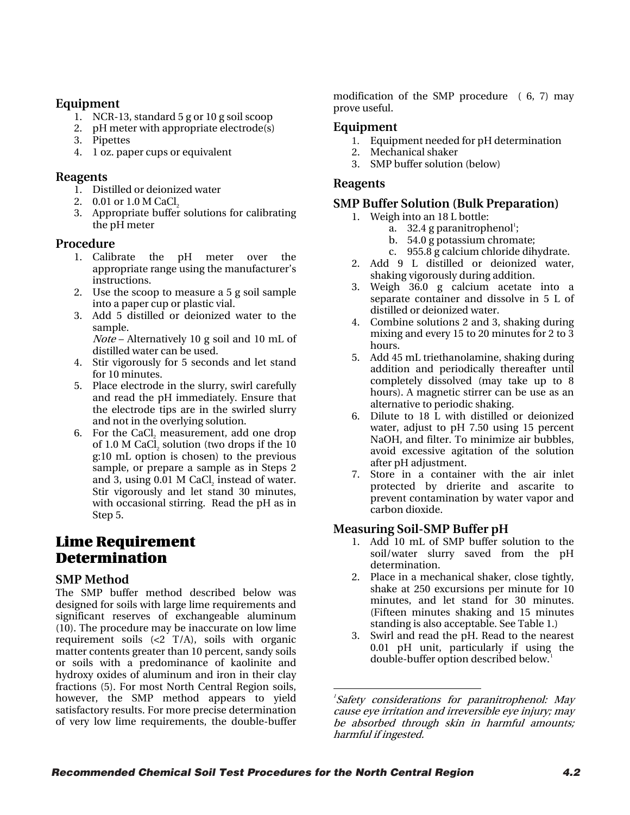## **Equipment**

- 1. NCR-13, standard 5 g or 10 g soil scoop
- 2. pH meter with appropriate electrode(s)
- 3. Pipettes
- 4. 1 oz. paper cups or equivalent

## **Reagents**

- 1. Distilled or deionized water
- 2.  $0.01$  or  $1.0$  M CaCl<sub>2</sub>
- 3. Appropriate buffer solutions for calibrating the pH meter

## **Procedure**

- 1. Calibrate the pH meter over the appropriate range using the manufacturer's instructions.
- 2. Use the scoop to measure a 5 g soil sample into a paper cup or plastic vial.
- 3. Add 5 distilled or deionized water to the sample.

Note – Alternatively 10 g soil and 10 mL of distilled water can be used.

- 4. Stir vigorously for 5 seconds and let stand for 10 minutes.
- 5. Place electrode in the slurry, swirl carefully and read the pH immediately. Ensure that the electrode tips are in the swirled slurry and not in the overlying solution.
- 6. For the CaCl, measurement, add one drop of 1.0 M CaCl, solution (two drops if the  $10$ g:10 mL option is chosen) to the previous sample, or prepare a sample as in Steps 2 and 3, using 0.01 M CaCl, instead of water. Stir vigorously and let stand 30 minutes, with occasional stirring. Read the pH as in Step 5.

## Lime Requirement Determination

## **SMP Method**

<span id="page-16-0"></span>The SMP buffer method described below was designed for soils with large lime requirements and significant reserves of exchangeable aluminum (10). The procedure may be inaccurate on low lime requirement soils  $\left(\frac{2}{7}T/A\right)$ , soils with organic matter contents greater than 10 percent, sandy soils or soils with a predominance of kaolinite and hydroxy oxides of aluminum and iron in their clay fractions (5). For most North Central Region soils, however, the SMP method appears to yield satisfactory results. For more precise determination of very low lime requirements, the double-buffer

modification of the SMP procedure ( 6, 7) may prove useful.

## **Equipment**

- 1. Equipment needed for pH determination
- 2. Mechanical shaker
- 3. SMP buffer solution (below)

## **Reagents**

## **SMP Buffer Solution (Bulk Preparation)**

- 1. Weigh into an 18 L bottle:
	- a.  $32.4$  g paranitrophenol<sup>1</sup>;
	- b. 54.0 g potassium chromate;
	- c. 955.8 g calcium chloride dihydrate.
- 2. Add 9 L distilled or deionized water, shaking vigorously during addition.
- 3. Weigh 36.0 g calcium acetate into a separate container and dissolve in 5 L of distilled or deionized water.
- 4. Combine solutions 2 and 3, shaking during mixing and every 15 to 20 minutes for 2 to 3 hours.
- 5. Add 45 mL triethanolamine, shaking during addition and periodically thereafter until completely dissolved (may take up to 8 hours). A magnetic stirrer can be use as an alternative to periodic shaking.
- 6. Dilute to 18 L with distilled or deionized water, adjust to pH 7.50 using 15 percent NaOH, and filter. To minimize air bubbles, avoid excessive agitation of the solution after pH adjustment.
- 7. Store in a container with the air inlet protected by drierite and ascarite to prevent contamination by water vapor and carbon dioxide.

## **Measuring Soil-SMP Buffer pH**

- 1. Add 10 mL of SMP buffer solution to the soil/water slurry saved from the pH determination.
- 2. Place in a mechanical shaker, close tightly, shake at 250 excursions per minute for 10 minutes, and let stand for 30 minutes. (Fifteen minutes shaking and 15 minutes standing is also acceptable. See Table 1.)
- 3. Swirl and read the pH. Read to the nearest 0.01 pH unit, particularly if using the double-buffer option described below.<sup>[1](#page-16-0)</sup>

<sup>1</sup> Safety considerations for paranitrophenol: May cause eye irritation and irreversible eye injury; may be absorbed through skin in harmful amounts; harmful if ingested.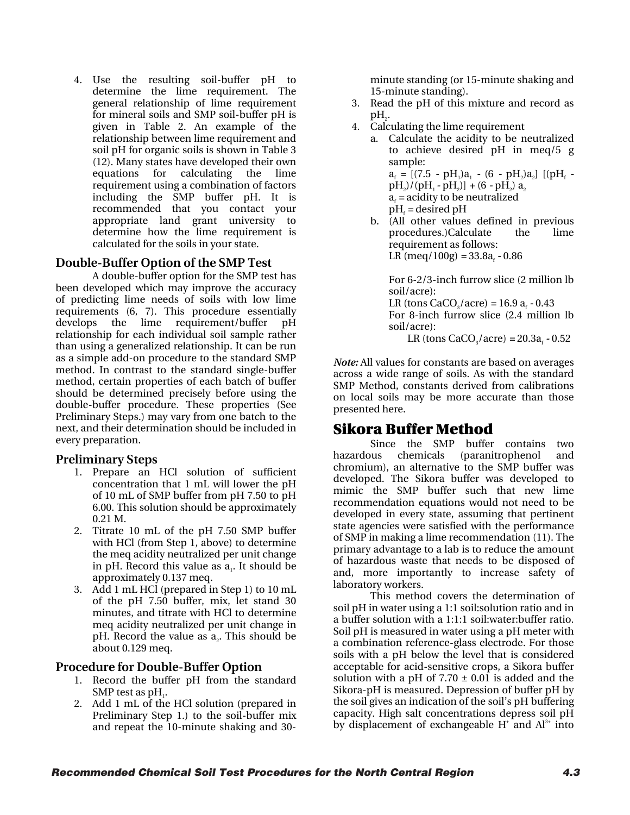4. Use the resulting soil-buffer pH to determine the lime requirement. The general relationship of lime requirement for mineral soils and SMP soil-buffer pH is given in Table 2. An example of the relationship between lime requirement and soil pH for organic soils is shown in Table 3 (12). Many states have developed their own equations for calculating the lime requirement using a combination of factors including the SMP buffer pH. It is recommended that you contact your appropriate land grant university to determine how the lime requirement is calculated for the soils in your state.

## **Double-Buffer Option of the SMP Test**

A double-buffer option for the SMP test has been developed which may improve the accuracy of predicting lime needs of soils with low lime requirements (6, 7). This procedure essentially develops the lime requirement/buffer pH relationship for each individual soil sample rather than using a generalized relationship. It can be run as a simple add-on procedure to the standard SMP method. In contrast to the standard single-buffer method, certain properties of each batch of buffer should be determined precisely before using the double-buffer procedure. These properties (See Preliminary Steps.) may vary from one batch to the next, and their determination should be included in every preparation.

#### **Preliminary Steps**

- 1. Prepare an HCl solution of sufficient concentration that 1 mL will lower the pH of 10 mL of SMP buffer from pH 7.50 to pH 6.00. This solution should be approximately 0.21 M.
- 2. Titrate 10 mL of the pH 7.50 SMP buffer with HCl (from Step 1, above) to determine the meq acidity neutralized per unit change in pH. Record this value as  $a_i$ . It should be approximately 0.137 meq.
- 3. Add 1 mL HCl (prepared in Step 1) to 10 mL of the pH 7.50 buffer, mix, let stand 30 minutes, and titrate with HCl to determine meq acidity neutralized per unit change in  $pH$ . Record the value as  $a<sub>z</sub>$ . This should be about 0.129 meq.

#### **Procedure for Double-Buffer Option**

- 1. Record the buffer pH from the standard SMP test as  $pH$ .
- 2. Add 1 mL of the HCl solution (prepared in Preliminary Step 1.) to the soil-buffer mix and repeat the 10-minute shaking and 30-

minute standing (or 15-minute shaking and 15-minute standing).

- 3. Read the pH of this mixture and record as  $pH_{2}$ .
- 4. Calculating the lime requirement
	- a. Calculate the acidity to be neutralized to achieve desired pH in meq/5 g sample:  $a_f = [(7.5 - pH_1)a_1 - (6 - pH_2)a_2]$  [(pH<sub>f</sub>  $pH<sub>2</sub>)/(pH<sub>1</sub> - pH<sub>2</sub>)] + (6 - pH<sub>2</sub>) a<sub>2</sub>$  $a<sub>f</sub>$  = acidity to be neutralized  $pH<sub>f</sub>$  = desired  $pH$
	- b. (All other values defined in previous procedures.)Calculate the lime requirement as follows:  $LR (meq/100g) = 33.8a<sub>s</sub> - 0.86$

For 6-2/3-inch furrow slice (2 million lb soil/acre): LR (tons CaCO<sub>3</sub>/acre) =  $16.9$  a<sub>s</sub>  $-0.43$ For 8-inch furrow slice (2.4 million lb soil/acre):

LR (tons  $CaCO_{3}/ace$ ) =  $20.3a_{6} - 0.52$ 

*Note:* All values for constants are based on averages across a wide range of soils. As with the standard SMP Method, constants derived from calibrations on local soils may be more accurate than those presented here.

## Sikora Buffer Method

Since the SMP buffer contains two hazardous chemicals (paranitrophenol and chromium), an alternative to the SMP buffer was developed. The Sikora buffer was developed to mimic the SMP buffer such that new lime recommendation equations would not need to be developed in every state, assuming that pertinent state agencies were satisfied with the performance of SMP in making a lime recommendation (11). The primary advantage to a lab is to reduce the amount of hazardous waste that needs to be disposed of and, more importantly to increase safety of laboratory workers.

This method covers the determination of soil pH in water using a 1:1 soil:solution ratio and in a buffer solution with a 1:1:1 soil:water:buffer ratio. Soil pH is measured in water using a pH meter with a combination reference-glass electrode. For those soils with a pH below the level that is considered acceptable for acid-sensitive crops, a Sikora buffer solution with a pH of  $7.70 \pm 0.01$  is added and the Sikora-pH is measured. Depression of buffer pH by the soil gives an indication of the soil's pH buffering capacity. High salt concentrations depress soil pH by displacement of exchangeable  $H^*$  and  $Al^{3*}$  into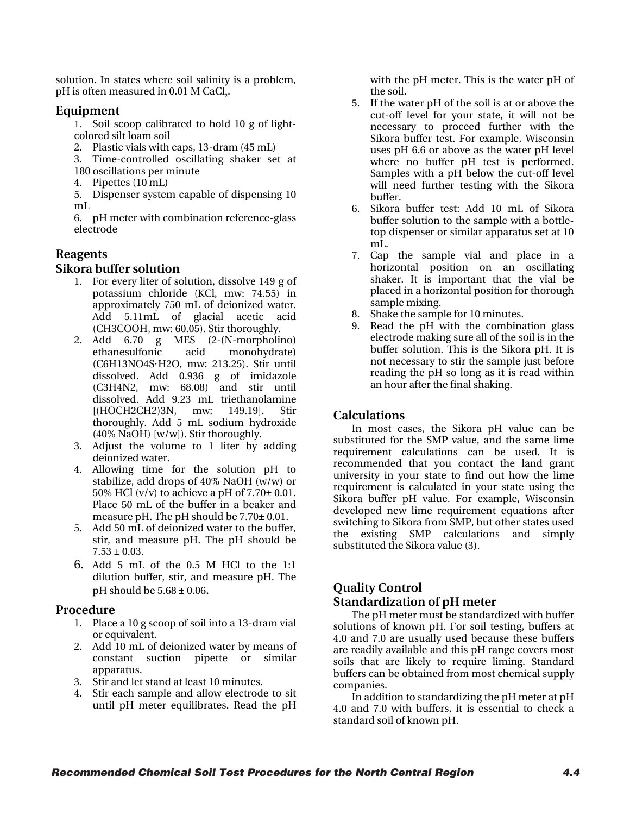solution. In states where soil salinity is a problem, pH is often measured in 0.01 M CaCl<sub>2</sub>.

#### **Equipment**

1. Soil scoop calibrated to hold 10 g of lightcolored silt loam soil

- 2. Plastic vials with caps, 13-dram (45 mL)
- 3. Time-controlled oscillating shaker set at
- 180 oscillations per minute
- 4. Pipettes (10 mL)

5. Dispenser system capable of dispensing 10 mL

6. pH meter with combination reference-glass electrode

#### **Reagents**

#### **Sikora buffer solution**

- 1. For every liter of solution, dissolve 149 g of potassium chloride (KCl, mw: 74.55) in approximately 750 mL of deionized water. Add 5.11mL of glacial acetic acid (CH3COOH, mw: 60.05). Stir thoroughly.
- 2. Add 6.70 g MES (2-(N-morpholino) ethanesulfonic acid monohydrate) (C6H13NO4S·H2O, mw: 213.25). Stir until dissolved. Add 0.936 g of imidazole (C3H4N2, mw: 68.08) and stir until dissolved. Add 9.23 mL triethanolamine [(HOCH2CH2)3N, mw: 149.19]. Stir thoroughly. Add 5 mL sodium hydroxide (40% NaOH) [w/w]). Stir thoroughly.
- 3. Adjust the volume to 1 liter by adding deionized water.
- 4. Allowing time for the solution pH to stabilize, add drops of 40% NaOH (w/w) or 50% HCl (v/v) to achieve a pH of  $7.70 \pm 0.01$ . Place 50 mL of the buffer in a beaker and measure pH. The pH should be 7.70± 0.01.
- 5. Add 50 mL of deionized water to the buffer, stir, and measure pH. The pH should be  $7.53 \pm 0.03$ .
- 6. Add 5 mL of the 0.5 M HCl to the 1:1 dilution buffer, stir, and measure pH. The pH should be  $5.68 \pm 0.06$ .

#### **Procedure**

- 1. Place a 10 g scoop of soil into a 13-dram vial or equivalent.
- 2. Add 10 mL of deionized water by means of constant suction pipette or similar apparatus.
- 3. Stir and let stand at least 10 minutes.
- 4. Stir each sample and allow electrode to sit until pH meter equilibrates. Read the pH

with the pH meter. This is the water pH of the soil.

- 5. If the water pH of the soil is at or above the cut-off level for your state, it will not be necessary to proceed further with the Sikora buffer test. For example, Wisconsin uses pH 6.6 or above as the water pH level where no buffer pH test is performed. Samples with a pH below the cut-off level will need further testing with the Sikora buffer.
- 6. Sikora buffer test: Add 10 mL of Sikora buffer solution to the sample with a bottletop dispenser or similar apparatus set at 10 mL.
- 7. Cap the sample vial and place in a horizontal position on an oscillating shaker. It is important that the vial be placed in a horizontal position for thorough sample mixing.
- 8. Shake the sample for 10 minutes.
- 9. Read the pH with the combination glass electrode making sure all of the soil is in the buffer solution. This is the Sikora pH. It is not necessary to stir the sample just before reading the pH so long as it is read within an hour after the final shaking.

#### **Calculations**

In most cases, the Sikora pH value can be substituted for the SMP value, and the same lime requirement calculations can be used. It is recommended that you contact the land grant university in your state to find out how the lime requirement is calculated in your state using the Sikora buffer pH value. For example, Wisconsin developed new lime requirement equations after switching to Sikora from SMP, but other states used the existing SMP calculations and simply substituted the Sikora value (3).

# **Quality Control**

**Standardization of pH meter**<br>The pH meter must be standardized with buffer solutions of known pH. For soil testing, buffers at 4.0 and 7.0 are usually used because these buffers are readily available and this pH range covers most soils that are likely to require liming. Standard buffers can be obtained from most chemical supply companies.

In addition to standardizing the pH meter at pH 4.0 and 7.0 with buffers, it is essential to check a standard soil of known pH.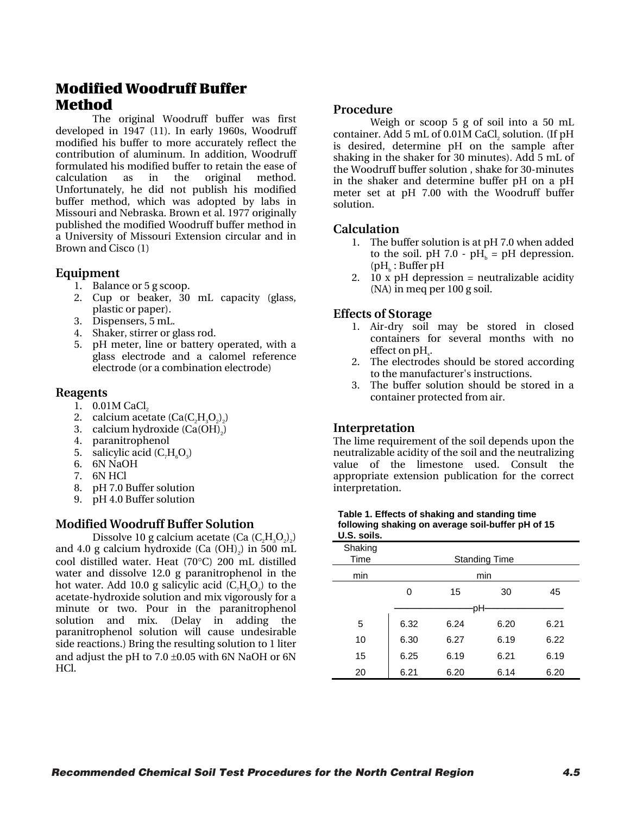## Modified Woodruff Buffer Method

The original Woodruff buffer was first developed in 1947 (11). In early 1960s, Woodruff modified his buffer to more accurately reflect the contribution of aluminum. In addition, Woodruff formulated his modified buffer to retain the ease of calculation as in the original method. Unfortunately, he did not publish his modified buffer method, which was adopted by labs in Missouri and Nebraska. Brown et al. 1977 originally published the modified Woodruff buffer method in a University of Missouri Extension circular and in Brown and Cisco (1)

#### **Equipment**

- 1. Balance or 5 g scoop.
- 2. Cup or beaker, 30 mL capacity (glass, plastic or paper).
- 3. Dispensers, 5 mL.
- 4. Shaker, stirrer or glass rod.
- 5. pH meter, line or battery operated, with a glass electrode and a calomel reference electrode (or a combination electrode)

#### **Reagents**

- 1.  $0.01M$  CaCl<sub>2</sub>
- 2. calcium acetate  $(Ca(C,H_3O_2))$
- 3. calcium hydroxide  $(Ca(OH)_2)$ <br>4. paranitrophenol
- 4. paranitrophenol
- 5. salicylic acid  $(C_7H_6O_3)$
- 6. 6N NaOH
- 7. 6N HCl
- 8. pH 7.0 Buffer solution
- 9. pH 4.0 Buffer solution

## **Modified Woodruff Buffer Solution**

Dissolve 10 g calcium acetate (Ca  $(C,H_2O_2)$ ) and 4.0 g calcium hydroxide (Ca  $(OH)_{2}$ ) in 500 mL cool distilled water. Heat (70°C) 200 mL distilled water and dissolve 12.0 g paranitrophenol in the hot water. Add 10.0 g salicylic acid  $(C<sub>z</sub>H<sub>s</sub>O<sub>z</sub>)$  to the acetate-hydroxide solution and mix vigorously for a minute or two. Pour in the paranitrophenol solution and mix. (Delay in adding the paranitrophenol solution will cause undesirable side reactions.) Bring the resulting solution to 1 liter and adjust the pH to  $7.0 \pm 0.05$  with 6N NaOH or 6N HCl.

#### **Procedure**

Weigh or scoop 5 g of soil into a 50 mL container. Add 5 mL of 0.01M CaCl, solution. (If pH is desired, determine pH on the sample after shaking in the shaker for 30 minutes). Add 5 mL of the Woodruff buffer solution , shake for 30-minutes in the shaker and determine buffer pH on a pH meter set at pH 7.00 with the Woodruff buffer solution.

#### **Calculation**

- 1. The buffer solution is at pH 7.0 when added to the soil. pH 7.0 - pH $_{h}$  = pH depression.  $(pH_h : Buffer pH)$
- 2.  $10 \times pH$  depression = neutralizable acidity (NA) in meq per 100 g soil.

## **Effects of Storage**

- 1. Air-dry soil may be stored in closed containers for several months with no effect on  $\rm pH_{s}.$
- 2. The electrodes should be stored according to the manufacturer's instructions.
- 3. The buffer solution should be stored in a container protected from air.

## **Interpretation**

The lime requirement of the soil depends upon the neutralizable acidity of the soil and the neutralizing value of the limestone used. Consult the appropriate extension publication for the correct interpretation.

| Table 1. Effects of shaking and standing time     |
|---------------------------------------------------|
| following shaking on average soil-buffer pH of 15 |
| U.S. soils.                                       |

| Shaking<br>Time | <b>Standing Time</b> |      |      |      |  |  |
|-----------------|----------------------|------|------|------|--|--|
| min             |                      |      | min  |      |  |  |
|                 | 0                    | 15   | 30   | 45   |  |  |
|                 |                      | DН   |      |      |  |  |
| 5               | 6.32                 | 6.24 | 6.20 | 6.21 |  |  |
| 10              | 6.30                 | 6.27 | 6.19 | 6.22 |  |  |
| 15              | 6.25                 | 6.19 | 6.21 | 6.19 |  |  |
| 20              | 6.21                 | 6.20 | 6.14 | 6.20 |  |  |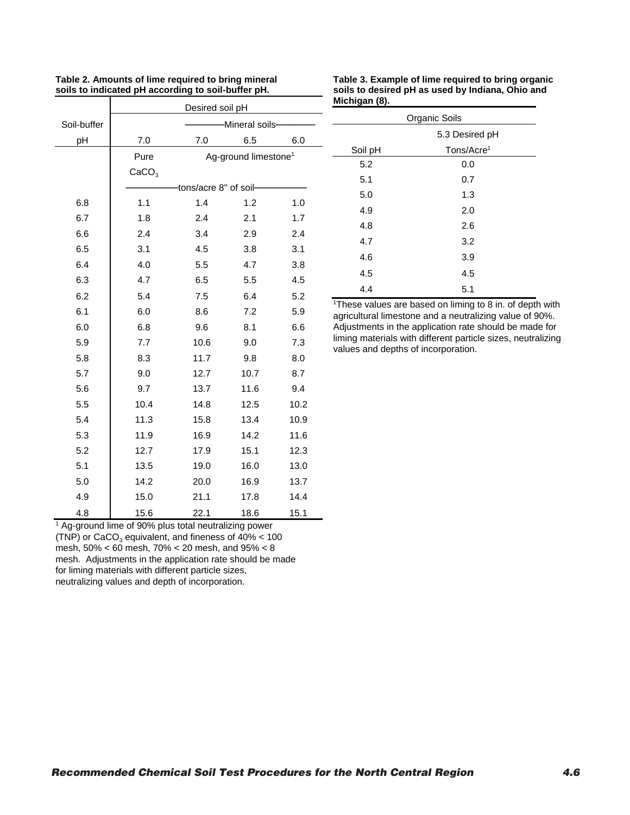|             | Desired soil pH          |                       |                                  |      |  |  |  |  |
|-------------|--------------------------|-----------------------|----------------------------------|------|--|--|--|--|
| Soil-buffer | Mineral soils-           |                       |                                  |      |  |  |  |  |
| pH          | 7.0<br>6.5<br>7.0<br>6.0 |                       |                                  |      |  |  |  |  |
|             | Pure                     |                       | Ag-ground limestone <sup>1</sup> |      |  |  |  |  |
|             | CaCO <sub>3</sub>        |                       |                                  |      |  |  |  |  |
|             |                          | tons/acre 8" of soil- |                                  |      |  |  |  |  |
| 6.8         | 1.1                      | 1.4                   | 1.2                              | 1.0  |  |  |  |  |
| 6.7         | 1.8                      | 2.4                   | 2.1                              | 1.7  |  |  |  |  |
| 6.6         | 2.4                      | 3.4                   | 2.9                              | 2.4  |  |  |  |  |
| 6.5         | 3.1                      | 4.5                   | 3.8                              | 3.1  |  |  |  |  |
| 6.4         | 4.0                      | 5.5                   | 4.7                              | 3.8  |  |  |  |  |
| 6.3         | 4.7                      | 6.5                   | 5.5                              | 4.5  |  |  |  |  |
| 6.2         | 5.4                      | 7.5                   | 6.4                              | 5.2  |  |  |  |  |
| 6.1         | 6.0                      | 8.6                   | 7.2                              | 5.9  |  |  |  |  |
| 6.0         | 6.8                      | 9.6                   | 8.1                              | 6.6  |  |  |  |  |
| 5.9         | 7.7                      | 10.6                  | 9.0                              | 7.3  |  |  |  |  |
| 5.8         | 8.3                      | 11.7                  | 9.8                              | 8.0  |  |  |  |  |
| 5.7         | 9.0                      | 12.7                  | 10.7                             | 8.7  |  |  |  |  |
| 5.6         | 9.7                      | 13.7                  | 11.6                             | 9.4  |  |  |  |  |
| 5.5         | 10.4                     | 14.8                  | 12.5                             | 10.2 |  |  |  |  |
| 5.4         | 11.3                     | 15.8                  | 13.4                             | 10.9 |  |  |  |  |
| 5.3         | 11.9                     | 16.9                  | 14.2                             | 11.6 |  |  |  |  |
| 5.2         | 12.7                     | 17.9                  | 15.1                             | 12.3 |  |  |  |  |
| 5.1         | 13.5                     | 19.0                  | 16.0                             | 13.0 |  |  |  |  |
| 5.0         | 14.2                     | 20.0                  | 16.9                             | 13.7 |  |  |  |  |
| 4.9         | 15.0                     | 21.1                  | 17.8                             | 14.4 |  |  |  |  |
| 4.8         | 15.6                     | 22.1                  | 18.6                             | 15.1 |  |  |  |  |

| Table 2. Amounts of lime required to bring mineral |  |
|----------------------------------------------------|--|
| soils to indicated pH according to soil-buffer pH. |  |

**Table 3. Example of lime required to bring organic soils to desired pH as used by Indiana, Ohio and Michigan (8).**

| Organic Soils  |                        |  |  |  |  |  |
|----------------|------------------------|--|--|--|--|--|
| 5.3 Desired pH |                        |  |  |  |  |  |
| Soil pH        | Tons/Acre <sup>1</sup> |  |  |  |  |  |
| 5.2            | 0.0                    |  |  |  |  |  |
| 5.1            | 0.7                    |  |  |  |  |  |
| 5.0            | 1.3                    |  |  |  |  |  |
| 4.9            | 2.0                    |  |  |  |  |  |
| 4.8            | 2.6                    |  |  |  |  |  |
| 4.7            | 3.2                    |  |  |  |  |  |
| 4.6            | 3.9                    |  |  |  |  |  |
| 4.5            | 4.5                    |  |  |  |  |  |
| 4.4            | 5.1                    |  |  |  |  |  |

1 These values are based on liming to 8 in. of depth with agricultural limestone and a neutralizing value of 90%. Adjustments in the application rate should be made for liming materials with different particle sizes, neutralizing values and depths of incorporation.

<sup>1</sup> Ag-ground lime of 90% plus total neutralizing power (TNP) or  $CaCO<sub>3</sub>$  equivalent, and fineness of  $40\% < 100$ mesh, 50% < 60 mesh, 70% < 20 mesh, and 95% < 8 mesh. Adjustments in the application rate should be made for liming materials with different particle sizes,

neutralizing values and depth of incorporation.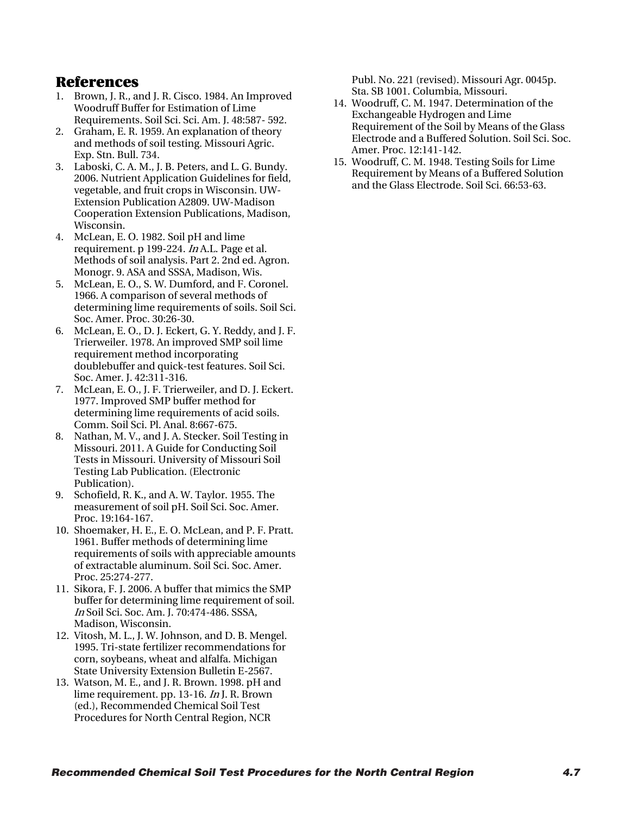## References

- 1. Brown, J. R., and J. R. Cisco. 1984. An Improved Woodruff Buffer for Estimation of Lime Requirements. Soil Sci. Sci. Am. J. 48:587- 592.
- 2. Graham, E. R. 1959. An explanation of theory and methods of soil testing. Missouri Agric. Exp. Stn. Bull. 734.
- 3. Laboski, C. A. M., J. B. Peters, and L. G. Bundy. 2006. Nutrient Application Guidelines for field, vegetable, and fruit crops in Wisconsin. UW-Extension Publication A2809. UW-Madison Cooperation Extension Publications, Madison, Wisconsin.
- 4. McLean, E. O. 1982. Soil pH and lime requirement. p 199-224. In A.L. Page et al. Methods of soil analysis. Part 2. 2nd ed. Agron. Monogr. 9. ASA and SSSA, Madison, Wis.
- 5. McLean, E. O., S. W. Dumford, and F. Coronel. 1966. A comparison of several methods of determining lime requirements of soils. Soil Sci. Soc. Amer. Proc. 30:26-30.
- 6. McLean, E. O., D. J. Eckert, G. Y. Reddy, and J. F. Trierweiler. 1978. An improved SMP soil lime requirement method incorporating doublebuffer and quick-test features. Soil Sci. Soc. Amer. J. 42:311-316.
- 7. McLean, E. O., J. F. Trierweiler, and D. J. Eckert. 1977. Improved SMP buffer method for determining lime requirements of acid soils. Comm. Soil Sci. Pl. Anal. 8:667-675.
- 8. Nathan, M. V., and J. A. Stecker. Soil Testing in Missouri. 2011. A Guide for Conducting Soil Tests in Missouri. University of Missouri Soil Testing Lab Publication. (Electronic Publication).
- 9. Schofield, R. K., and A. W. Taylor. 1955. The measurement of soil pH. Soil Sci. Soc. Amer. Proc. 19:164-167.
- 10. Shoemaker, H. E., E. O. McLean, and P. F. Pratt. 1961. Buffer methods of determining lime requirements of soils with appreciable amounts of extractable aluminum. Soil Sci. Soc. Amer. Proc. 25:274-277.
- 11. Sikora, F. J. 2006. A buffer that mimics the SMP buffer for determining lime requirement of soil. In Soil Sci. Soc. Am. J. 70:474-486. SSSA, Madison, Wisconsin.
- 12. Vitosh, M. L., J. W. Johnson, and D. B. Mengel. 1995. Tri-state fertilizer recommendations for corn, soybeans, wheat and alfalfa. Michigan State University Extension Bulletin E-2567.
- 13. Watson, M. E., and J. R. Brown. 1998. pH and lime requirement. pp. 13-16. In J. R. Brown (ed.), Recommended Chemical Soil Test Procedures for North Central Region, NCR

Publ. No. 221 (revised). Missouri Agr. 0045p. Sta. SB 1001. Columbia, Missouri.

- 14. Woodruff, C. M. 1947. Determination of the Exchangeable Hydrogen and Lime Requirement of the Soil by Means of the Glass Electrode and a Buffered Solution. Soil Sci. Soc. Amer. Proc. 12:141-142.
- 15. Woodruff, C. M. 1948. Testing Soils for Lime Requirement by Means of a Buffered Solution and the Glass Electrode. Soil Sci. 66:53-63.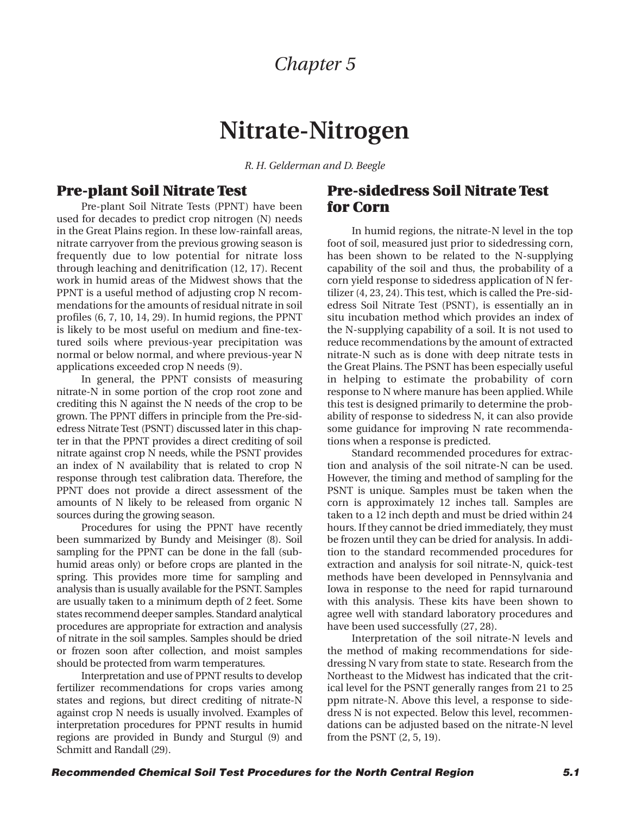## *Chapter 5*

## **Nitrate-Nitrogen**

*R. H. Gelderman and D. Beegle*

## <span id="page-22-0"></span>**Pre-plant Soil Nitrate Test**

Pre-plant Soil Nitrate Tests (PPNT) have been used for decades to predict crop nitrogen (N) needs in the Great Plains region. In these low-rainfall areas, nitrate carryover from the previous growing season is frequently due to low potential for nitrate loss through leaching and denitrification (12, 17). Recent work in humid areas of the Midwest shows that the PPNT is a useful method of adjusting crop N recommendations for the amounts of residual nitrate in soil profiles (6, 7, 10, 14, 29). In humid regions, the PPNT is likely to be most useful on medium and fine-textured soils where previous-year precipitation was normal or below normal, and where previous-year N applications exceeded crop N needs (9).

In general, the PPNT consists of measuring nitrate-N in some portion of the crop root zone and crediting this N against the N needs of the crop to be grown. The PPNT differs in principle from the Pre-sidedress Nitrate Test (PSNT) discussed later in this chapter in that the PPNT provides a direct crediting of soil nitrate against crop N needs, while the PSNT provides an index of N availability that is related to crop N response through test calibration data. Therefore, the PPNT does not provide a direct assessment of the amounts of N likely to be released from organic N sources during the growing season.

Procedures for using the PPNT have recently been summarized by Bundy and Meisinger (8). Soil sampling for the PPNT can be done in the fall (subhumid areas only) or before crops are planted in the spring. This provides more time for sampling and analysis than is usually available for the PSNT. Samples are usually taken to a minimum depth of 2 feet. Some states recommend deeper samples. Standard analytical procedures are appropriate for extraction and analysis of nitrate in the soil samples. Samples should be dried or frozen soon after collection, and moist samples should be protected from warm temperatures.

Interpretation and use of PPNT results to develop fertilizer recommendations for crops varies among states and regions, but direct crediting of nitrate-N against crop N needs is usually involved. Examples of interpretation procedures for PPNT results in humid regions are provided in Bundy and Sturgul (9) and Schmitt and Randall (29).

## **Pre-sidedress Soil Nitrate Test for Corn**

In humid regions, the nitrate-N level in the top foot of soil, measured just prior to sidedressing corn, has been shown to be related to the N-supplying capability of the soil and thus, the probability of a corn yield response to sidedress application of N fertilizer (4, 23, 24). This test, which is called the Pre-sidedress Soil Nitrate Test (PSNT), is essentially an in situ incubation method which provides an index of the N-supplying capability of a soil. It is not used to reduce recommendations by the amount of extracted nitrate-N such as is done with deep nitrate tests in the Great Plains. The PSNT has been especially useful in helping to estimate the probability of corn response to N where manure has been applied. While this test is designed primarily to determine the probability of response to sidedress N, it can also provide some guidance for improving N rate recommendations when a response is predicted.

Standard recommended procedures for extraction and analysis of the soil nitrate-N can be used. However, the timing and method of sampling for the PSNT is unique. Samples must be taken when the corn is approximately 12 inches tall. Samples are taken to a 12 inch depth and must be dried within 24 hours. If they cannot be dried immediately, they must be frozen until they can be dried for analysis. In addition to the standard recommended procedures for extraction and analysis for soil nitrate-N, quick-test methods have been developed in Pennsylvania and Iowa in response to the need for rapid turnaround with this analysis. These kits have been shown to agree well with standard laboratory procedures and have been used successfully (27, 28).

Interpretation of the soil nitrate-N levels and the method of making recommendations for sidedressing N vary from state to state. Research from the Northeast to the Midwest has indicated that the critical level for the PSNT generally ranges from 21 to 25 ppm nitrate-N. Above this level, a response to sidedress N is not expected. Below this level, recommendations can be adjusted based on the nitrate-N level from the PSNT (2, 5, 19).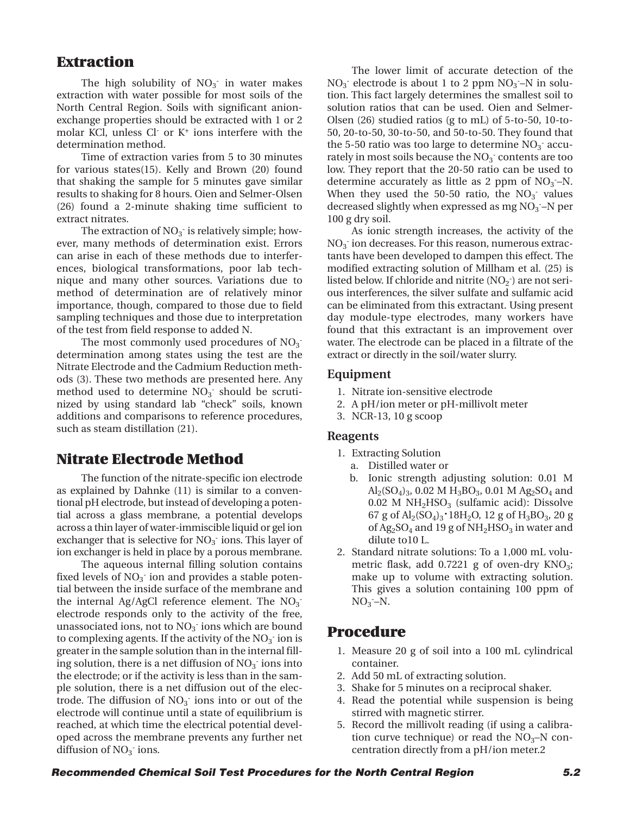## **Extraction**

The high solubility of  $NO<sub>3</sub>$  in water makes extraction with water possible for most soils of the North Central Region. Soils with significant anionexchange properties should be extracted with 1 or 2 molar KCl, unless Cl- or K+ ions interfere with the determination method.

Time of extraction varies from 5 to 30 minutes for various states(15). Kelly and Brown (20) found that shaking the sample for 5 minutes gave similar results to shaking for 8 hours. Oien and Selmer-Olsen (26) found a 2-minute shaking time sufficient to extract nitrates.

The extraction of  $NO<sub>3</sub>$  is relatively simple; however, many methods of determination exist. Errors can arise in each of these methods due to interferences, biological transformations, poor lab technique and many other sources. Variations due to method of determination are of relatively minor importance, though, compared to those due to field sampling techniques and those due to interpretation of the test from field response to added N.

The most commonly used procedures of  $NO<sub>3</sub>$ . determination among states using the test are the Nitrate Electrode and the Cadmium Reduction methods (3). These two methods are presented here. Any method used to determine  $NO<sub>3</sub>$  should be scrutinized by using standard lab "check" soils, known additions and comparisons to reference procedures, such as steam distillation (21).

## **Nitrate Electrode Method**

The function of the nitrate-specific ion electrode as explained by Dahnke (11) is similar to a conventional pH electrode, but instead of developing a potential across a glass membrane, a potential develops across a thin layer of water-immiscible liquid or gel ion exchanger that is selective for  $NO<sub>3</sub>$  ions. This layer of ion exchanger is held in place by a porous membrane.

The aqueous internal filling solution contains fixed levels of  $NO<sub>3</sub>$  ion and provides a stable potential between the inside surface of the membrane and the internal Ag/AgCl reference element. The  $NO<sub>3</sub>$ electrode responds only to the activity of the free, unassociated ions, not to  $NO<sub>3</sub>$  ions which are bound to complexing agents. If the activity of the  $NO_3^-$  ion is greater in the sample solution than in the internal filling solution, there is a net diffusion of  $NO<sub>3</sub>$  ions into the electrode; or if the activity is less than in the sample solution, there is a net diffusion out of the electrode. The diffusion of  $NO<sub>3</sub>$  ions into or out of the electrode will continue until a state of equilibrium is reached, at which time the electrical potential developed across the membrane prevents any further net diffusion of  $NO<sub>3</sub>$  ions.

The lower limit of accurate detection of the  $NO<sub>3</sub>$  electrode is about 1 to 2 ppm  $NO<sub>3</sub>$ –N in solution. This fact largely determines the smallest soil to solution ratios that can be used. Oien and Selmer-Olsen (26) studied ratios (g to mL) of 5-to-50, 10-to-50, 20-to-50, 30-to-50, and 50-to-50. They found that the 5-50 ratio was too large to determine  $NO<sub>3</sub>$  accurately in most soils because the  $NO<sub>3</sub>$  contents are too low. They report that the 20-50 ratio can be used to determine accurately as little as 2 ppm of  $NO<sub>3</sub> - N$ . When they used the  $50-50$  ratio, the  $NO<sub>3</sub>$  values decreased slightly when expressed as mg NO<sub>3</sub>-N per 100 g dry soil.

As ionic strength increases, the activity of the  $NO<sub>3</sub>$  ion decreases. For this reason, numerous extractants have been developed to dampen this effect. The modified extracting solution of Millham et al. (25) is listed below. If chloride and nitrite  $(NO<sub>2</sub>^-)$  are not serious interferences, the silver sulfate and sulfamic acid can be eliminated from this extractant. Using present day module-type electrodes, many workers have found that this extractant is an improvement over water. The electrode can be placed in a filtrate of the extract or directly in the soil/water slurry.

#### **Equipment**

- 1. Nitrate ion-sensitive electrode
- 2. A pH/ion meter or pH-millivolt meter
- 3. NCR-13, 10 g scoop

#### **Reagents**

- 1. Extracting Solution
	- a. Distilled water or
	- b. Ionic strength adjusting solution: 0.01 M  $\text{Al}_2(\text{SO}_4)_3$ , 0.02 M  $\text{H}_3\text{BO}_3$ , 0.01 M  $\text{Ag}_2\text{SO}_4$  and 0.02 M  $NH<sub>2</sub>HSO<sub>3</sub>$  (sulfamic acid): Dissolve 67 g of Al2(SO4)3**•**18H2O, 12 g of H3BO3, 20 g of  $Ag_2SO_4$  and 19 g of  $NH_2HSO_3$  in water and dilute to10 L.
- 2. Standard nitrate solutions: To a 1,000 mL volumetric flask, add  $0.7221$  g of oven-dry KNO<sub>3</sub>; make up to volume with extracting solution. This gives a solution containing 100 ppm of  $NO<sub>3</sub>$ -N.

## **Procedure**

- 1. Measure 20 g of soil into a 100 mL cylindrical container.
- 2. Add 50 mL of extracting solution.
- 3. Shake for 5 minutes on a reciprocal shaker.
- 4. Read the potential while suspension is being stirred with magnetic stirrer.
- 5. Record the millivolt reading (if using a calibration curve technique) or read the  $NO<sub>3</sub>–N$  concentration directly from a pH/ion meter.2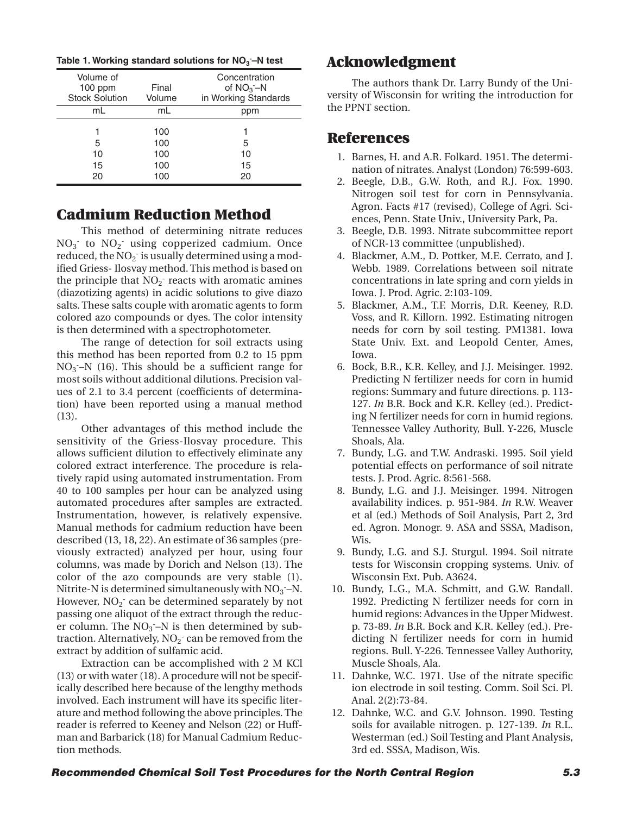| Volume of<br>$100$ ppm<br><b>Stock Solution</b> | Final<br>Volume   | Concentration<br>of $NO_3 - N$<br>in Working Standards |
|-------------------------------------------------|-------------------|--------------------------------------------------------|
| mL                                              | mL                | ppm                                                    |
| 5<br>10                                         | 100<br>100<br>100 | 5<br>10                                                |
| 15<br>20                                        | 100<br>100        | 15<br>20                                               |

## **Cadmium Reduction Method**

This method of determining nitrate reduces  $NO<sub>3</sub>$  to  $NO<sub>2</sub>$  using copperized cadmium. Once reduced, the  $NO<sub>2</sub>$  is usually determined using a modified Griess- Ilosvay method. This method is based on the principle that  $NO<sub>2</sub>$  reacts with aromatic amines (diazotizing agents) in acidic solutions to give diazo salts. These salts couple with aromatic agents to form colored azo compounds or dyes. The color intensity is then determined with a spectrophotometer.

The range of detection for soil extracts using this method has been reported from 0.2 to 15 ppm  $NO<sub>3</sub> - N$  (16). This should be a sufficient range for most soils without additional dilutions. Precision values of 2.1 to 3.4 percent (coefficients of determination) have been reported using a manual method (13).

Other advantages of this method include the sensitivity of the Griess-Ilosvay procedure. This allows sufficient dilution to effectively eliminate any colored extract interference. The procedure is relatively rapid using automated instrumentation. From 40 to 100 samples per hour can be analyzed using automated procedures after samples are extracted. Instrumentation, however, is relatively expensive. Manual methods for cadmium reduction have been described (13, 18, 22). An estimate of 36 samples (previously extracted) analyzed per hour, using four columns, was made by Dorich and Nelson (13). The color of the azo compounds are very stable (1). Nitrite-N is determined simultaneously with  $NO<sub>3</sub>$  –N. However,  $NO<sub>2</sub>$  can be determined separately by not passing one aliquot of the extract through the reducer column. The  $NO<sub>3</sub> - N$  is then determined by subtraction. Alternatively,  $NO<sub>2</sub>$  can be removed from the extract by addition of sulfamic acid.

Extraction can be accomplished with 2 M KCl (13) or with water (18). A procedure will not be specifically described here because of the lengthy methods involved. Each instrument will have its specific literature and method following the above principles. The reader is referred to Keeney and Nelson (22) or Huffman and Barbarick (18) for Manual Cadmium Reduction methods.

## **Acknowledgment**

The authors thank Dr. Larry Bundy of the University of Wisconsin for writing the introduction for the PPNT section.

## **References**

- 1. Barnes, H. and A.R. Folkard. 1951. The determination of nitrates. Analyst (London) 76:599-603.
- 2. Beegle, D.B., G.W. Roth, and R.J. Fox. 1990. Nitrogen soil test for corn in Pennsylvania. Agron. Facts #17 (revised), College of Agri. Sciences, Penn. State Univ., University Park, Pa.
- 3. Beegle, D.B. 1993. Nitrate subcommittee report of NCR-13 committee (unpublished).
- 4. Blackmer, A.M., D. Pottker, M.E. Cerrato, and J. Webb. 1989. Correlations between soil nitrate concentrations in late spring and corn yields in Iowa. J. Prod. Agric. 2:103-109.
- 5. Blackmer, A.M., T.F. Morris, D.R. Keeney, R.D. Voss, and R. Killorn. 1992. Estimating nitrogen needs for corn by soil testing. PM1381. Iowa State Univ. Ext. and Leopold Center, Ames, Iowa.
- 6. Bock, B.R., K.R. Kelley, and J.J. Meisinger. 1992. Predicting N fertilizer needs for corn in humid regions: Summary and future directions. p. 113- 127. *In* B.R. Bock and K.R. Kelley (ed.). Predicting N fertilizer needs for corn in humid regions. Tennessee Valley Authority, Bull. Y-226, Muscle Shoals, Ala.
- 7. Bundy, L.G. and T.W. Andraski. 1995. Soil yield potential effects on performance of soil nitrate tests. J. Prod. Agric. 8:561-568.
- 8. Bundy, L.G. and J.J. Meisinger. 1994. Nitrogen availability indices. p. 951-984. *In* R.W. Weaver et al (ed.) Methods of Soil Analysis, Part 2, 3rd ed. Agron. Monogr. 9. ASA and SSSA, Madison, Wis.
- 9. Bundy, L.G. and S.J. Sturgul. 1994. Soil nitrate tests for Wisconsin cropping systems. Univ. of Wisconsin Ext. Pub. A3624.
- 10. Bundy, L.G., M.A. Schmitt, and G.W. Randall. 1992. Predicting N fertilizer needs for corn in humid regions: Advances in the Upper Midwest. p. 73-89. *In* B.R. Bock and K.R. Kelley (ed.). Predicting N fertilizer needs for corn in humid regions. Bull. Y-226. Tennessee Valley Authority, Muscle Shoals, Ala.
- 11. Dahnke, W.C. 1971. Use of the nitrate specific ion electrode in soil testing. Comm. Soil Sci. Pl. Anal. 2(2):73-84.
- 12. Dahnke, W.C. and G.V. Johnson. 1990. Testing soils for available nitrogen. p. 127-139. *In* R.L. Westerman (ed.) Soil Testing and Plant Analysis, 3rd ed. SSSA, Madison, Wis.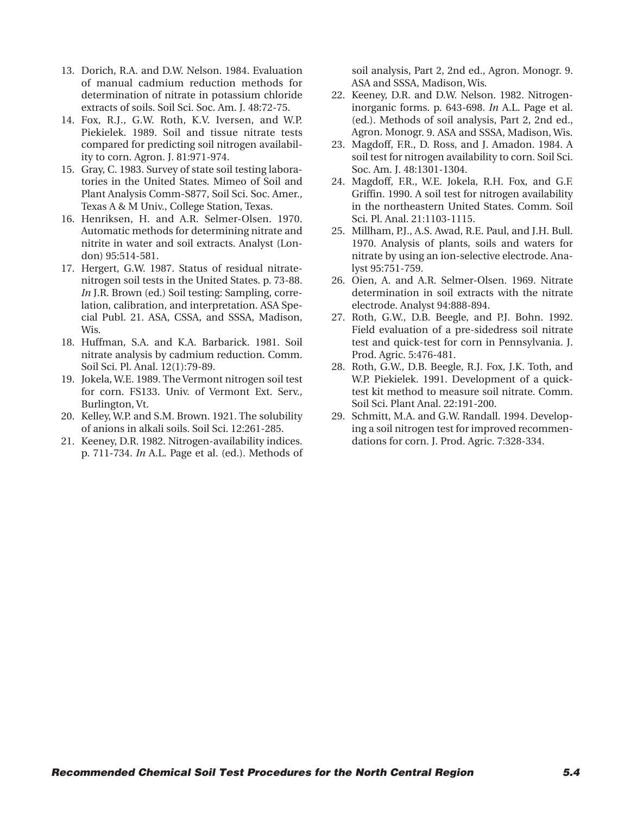- 13. Dorich, R.A. and D.W. Nelson. 1984. Evaluation of manual cadmium reduction methods for determination of nitrate in potassium chloride extracts of soils. Soil Sci. Soc. Am. J. 48:72-75.
- 14. Fox, R.J., G.W. Roth, K.V. Iversen, and W.P. Piekielek. 1989. Soil and tissue nitrate tests compared for predicting soil nitrogen availability to corn. Agron. J. 81:971-974.
- 15. Gray, C. 1983. Survey of state soil testing laboratories in the United States. Mimeo of Soil and Plant Analysis Comm-S877, Soil Sci. Soc. Amer., Texas A & M Univ., College Station, Texas.
- 16. Henriksen, H. and A.R. Selmer-Olsen. 1970. Automatic methods for determining nitrate and nitrite in water and soil extracts. Analyst (London) 95:514-581.
- 17. Hergert, G.W. 1987. Status of residual nitratenitrogen soil tests in the United States. p. 73-88. *In* J.R. Brown (ed.) Soil testing: Sampling, correlation, calibration, and interpretation. ASA Special Publ. 21. ASA, CSSA, and SSSA, Madison, Wis.
- 18. Huffman, S.A. and K.A. Barbarick. 1981. Soil nitrate analysis by cadmium reduction. Comm. Soil Sci. Pl. Anal. 12(1):79-89.
- 19. Jokela, W.E. 1989. The Vermont nitrogen soil test for corn. FS133. Univ. of Vermont Ext. Serv., Burlington, Vt.
- 20. Kelley, W.P. and S.M. Brown. 1921. The solubility of anions in alkali soils. Soil Sci. 12:261-285.
- 21. Keeney, D.R. 1982. Nitrogen-availability indices. p. 711-734. *In* A.L. Page et al. (ed.). Methods of

soil analysis, Part 2, 2nd ed., Agron. Monogr. 9. ASA and SSSA, Madison, Wis.

- 22. Keeney, D.R. and D.W. Nelson. 1982. Nitrogeninorganic forms. p. 643-698. *In* A.L. Page et al. (ed.). Methods of soil analysis, Part 2, 2nd ed., Agron. Monogr. 9. ASA and SSSA, Madison, Wis.
- 23. Magdoff, F.R., D. Ross, and J. Amadon. 1984. A soil test for nitrogen availability to corn. Soil Sci. Soc. Am. J. 48:1301-1304.
- 24. Magdoff, F.R., W.E. Jokela, R.H. Fox, and G.F. Griffin. 1990. A soil test for nitrogen availability in the northeastern United States. Comm. Soil Sci. Pl. Anal. 21:1103-1115.
- 25. Millham, P.J., A.S. Awad, R.E. Paul, and J.H. Bull. 1970. Analysis of plants, soils and waters for nitrate by using an ion-selective electrode. Analyst 95:751-759.
- 26. Oien, A. and A.R. Selmer-Olsen. 1969. Nitrate determination in soil extracts with the nitrate electrode. Analyst 94:888-894.
- 27. Roth, G.W., D.B. Beegle, and P.J. Bohn. 1992. Field evaluation of a pre-sidedress soil nitrate test and quick-test for corn in Pennsylvania. J. Prod. Agric. 5:476-481.
- 28. Roth, G.W., D.B. Beegle, R.J. Fox, J.K. Toth, and W.P. Piekielek. 1991. Development of a quicktest kit method to measure soil nitrate. Comm. Soil Sci. Plant Anal. 22:191-200.
- 29. Schmitt, M.A. and G.W. Randall. 1994. Developing a soil nitrogen test for improved recommendations for corn. J. Prod. Agric. 7:328-334.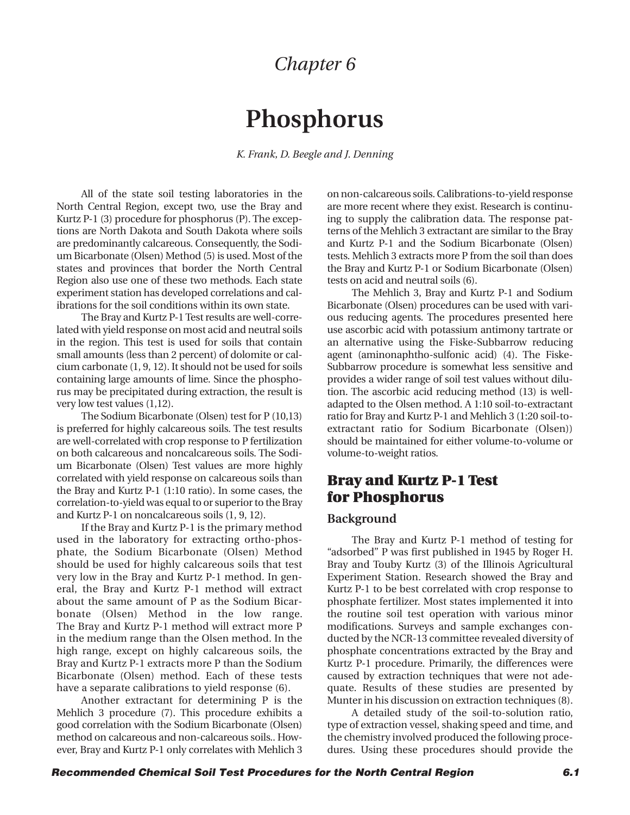## *Chapter 6*

# **Phosphorus**

*K. Frank, D. Beegle and J. Denning*

<span id="page-26-0"></span>All of the state soil testing laboratories in the North Central Region, except two, use the Bray and Kurtz P-1 (3) procedure for phosphorus (P). The exceptions are North Dakota and South Dakota where soils are predominantly calcareous. Consequently, the Sodium Bicarbonate (Olsen) Method (5) is used. Most of the states and provinces that border the North Central Region also use one of these two methods. Each state experiment station has developed correlations and calibrations for the soil conditions within its own state.

The Bray and Kurtz P-1 Test results are well-correlated with yield response on most acid and neutral soils in the region. This test is used for soils that contain small amounts (less than 2 percent) of dolomite or calcium carbonate (1, 9, 12). It should not be used for soils containing large amounts of lime. Since the phosphorus may be precipitated during extraction, the result is very low test values (1,12).

The Sodium Bicarbonate (Olsen) test for P (10,13) is preferred for highly calcareous soils. The test results are well-correlated with crop response to P fertilization on both calcareous and noncalcareous soils. The Sodium Bicarbonate (Olsen) Test values are more highly correlated with yield response on calcareous soils than the Bray and Kurtz P-1 (1:10 ratio). In some cases, the correlation-to-yield was equal to or superior to the Bray and Kurtz P-1 on noncalcareous soils (1, 9, 12).

If the Bray and Kurtz P-1 is the primary method used in the laboratory for extracting ortho-phosphate, the Sodium Bicarbonate (Olsen) Method should be used for highly calcareous soils that test very low in the Bray and Kurtz P-1 method. In general, the Bray and Kurtz P-1 method will extract about the same amount of P as the Sodium Bicarbonate (Olsen) Method in the low range. The Bray and Kurtz P-1 method will extract more P in the medium range than the Olsen method. In the high range, except on highly calcareous soils, the Bray and Kurtz P-1 extracts more P than the Sodium Bicarbonate (Olsen) method. Each of these tests have a separate calibrations to yield response (6).

Another extractant for determining P is the Mehlich 3 procedure (7). This procedure exhibits a good correlation with the Sodium Bicarbonate (Olsen) method on calcareous and non-calcareous soils.. However, Bray and Kurtz P-1 only correlates with Mehlich 3

on non-calcareous soils. Calibrations-to-yield response are more recent where they exist. Research is continuing to supply the calibration data. The response patterns of the Mehlich 3 extractant are similar to the Bray and Kurtz P-1 and the Sodium Bicarbonate (Olsen) tests. Mehlich 3 extracts more P from the soil than does the Bray and Kurtz P-1 or Sodium Bicarbonate (Olsen) tests on acid and neutral soils (6).

The Mehlich 3, Bray and Kurtz P-1 and Sodium Bicarbonate (Olsen) procedures can be used with various reducing agents. The procedures presented here use ascorbic acid with potassium antimony tartrate or an alternative using the Fiske-Subbarrow reducing agent (aminonaphtho-sulfonic acid) (4). The Fiske-Subbarrow procedure is somewhat less sensitive and provides a wider range of soil test values without dilution. The ascorbic acid reducing method (13) is welladapted to the Olsen method. A 1:10 soil-to-extractant ratio for Bray and Kurtz P-1 and Mehlich 3 (1:20 soil-toextractant ratio for Sodium Bicarbonate (Olsen)) should be maintained for either volume-to-volume or volume-to-weight ratios.

## **Bray and Kurtz P-1 Test for Phosphorus**

#### **Background**

The Bray and Kurtz P-1 method of testing for "adsorbed" P was first published in 1945 by Roger H. Bray and Touby Kurtz (3) of the Illinois Agricultural Experiment Station. Research showed the Bray and Kurtz P-1 to be best correlated with crop response to phosphate fertilizer. Most states implemented it into the routine soil test operation with various minor modifications. Surveys and sample exchanges conducted by the NCR-13 committee revealed diversity of phosphate concentrations extracted by the Bray and Kurtz P-1 procedure. Primarily, the differences were caused by extraction techniques that were not adequate. Results of these studies are presented by Munter in his discussion on extraction techniques (8).

A detailed study of the soil-to-solution ratio, type of extraction vessel, shaking speed and time, and the chemistry involved produced the following procedures. Using these procedures should provide the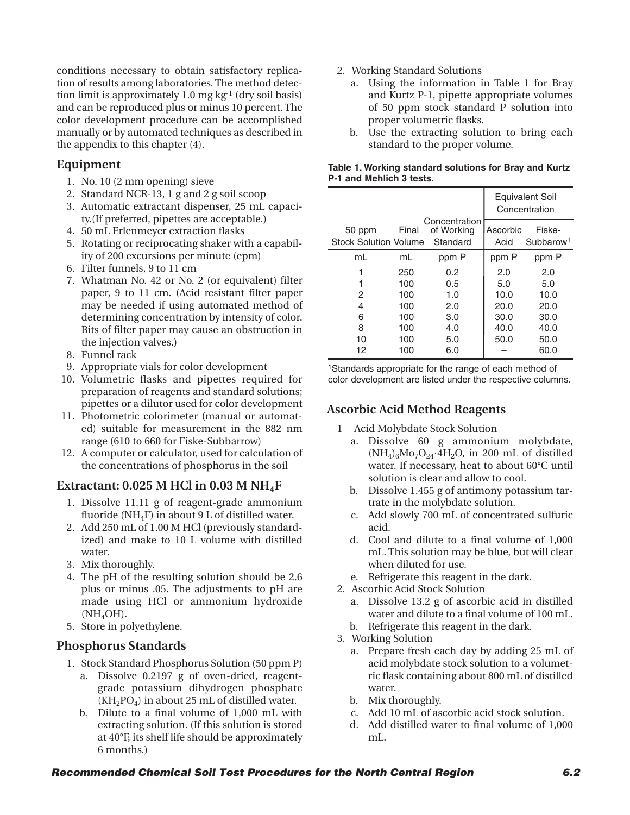conditions necessary to obtain satisfactory replication of results among laboratories. The method detection limit is approximately 1.0 mg  $kg<sup>-1</sup>$  (dry soil basis) and can be reproduced plus or minus 10 percent. The color development procedure can be accomplished manually or by automated techniques as described in the appendix to this chapter (4).

## **Equipment**

- 1. No. 10 (2 mm opening) sieve
- 2. Standard NCR-13, 1 g and 2 g soil scoop
- 3. Automatic extractant dispenser, 25 mL capacity.(If preferred, pipettes are acceptable.)
- 4. 50 mL Erlenmeyer extraction flasks
- 5. Rotating or reciprocating shaker with a capability of 200 excursions per minute (epm)
- 6. Filter funnels, 9 to 11 cm
- 7. Whatman No. 42 or No. 2 (or equivalent) filter paper, 9 to 11 cm. (Acid resistant filter paper may be needed if using automated method of determining concentration by intensity of color. Bits of filter paper may cause an obstruction in the injection valves.)
- 8. Funnel rack
- 9. Appropriate vials for color development
- 10. Volumetric flasks and pipettes required for preparation of reagents and standard solutions; pipettes or a dilutor used for color development
- 11. Photometric colorimeter (manual or automated) suitable for measurement in the 882 nm range (610 to 660 for Fiske-Subbarrow)
- 12. A computer or calculator, used for calculation of the concentrations of phosphorus in the soil

## **Extractant: 0.025 M HCl in 0.03 M NH4F**

- 1. Dissolve 11.11 g of reagent-grade ammonium fluoride (NH<sub>4</sub>F) in about 9 L of distilled water.
- 2. Add 250 mL of 1.00 M HCl (previously standardized) and make to 10 L volume with distilled water.
- 3. Mix thoroughly.
- 4. The pH of the resulting solution should be 2.6 plus or minus .05. The adjustments to pH are made using HCl or ammonium hydroxide (NH4OH).
- 5. Store in polyethylene.

## **Phosphorus Standards**

- 1. Stock Standard Phosphorus Solution (50 ppm P) a. Dissolve 0.2197 g of oven-dried, reagent
	- grade potassium dihydrogen phosphate  $(KH_2PO_4)$  in about 25 mL of distilled water.
	- b. Dilute to a final volume of 1,000 mL with extracting solution. (If this solution is stored at 40°F, its shelf life should be approximately 6 months.)
- 2. Working Standard Solutions
	- a. Using the information in Table 1 for Bray and Kurtz P-1, pipette appropriate volumes of 50 ppm stock standard P solution into proper volumetric flasks.
	- b. Use the extracting solution to bring each standard to the proper volume.

#### **Table 1. Working standard solutions for Bray and Kurtz P-1 and Mehlich 3 tests.**

|                              |       |                             |          | Equivalent Soil<br>Concentration |
|------------------------------|-------|-----------------------------|----------|----------------------------------|
| 50 ppm                       | Final | Concentration<br>of Working | Ascorbic | Fiske-                           |
| <b>Stock Solution Volume</b> |       | Standard                    | Acid     | Subbarow <sup>1</sup>            |
| mL                           | mL    | ppm P                       | ppm P    | ppm P                            |
| 1                            | 250   | 0.2                         | 2.0      | 2.0                              |
| 1                            | 100   | 0.5                         | 5.0      | 5.0                              |
| 2                            | 100   | 1.0                         | 10.0     | 10.0                             |
| 4                            | 100   | 2.0                         | 20.0     | 20.0                             |
| 6                            | 100   | 3.0                         | 30.0     | 30.0                             |
| 8                            | 100   | 4.0                         | 40.0     | 40.0                             |
| 10                           | 100   | 5.0                         | 50.0     | 50.0                             |
| 12                           | 100   | 6.0                         |          | 60.0                             |

<sup>1</sup>Standards appropriate for the range of each method of color development are listed under the respective columns.

## **Ascorbic Acid Method Reagents**

- 1 Acid Molybdate Stock Solution
	- a. Dissolve 60 g ammonium molybdate,  $(NH_4)_6Mo_7O_{24}$ <sup> $\cdot$ </sup>4H<sub>2</sub>O, in 200 mL of distilled water. If necessary, heat to about 60°C until solution is clear and allow to cool.
	- b. Dissolve 1.455 g of antimony potassium tartrate in the molybdate solution.
	- c. Add slowly 700 mL of concentrated sulfuric acid.
	- d. Cool and dilute to a final volume of 1,000 mL. This solution may be blue, but will clear when diluted for use.
	- e. Refrigerate this reagent in the dark.
- 2. Ascorbic Acid Stock Solution
	- a. Dissolve 13.2 g of ascorbic acid in distilled water and dilute to a final volume of 100 mL.
	- b. Refrigerate this reagent in the dark.
- 3. Working Solution
	- a. Prepare fresh each day by adding 25 mL of acid molybdate stock solution to a volumetric flask containing about 800 mL of distilled water.
	- b. Mix thoroughly.
	- c. Add 10 mL of ascorbic acid stock solution.
	- d. Add distilled water to final volume of 1,000 mL.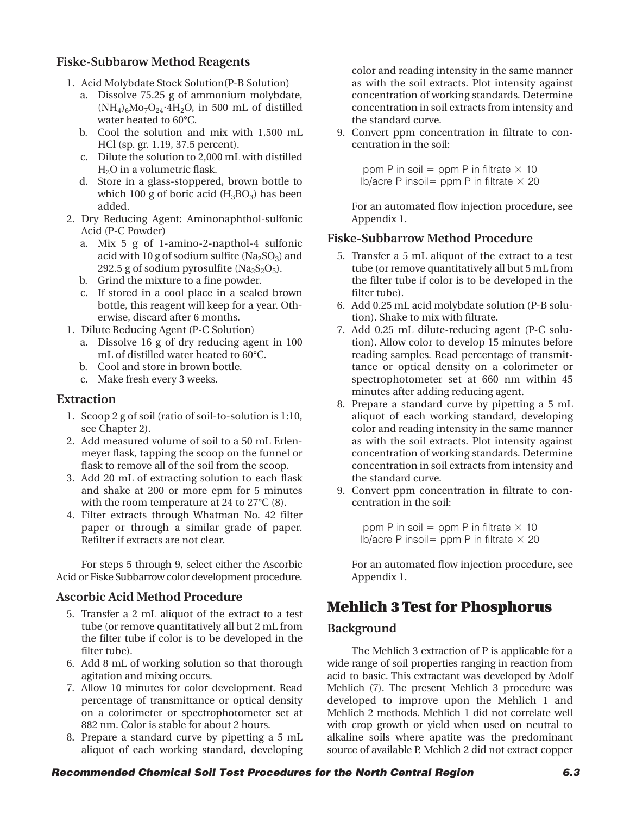## **Fiske-Subbarow Method Reagents**

- 1. Acid Molybdate Stock Solution(P-B Solution)
	- a. Dissolve 75.25 g of ammonium molybdate,  $(NH_4)_6Mo_7O_{24}·4H_2O$ , in 500 mL of distilled water heated to 60°C.
	- b. Cool the solution and mix with 1,500 mL HCl (sp. gr. 1.19, 37.5 percent).
	- c. Dilute the solution to 2,000 mL with distilled H2O in a volumetric flask.
	- d. Store in a glass-stoppered, brown bottle to which 100 g of boric acid  $(H_3BO_3)$  has been added.
- 2. Dry Reducing Agent: Aminonaphthol-sulfonic Acid (P-C Powder)
	- a. Mix 5 g of 1-amino-2-napthol-4 sulfonic acid with 10 g of sodium sulfite  $(Na_2SO_3)$  and 292.5 g of sodium pyrosulfite  $(Na_2S_2O_5)$ .
	- b. Grind the mixture to a fine powder.
	- c. If stored in a cool place in a sealed brown bottle, this reagent will keep for a year. Otherwise, discard after 6 months.
- 1. Dilute Reducing Agent (P-C Solution)
	- a. Dissolve 16 g of dry reducing agent in 100 mL of distilled water heated to 60°C.
	- b. Cool and store in brown bottle.
	- c. Make fresh every 3 weeks.

## **Extraction**

- 1. Scoop 2 g of soil (ratio of soil-to-solution is 1:10, see Chapter 2).
- 2. Add measured volume of soil to a 50 mL Erlenmeyer flask, tapping the scoop on the funnel or flask to remove all of the soil from the scoop.
- 3. Add 20 mL of extracting solution to each flask and shake at 200 or more epm for 5 minutes with the room temperature at 24 to 27°C (8).
- 4. Filter extracts through Whatman No. 42 filter paper or through a similar grade of paper. Refilter if extracts are not clear.

For steps 5 through 9, select either the Ascorbic Acid or Fiske Subbarrow color development procedure.

## **Ascorbic Acid Method Procedure**

- 5. Transfer a 2 mL aliquot of the extract to a test tube (or remove quantitatively all but 2 mL from the filter tube if color is to be developed in the filter tube).
- 6. Add 8 mL of working solution so that thorough agitation and mixing occurs.
- 7. Allow 10 minutes for color development. Read percentage of transmittance or optical density on a colorimeter or spectrophotometer set at 882 nm. Color is stable for about 2 hours.
- 8. Prepare a standard curve by pipetting a 5 mL aliquot of each working standard, developing

color and reading intensity in the same manner as with the soil extracts. Plot intensity against concentration of working standards. Determine concentration in soil extracts from intensity and the standard curve.

9. Convert ppm concentration in filtrate to concentration in the soil:

> ppm P in soil  $=$  ppm P in filtrate  $\times$  10  $\frac{1}{2}$ **b**/acre P insoil= ppm P in filtrate  $\times$  20

For an automated flow injection procedure, see Appendix 1.

## **Fiske-Subbarrow Method Procedure**

- 5. Transfer a 5 mL aliquot of the extract to a test tube (or remove quantitatively all but 5 mL from the filter tube if color is to be developed in the filter tube).
- 6. Add 0.25 mL acid molybdate solution (P-B solution). Shake to mix with filtrate.
- 7. Add 0.25 mL dilute-reducing agent (P-C solution). Allow color to develop 15 minutes before reading samples. Read percentage of transmittance or optical density on a colorimeter or spectrophotometer set at 660 nm within 45 minutes after adding reducing agent.
- 8. Prepare a standard curve by pipetting a 5 mL aliquot of each working standard, developing color and reading intensity in the same manner as with the soil extracts. Plot intensity against concentration of working standards. Determine concentration in soil extracts from intensity and the standard curve.
- 9. Convert ppm concentration in filtrate to concentration in the soil:

ppm P in soil  $=$  ppm P in filtrate  $\times$  10  $\frac{1}{2}$  lb/acre P insoil = ppm P in filtrate  $\times$  20

For an automated flow injection procedure, see Appendix 1.

## **Mehlich 3 Test for Phosphorus**

## **Background**

The Mehlich 3 extraction of P is applicable for a wide range of soil properties ranging in reaction from acid to basic. This extractant was developed by Adolf Mehlich (7). The present Mehlich 3 procedure was developed to improve upon the Mehlich 1 and Mehlich 2 methods. Mehlich 1 did not correlate well with crop growth or yield when used on neutral to alkaline soils where apatite was the predominant source of available P. Mehlich 2 did not extract copper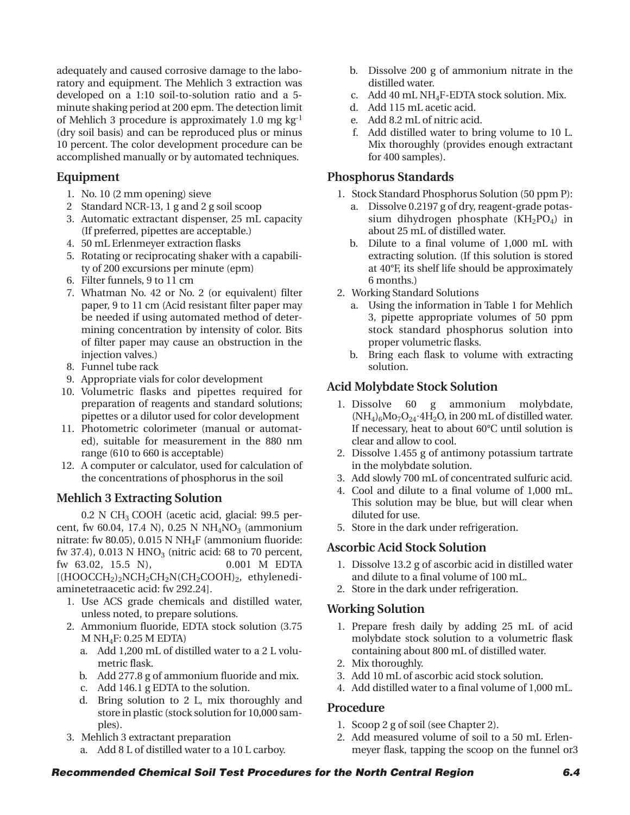adequately and caused corrosive damage to the laboratory and equipment. The Mehlich 3 extraction was developed on a 1:10 soil-to-solution ratio and a 5 minute shaking period at 200 epm. The detection limit of Mehlich 3 procedure is approximately 1.0 mg kg-1 (dry soil basis) and can be reproduced plus or minus 10 percent. The color development procedure can be accomplished manually or by automated techniques.

## **Equipment**

- 1. No. 10 (2 mm opening) sieve
- 2 Standard NCR-13, 1 g and 2 g soil scoop
- 3. Automatic extractant dispenser, 25 mL capacity (If preferred, pipettes are acceptable.)
- 4. 50 mL Erlenmeyer extraction flasks
- 5. Rotating or reciprocating shaker with a capability of 200 excursions per minute (epm)
- 6. Filter funnels, 9 to 11 cm
- 7. Whatman No. 42 or No. 2 (or equivalent) filter paper, 9 to 11 cm (Acid resistant filter paper may be needed if using automated method of determining concentration by intensity of color. Bits of filter paper may cause an obstruction in the injection valves.)
- 8. Funnel tube rack
- 9. Appropriate vials for color development
- 10. Volumetric flasks and pipettes required for preparation of reagents and standard solutions; pipettes or a dilutor used for color development
- 11. Photometric colorimeter (manual or automated), suitable for measurement in the 880 nm range (610 to 660 is acceptable)
- 12. A computer or calculator, used for calculation of the concentrations of phosphorus in the soil

## **Mehlich 3 Extracting Solution**

 $0.2$  N CH<sub>3</sub> COOH (acetic acid, glacial: 99.5 percent, fw 60.04, 17.4 N), 0.25 N  $NH_4NO_3$  (ammonium nitrate: fw 80.05), 0.015 N NH<sub>4</sub>F (ammonium fluoride: fw 37.4), 0.013 N  $HNO<sub>3</sub>$  (nitric acid: 68 to 70 percent, fw 63.02, 15.5 N), 0.001 M EDTA  $[(HOOCCH<sub>2</sub>)<sub>2</sub>NCH<sub>2</sub>CH<sub>2</sub>N(CH<sub>2</sub>COOH)<sub>2</sub>, ethylenedi$ aminetetraacetic acid: fw 292.24].

- 1. Use ACS grade chemicals and distilled water, unless noted, to prepare solutions.
- 2. Ammonium fluoride, EDTA stock solution (3.75  $M NH<sub>4</sub>F: 0.25 M EDTA$ 
	- a. Add 1,200 mL of distilled water to a 2 L volumetric flask.
	- b. Add 277.8 g of ammonium fluoride and mix.
	- c. Add 146.1 g EDTA to the solution.
	- d. Bring solution to 2 L, mix thoroughly and store in plastic (stock solution for 10,000 samples).
- 3. Mehlich 3 extractant preparation
	- a. Add 8 L of distilled water to a 10 L carboy.
- b. Dissolve 200 g of ammonium nitrate in the distilled water.
- c. Add 40 mL NH4F-EDTA stock solution. Mix.
- d. Add 115 mL acetic acid.
- e. Add 8.2 mL of nitric acid.
- f. Add distilled water to bring volume to 10 L. Mix thoroughly (provides enough extractant for 400 samples).

## **Phosphorus Standards**

- 1. Stock Standard Phosphorus Solution (50 ppm P):
	- a. Dissolve 0.2197 g of dry, reagent-grade potassium dihydrogen phosphate  $(KH_2PO_4)$  in about 25 mL of distilled water.
	- b. Dilute to a final volume of 1,000 mL with extracting solution. (If this solution is stored at 40°F, its shelf life should be approximately 6 months.)
- 2. Working Standard Solutions
	- a. Using the information in Table 1 for Mehlich 3, pipette appropriate volumes of 50 ppm stock standard phosphorus solution into proper volumetric flasks.
	- b. Bring each flask to volume with extracting solution.

## **Acid Molybdate Stock Solution**

- 1. Dissolve 60 g ammonium molybdate, (NH4)6Mo7O24**•**4H2O, in 200 mL of distilled water. If necessary, heat to about 60°C until solution is clear and allow to cool.
- 2. Dissolve 1.455 g of antimony potassium tartrate in the molybdate solution.
- 3. Add slowly 700 mL of concentrated sulfuric acid.
- 4. Cool and dilute to a final volume of 1,000 mL. This solution may be blue, but will clear when diluted for use.
- 5. Store in the dark under refrigeration.

## **Ascorbic Acid Stock Solution**

- 1. Dissolve 13.2 g of ascorbic acid in distilled water and dilute to a final volume of 100 mL.
- 2. Store in the dark under refrigeration.

## **Working Solution**

- 1. Prepare fresh daily by adding 25 mL of acid molybdate stock solution to a volumetric flask containing about 800 mL of distilled water.
- 2. Mix thoroughly.
- 3. Add 10 mL of ascorbic acid stock solution.
- 4. Add distilled water to a final volume of 1,000 mL.

## **Procedure**

- 1. Scoop 2 g of soil (see Chapter 2).
- 2. Add measured volume of soil to a 50 mL Erlenmeyer flask, tapping the scoop on the funnel or3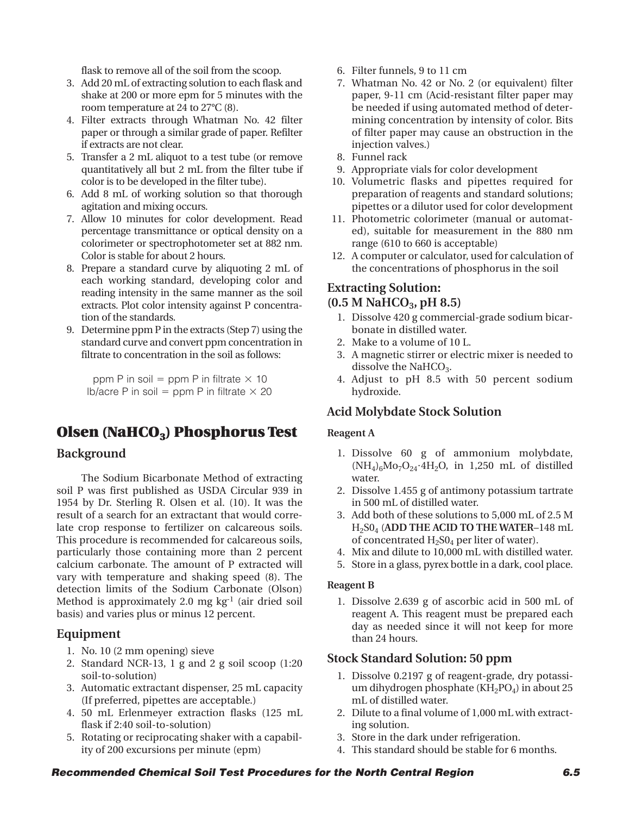flask to remove all of the soil from the scoop.

- 3. Add 20 mL of extracting solution to each flask and shake at 200 or more epm for 5 minutes with the room temperature at 24 to 27°C (8).
- 4. Filter extracts through Whatman No. 42 filter paper or through a similar grade of paper. Refilter if extracts are not clear.
- 5. Transfer a 2 mL aliquot to a test tube (or remove quantitatively all but 2 mL from the filter tube if color is to be developed in the filter tube).
- 6. Add 8 mL of working solution so that thorough agitation and mixing occurs.
- 7. Allow 10 minutes for color development. Read percentage transmittance or optical density on a colorimeter or spectrophotometer set at 882 nm. Color is stable for about 2 hours.
- 8. Prepare a standard curve by aliquoting 2 mL of each working standard, developing color and reading intensity in the same manner as the soil extracts. Plot color intensity against P concentration of the standards.
- 9. Determine ppm P in the extracts (Step 7) using the standard curve and convert ppm concentration in filtrate to concentration in the soil as follows:

ppm P in soil  $=$  ppm P in filtrate  $\times$  10 lb/acre P in soil =  $ppm$  P in filtrate  $\times$  20

## **Olsen (NaHCO<sub>3</sub>) Phosphorus Test**

## **Background**

The Sodium Bicarbonate Method of extracting soil P was first published as USDA Circular 939 in 1954 by Dr. Sterling R. Olsen et al. (10). It was the result of a search for an extractant that would correlate crop response to fertilizer on calcareous soils. This procedure is recommended for calcareous soils, particularly those containing more than 2 percent calcium carbonate. The amount of P extracted will vary with temperature and shaking speed (8). The detection limits of the Sodium Carbonate (Olson) Method is approximately 2.0 mg  $kg<sup>-1</sup>$  (air dried soil basis) and varies plus or minus 12 percent.

## **Equipment**

- 1. No. 10 (2 mm opening) sieve
- 2. Standard NCR-13, 1 g and 2 g soil scoop (1:20 soil-to-solution)
- 3. Automatic extractant dispenser, 25 mL capacity (If preferred, pipettes are acceptable.)
- 4. 50 mL Erlenmeyer extraction flasks (125 mL flask if 2:40 soil-to-solution)
- 5. Rotating or reciprocating shaker with a capability of 200 excursions per minute (epm)
- 6. Filter funnels, 9 to 11 cm
- 7. Whatman No. 42 or No. 2 (or equivalent) filter paper, 9-11 cm (Acid-resistant filter paper may be needed if using automated method of determining concentration by intensity of color. Bits of filter paper may cause an obstruction in the injection valves.)
- 8. Funnel rack
- 9. Appropriate vials for color development
- 10. Volumetric flasks and pipettes required for preparation of reagents and standard solutions; pipettes or a dilutor used for color development
- 11. Photometric colorimeter (manual or automated), suitable for measurement in the 880 nm range (610 to 660 is acceptable)
- 12. A computer or calculator, used for calculation of the concentrations of phosphorus in the soil

## **Extracting Solution:**

#### (0.5 M NaHCO<sub>3</sub>, pH 8.5)

- 1. Dissolve 420 g commercial-grade sodium bicarbonate in distilled water.
- 2. Make to a volume of 10 L.
- 3. A magnetic stirrer or electric mixer is needed to dissolve the NaHC $O<sub>3</sub>$ .
- 4. Adjust to pH 8.5 with 50 percent sodium hydroxide.

## **Acid Molybdate Stock Solution**

#### **Reagent A**

- 1. Dissolve 60 g of ammonium molybdate, (NH4)6Mo7O24**•**4H2O, in 1,250 mL of distilled water.
- 2. Dissolve 1.455 g of antimony potassium tartrate in 500 mL of distilled water.
- 3. Add both of these solutions to 5,000 mL of 2.5 M H2S04 (**ADD THE ACID TO THE WATER**–148 mL of concentrated  $H_2SO_4$  per liter of water).
- 4. Mix and dilute to 10,000 mL with distilled water.
- 5. Store in a glass, pyrex bottle in a dark, cool place.

#### **Reagent B**

1. Dissolve 2.639 g of ascorbic acid in 500 mL of reagent A. This reagent must be prepared each day as needed since it will not keep for more than 24 hours.

## **Stock Standard Solution: 50 ppm**

- 1. Dissolve 0.2197 g of reagent-grade, dry potassium dihydrogen phosphate ( $KH<sub>2</sub>PO<sub>4</sub>$ ) in about 25 mL of distilled water.
- 2. Dilute to a final volume of 1,000 mL with extracting solution.
- 3. Store in the dark under refrigeration.
- 4. This standard should be stable for 6 months.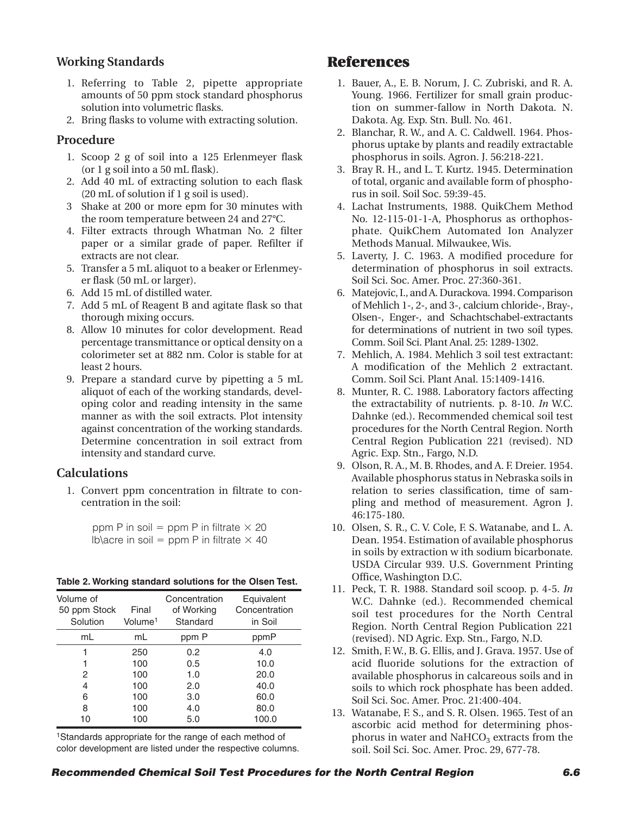## **Working Standards**

- 1. Referring to Table 2, pipette appropriate amounts of 50 ppm stock standard phosphorus solution into volumetric flasks.
- 2. Bring flasks to volume with extracting solution.

#### **Procedure**

- 1. Scoop 2 g of soil into a 125 Erlenmeyer flask (or 1 g soil into a 50 mL flask).
- 2. Add 40 mL of extracting solution to each flask (20 mL of solution if 1 g soil is used).
- 3 Shake at 200 or more epm for 30 minutes with the room temperature between 24 and 27°C.
- 4. Filter extracts through Whatman No. 2 filter paper or a similar grade of paper. Refilter if extracts are not clear.
- 5. Transfer a 5 mL aliquot to a beaker or Erlenmeyer flask (50 mL or larger).
- 6. Add 15 mL of distilled water.
- 7. Add 5 mL of Reagent B and agitate flask so that thorough mixing occurs.
- 8. Allow 10 minutes for color development. Read percentage transmittance or optical density on a colorimeter set at 882 nm. Color is stable for at least 2 hours.
- 9. Prepare a standard curve by pipetting a 5 mL aliquot of each of the working standards, developing color and reading intensity in the same manner as with the soil extracts. Plot intensity against concentration of the working standards. Determine concentration in soil extract from intensity and standard curve.

#### **Calculations**

1. Convert ppm concentration in filtrate to concentration in the soil:

| ppm P in soil = ppm P in filtrate $\times$ 20   |  |  |  |  |  |
|-------------------------------------------------|--|--|--|--|--|
| Ib\acre in soil = ppm P in filtrate $\times$ 40 |  |  |  |  |  |

|  |  | Table 2. Working standard solutions for the Olsen Test. |  |  |
|--|--|---------------------------------------------------------|--|--|
|  |  |                                                         |  |  |

| Volume of<br>50 ppm Stock<br>Solution | Final<br>Volume <sup>1</sup> | Concentration<br>of Working<br>Standard | Equivalent<br>Concentration<br>in Soil |
|---------------------------------------|------------------------------|-----------------------------------------|----------------------------------------|
| mL                                    | mL                           | ppm P                                   | ppmP                                   |
|                                       | 250                          | 0.2                                     | 4.0                                    |
|                                       | 100                          | 0.5                                     | 10.0                                   |
| 2                                     | 100                          | 1.0                                     | 20.0                                   |
| 4                                     | 100                          | 2.0                                     | 40.0                                   |
| 6                                     | 100                          | 3.0                                     | 60.0                                   |
| 8                                     | 100                          | 4.0                                     | 80.0                                   |
| 10                                    | 100                          | 5.0                                     | 100.0                                  |

1Standards appropriate for the range of each method of color development are listed under the respective columns.

## **References**

- 1. Bauer, A., E. B. Norum, J. C. Zubriski, and R. A. Young. 1966. Fertilizer for small grain production on summer-fallow in North Dakota. N. Dakota. Ag. Exp. Stn. Bull. No. 461.
- 2. Blanchar, R. W., and A. C. Caldwell. 1964. Phosphorus uptake by plants and readily extractable phosphorus in soils. Agron. J. 56:218-221.
- 3. Bray R. H., and L. T. Kurtz. 1945. Determination of total, organic and available form of phosphorus in soil. Soil Soc. 59:39-45.
- 4. Lachat Instruments, 1988. QuikChem Method No. 12-115-01-1-A, Phosphorus as orthophosphate. QuikChem Automated Ion Analyzer Methods Manual. Milwaukee, Wis.
- 5. Laverty, J. C. 1963. A modified procedure for determination of phosphorus in soil extracts. Soil Sci. Soc. Amer. Proc. 27:360-361.
- 6. Matejovic, I., and A. Durackova. 1994. Comparison of Mehlich 1-, 2-, and 3-, calcium chloride-, Bray-, Olsen-, Enger-, and Schachtschabel-extractants for determinations of nutrient in two soil types. Comm. Soil Sci. Plant Anal. 25: 1289-1302.
- 7. Mehlich, A. 1984. Mehlich 3 soil test extractant: A modification of the Mehlich 2 extractant. Comm. Soil Sci. Plant Anal. 15:1409-1416.
- 8. Munter, R. C. 1988. Laboratory factors affecting the extractability of nutrients. p. 8-10. *In* W.C. Dahnke (ed.). Recommended chemical soil test procedures for the North Central Region. North Central Region Publication 221 (revised). ND Agric. Exp. Stn., Fargo, N.D.
- 9. Olson, R. A., M. B. Rhodes, and A. F. Dreier. 1954. Available phosphorus status in Nebraska soils in relation to series classification, time of sampling and method of measurement. Agron J. 46:175-180.
- 10. Olsen, S. R., C. V. Cole, F. S. Watanabe, and L. A. Dean. 1954. Estimation of available phosphorus in soils by extraction w ith sodium bicarbonate. USDA Circular 939. U.S. Government Printing Office, Washington D.C.
- 11. Peck, T. R. 1988. Standard soil scoop. p. 4-5. *In* W.C. Dahnke (ed.). Recommended chemical soil test procedures for the North Central Region. North Central Region Publication 221 (revised). ND Agric. Exp. Stn., Fargo, N.D.
- 12. Smith, F. W., B. G. Ellis, and J. Grava. 1957. Use of acid fluoride solutions for the extraction of available phosphorus in calcareous soils and in soils to which rock phosphate has been added. Soil Sci. Soc. Amer. Proc. 21:400-404.
- 13. Watanabe, F. S., and S. R. Olsen. 1965. Test of an ascorbic acid method for determining phosphorus in water and  $NaHCO<sub>3</sub>$  extracts from the soil. Soil Sci. Soc. Amer. Proc. 29, 677-78.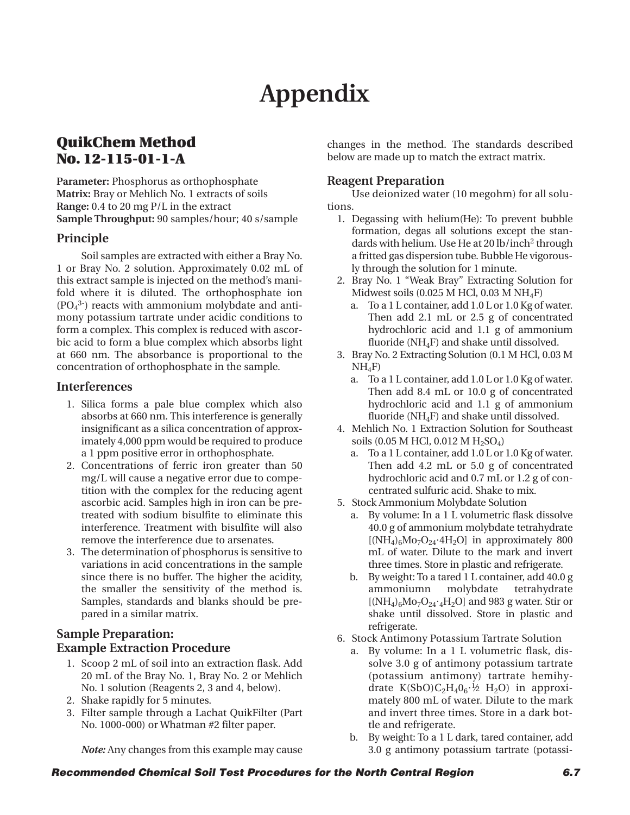# **Appendix**

## **QuikChem Method No. 12-115-01-1-A**

**Parameter:** Phosphorus as orthophosphate **Matrix:** Bray or Mehlich No. 1 extracts of soils **Range:** 0.4 to 20 mg P/L in the extract **Sample Throughput:** 90 samples/hour; 40 s/sample

#### **Principle**

Soil samples are extracted with either a Bray No. 1 or Bray No. 2 solution. Approximately 0.02 mL of this extract sample is injected on the method's manifold where it is diluted. The orthophosphate ion  $(PO<sub>4</sub><sup>3</sup>)$  reacts with ammonium molybdate and antimony potassium tartrate under acidic conditions to form a complex. This complex is reduced with ascorbic acid to form a blue complex which absorbs light at 660 nm. The absorbance is proportional to the concentration of orthophosphate in the sample.

#### **Interferences**

- 1. Silica forms a pale blue complex which also absorbs at 660 nm. This interference is generally insignificant as a silica concentration of approximately 4,000 ppm would be required to produce a 1 ppm positive error in orthophosphate.
- 2. Concentrations of ferric iron greater than 50 mg/L will cause a negative error due to competition with the complex for the reducing agent ascorbic acid. Samples high in iron can be pretreated with sodium bisulfite to eliminate this interference. Treatment with bisulfite will also remove the interference due to arsenates.
- 3. The determination of phosphorus is sensitive to variations in acid concentrations in the sample since there is no buffer. The higher the acidity, the smaller the sensitivity of the method is. Samples, standards and blanks should be prepared in a similar matrix.

## **Sample Preparation: Example Extraction Procedure**

- 1. Scoop 2 mL of soil into an extraction flask. Add 20 mL of the Bray No. 1, Bray No. 2 or Mehlich No. 1 solution (Reagents 2, 3 and 4, below).
- 2. Shake rapidly for 5 minutes.
- 3. Filter sample through a Lachat QuikFilter (Part No. 1000-000) or Whatman #2 filter paper.

changes in the method. The standards described below are made up to match the extract matrix.

#### **Reagent Preparation**

Use deionized water (10 megohm) for all solutions.

- 1. Degassing with helium(He): To prevent bubble formation, degas all solutions except the standards with helium. Use He at 20 lb/inch<sup>2</sup> through a fritted gas dispersion tube. Bubble He vigorously through the solution for 1 minute.
- 2. Bray No. 1 "Weak Bray" Extracting Solution for Midwest soils (0.025 M HCl, 0.03 M NH<sub>4</sub>F)
	- a. To a 1 L container, add 1.0 L or 1.0 Kg of water. Then add 2.1 mL or 2.5 g of concentrated hydrochloric acid and 1.1 g of ammonium fluoride ( $NH<sub>4</sub>F$ ) and shake until dissolved.
- 3. Bray No. 2 Extracting Solution (0.1 M HCl, 0.03 M  $NH<sub>4</sub>F$ 
	- a. To a 1 L container, add 1.0 L or 1.0 Kg of water. Then add 8.4 mL or 10.0 g of concentrated hydrochloric acid and 1.1 g of ammonium fluoride ( $NH_4F$ ) and shake until dissolved.
- 4. Mehlich No. 1 Extraction Solution for Southeast soils (0.05 M HCl, 0.012 M H<sub>2</sub>SO<sub>4</sub>)
	- a. To a 1 L container, add 1.0 L or 1.0 Kg of water. Then add 4.2 mL or 5.0 g of concentrated hydrochloric acid and 0.7 mL or 1.2 g of concentrated sulfuric acid. Shake to mix.
- 5. Stock Ammonium Molybdate Solution
	- a. By volume: In a 1 L volumetric flask dissolve 40.0 g of ammonium molybdate tetrahydrate  $[(NH_4)_6Mo_7O_{24}·4H_2O]$  in approximately 800 mL of water. Dilute to the mark and invert three times. Store in plastic and refrigerate.
	- b. By weight: To a tared 1 L container, add 40.0 g ammoniumn molybdate tetrahydrate  $[(NH_4)_6Mo_7O_{24} \cdot {}_4H_2O]$  and 983 g water. Stir or shake until dissolved. Store in plastic and refrigerate.
- 6. Stock Antimony Potassium Tartrate Solution
	- a. By volume: In a 1 L volumetric flask, dissolve 3.0 g of antimony potassium tartrate (potassium antimony) tartrate hemihydrate K(SbO)C<sub>2</sub>H<sub>4</sub>0<sub>6</sub>·½ H<sub>2</sub>O) in approximately 800 mL of water. Dilute to the mark and invert three times. Store in a dark bottle and refrigerate.
	- b. By weight: To a 1 L dark, tared container, add 3.0 g antimony potassium tartrate (potassi-

*Note:* Any changes from this example may cause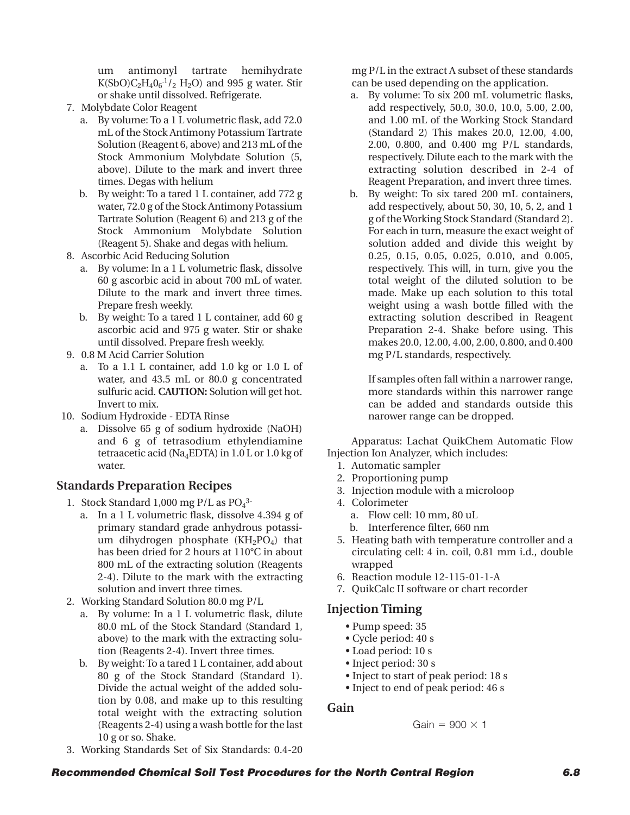um antimonyl tartrate hemihydrate  $K(SbO)C_2H_4O_6^{-1}/_2H_2O$  and 995 g water. Stir or shake until dissolved. Refrigerate.

- 7. Molybdate Color Reagent
	- a. By volume: To a 1 L volumetric flask, add 72.0 mL of the Stock Antimony Potassium Tartrate Solution (Reagent 6, above) and 213 mL of the Stock Ammonium Molybdate Solution (5, above). Dilute to the mark and invert three times. Degas with helium
	- b. By weight: To a tared 1 L container, add 772 g water, 72.0 g of the Stock Antimony Potassium Tartrate Solution (Reagent 6) and 213 g of the Stock Ammonium Molybdate Solution (Reagent 5). Shake and degas with helium.
- 8. Ascorbic Acid Reducing Solution
	- a. By volume: In a 1 L volumetric flask, dissolve 60 g ascorbic acid in about 700 mL of water. Dilute to the mark and invert three times. Prepare fresh weekly.
	- b. By weight: To a tared 1 L container, add 60 g ascorbic acid and 975 g water. Stir or shake until dissolved. Prepare fresh weekly.
- 9. 0.8 M Acid Carrier Solution
	- a. To a 1.1 L container, add 1.0 kg or 1.0 L of water, and 43.5 mL or 80.0 g concentrated sulfuric acid. **CAUTION:** Solution will get hot. Invert to mix.
- 10. Sodium Hydroxide EDTA Rinse
	- a. Dissolve 65 g of sodium hydroxide (NaOH) and 6 g of tetrasodium ethylendiamine tetraacetic acid (Na4EDTA) in 1.0 L or 1.0 kg of water.

## **Standards Preparation Recipes**

- 1. Stock Standard 1,000 mg P/L as  $PO<sub>4</sub><sup>3</sup>$ 
	- a. In a 1 L volumetric flask, dissolve 4.394 g of primary standard grade anhydrous potassium dihydrogen phosphate  $(KH_2PO_4)$  that has been dried for 2 hours at 110°C in about 800 mL of the extracting solution (Reagents 2-4). Dilute to the mark with the extracting solution and invert three times.
- 2. Working Standard Solution 80.0 mg P/L
	- a. By volume: In a 1 L volumetric flask, dilute 80.0 mL of the Stock Standard (Standard 1, above) to the mark with the extracting solution (Reagents 2-4). Invert three times.
	- b. By weight: To a tared 1 L container, add about 80 g of the Stock Standard (Standard 1). Divide the actual weight of the added solution by 0.08, and make up to this resulting total weight with the extracting solution (Reagents 2-4) using a wash bottle for the last 10 g or so. Shake.

mg P/L in the extract A subset of these standards can be used depending on the application.

- a. By volume: To six 200 mL volumetric flasks, add respectively, 50.0, 30.0, 10.0, 5.00, 2.00, and 1.00 mL of the Working Stock Standard (Standard 2) This makes 20.0, 12.00, 4.00, 2.00, 0.800, and 0.400 mg P/L standards, respectively. Dilute each to the mark with the extracting solution described in 2-4 of Reagent Preparation, and invert three times.
- b. By weight: To six tared 200 mL containers, add respectively, about 50, 30, 10, 5, 2, and 1 g of the Working Stock Standard (Standard 2). For each in turn, measure the exact weight of solution added and divide this weight by 0.25, 0.15, 0.05, 0.025, 0.010, and 0.005, respectively. This will, in turn, give you the total weight of the diluted solution to be made. Make up each solution to this total weight using a wash bottle filled with the extracting solution described in Reagent Preparation 2-4. Shake before using. This makes 20.0, 12.00, 4.00, 2.00, 0.800, and 0.400 mg P/L standards, respectively.

If samples often fall within a narrower range, more standards within this narrower range can be added and standards outside this narower range can be dropped.

Apparatus: Lachat QuikChem Automatic Flow Injection Ion Analyzer, which includes:

- 1. Automatic sampler
- 2. Proportioning pump
- 3. Injection module with a microloop
- 4. Colorimeter
	- a. Flow cell: 10 mm, 80 uL
	- b. Interference filter, 660 nm
- 5. Heating bath with temperature controller and a circulating cell: 4 in. coil, 0.81 mm i.d., double wrapped
- 6. Reaction module 12-115-01-1-A
- 7. QuikCalc II software or chart recorder

## **Injection Timing**

- Pump speed: 35
- Cycle period: 40 s
- Load period: 10 s
- Inject period: 30 s
- Inject to start of peak period: 18 s
- Inject to end of peak period: 46 s

## **Gain**

$$
Gain = 900 \times 1
$$

3. Working Standards Set of Six Standards: 0.4-20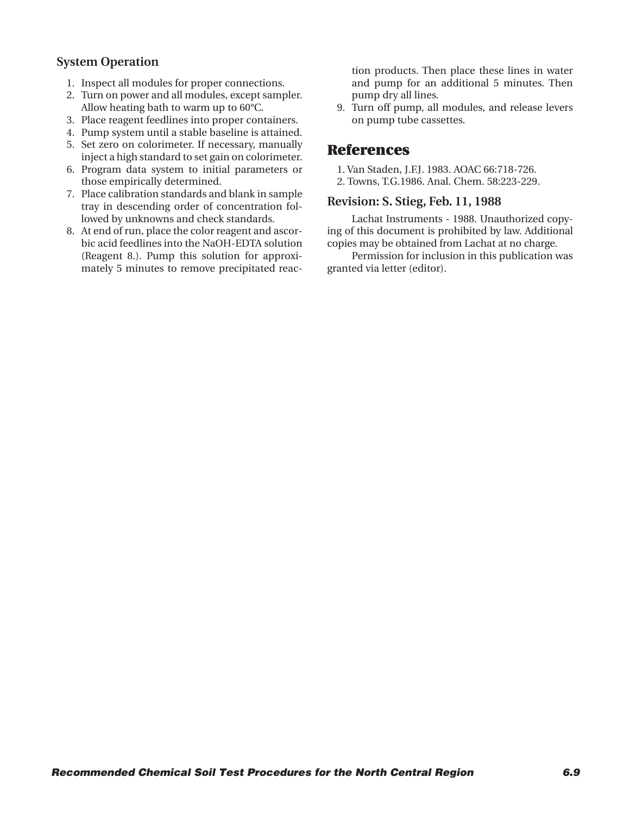## **System Operation**

- 1. Inspect all modules for proper connections.
- 2. Turn on power and all modules, except sampler. Allow heating bath to warm up to 60°C.
- 3. Place reagent feedlines into proper containers.
- 4. Pump system until a stable baseline is attained.
- 5. Set zero on colorimeter. If necessary, manually inject a high standard to set gain on colorimeter.
- 6. Program data system to initial parameters or those empirically determined.
- 7. Place calibration standards and blank in sample tray in descending order of concentration followed by unknowns and check standards.
- 8. At end of run, place the color reagent and ascorbic acid feedlines into the NaOH-EDTA solution (Reagent 8.). Pump this solution for approximately 5 minutes to remove precipitated reac-

tion products. Then place these lines in water and pump for an additional 5 minutes. Then pump dry all lines.

9. Turn off pump, all modules, and release levers on pump tube cassettes.

## **References**

- 1. Van Staden, J.F.J. 1983. AOAC 66:718-726.
- 2. Towns, T.G.1986. Anal. Chem. 58:223-229.

#### **Revision: S. Stieg, Feb. 11, 1988**

Lachat Instruments - 1988. Unauthorized copying of this document is prohibited by law. Additional copies may be obtained from Lachat at no charge.

Permission for inclusion in this publication was granted via letter (editor).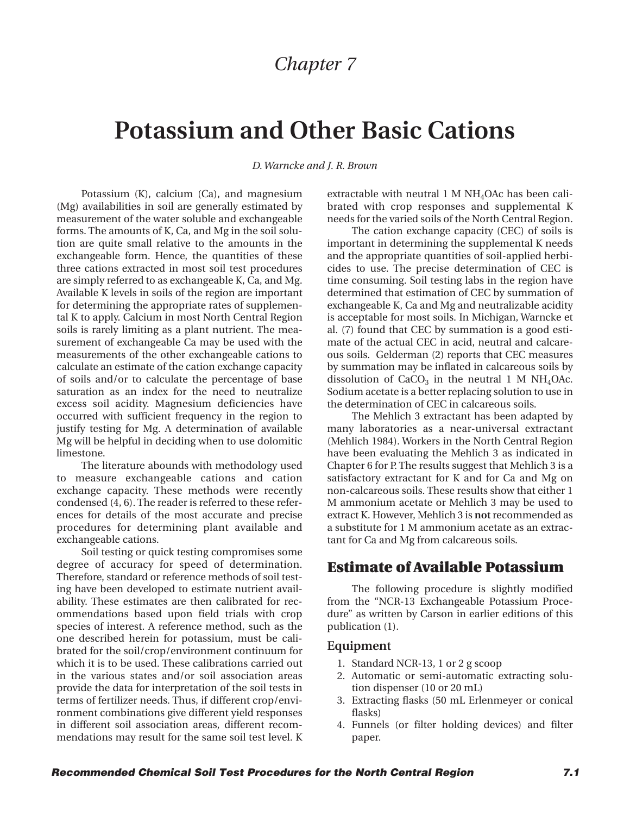## *Chapter 7*

# **Potassium and Other Basic Cations**

*D. Warncke and J. R. Brown*

Potassium (K), calcium (Ca), and magnesium (Mg) availabilities in soil are generally estimated by measurement of the water soluble and exchangeable forms. The amounts of K, Ca, and Mg in the soil solution are quite small relative to the amounts in the exchangeable form. Hence, the quantities of these three cations extracted in most soil test procedures are simply referred to as exchangeable K, Ca, and Mg. Available K levels in soils of the region are important for determining the appropriate rates of supplemental K to apply. Calcium in most North Central Region soils is rarely limiting as a plant nutrient. The measurement of exchangeable Ca may be used with the measurements of the other exchangeable cations to calculate an estimate of the cation exchange capacity of soils and/or to calculate the percentage of base saturation as an index for the need to neutralize excess soil acidity. Magnesium deficiencies have occurred with sufficient frequency in the region to justify testing for Mg. A determination of available Mg will be helpful in deciding when to use dolomitic limestone.

The literature abounds with methodology used to measure exchangeable cations and cation exchange capacity. These methods were recently condensed (4, 6). The reader is referred to these references for details of the most accurate and precise procedures for determining plant available and exchangeable cations.

Soil testing or quick testing compromises some degree of accuracy for speed of determination. Therefore, standard or reference methods of soil testing have been developed to estimate nutrient availability. These estimates are then calibrated for recommendations based upon field trials with crop species of interest. A reference method, such as the one described herein for potassium, must be calibrated for the soil/crop/environment continuum for which it is to be used. These calibrations carried out in the various states and/or soil association areas provide the data for interpretation of the soil tests in terms of fertilizer needs. Thus, if different crop/environment combinations give different yield responses in different soil association areas, different recommendations may result for the same soil test level. K

extractable with neutral  $1 M NH<sub>4</sub>OAC$  has been calibrated with crop responses and supplemental K needs for the varied soils of the North Central Region.

The cation exchange capacity (CEC) of soils is important in determining the supplemental K needs and the appropriate quantities of soil-applied herbicides to use. The precise determination of CEC is time consuming. Soil testing labs in the region have determined that estimation of CEC by summation of exchangeable K, Ca and Mg and neutralizable acidity is acceptable for most soils. In Michigan, Warncke et al. (7) found that CEC by summation is a good estimate of the actual CEC in acid, neutral and calcareous soils. Gelderman (2) reports that CEC measures by summation may be inflated in calcareous soils by dissolution of  $CaCO<sub>3</sub>$  in the neutral 1 M NH<sub>4</sub>OAc. Sodium acetate is a better replacing solution to use in the determination of CEC in calcareous soils.

The Mehlich 3 extractant has been adapted by many laboratories as a near-universal extractant (Mehlich 1984). Workers in the North Central Region have been evaluating the Mehlich 3 as indicated in Chapter 6 for P. The results suggest that Mehlich 3 is a satisfactory extractant for K and for Ca and Mg on non-calcareous soils. These results show that either 1 M ammonium acetate or Mehlich 3 may be used to extract K. However, Mehlich 3 is **not**recommended as a substitute for 1 M ammonium acetate as an extractant for Ca and Mg from calcareous soils.

## **Estimate of Available Potassium**

The following procedure is slightly modified from the "NCR-13 Exchangeable Potassium Procedure" as written by Carson in earlier editions of this publication (1).

#### **Equipment**

- 1. Standard NCR-13, 1 or 2 g scoop
- 2. Automatic or semi-automatic extracting solution dispenser (10 or 20 mL)
- 3. Extracting flasks (50 mL Erlenmeyer or conical flasks)
- 4. Funnels (or filter holding devices) and filter paper.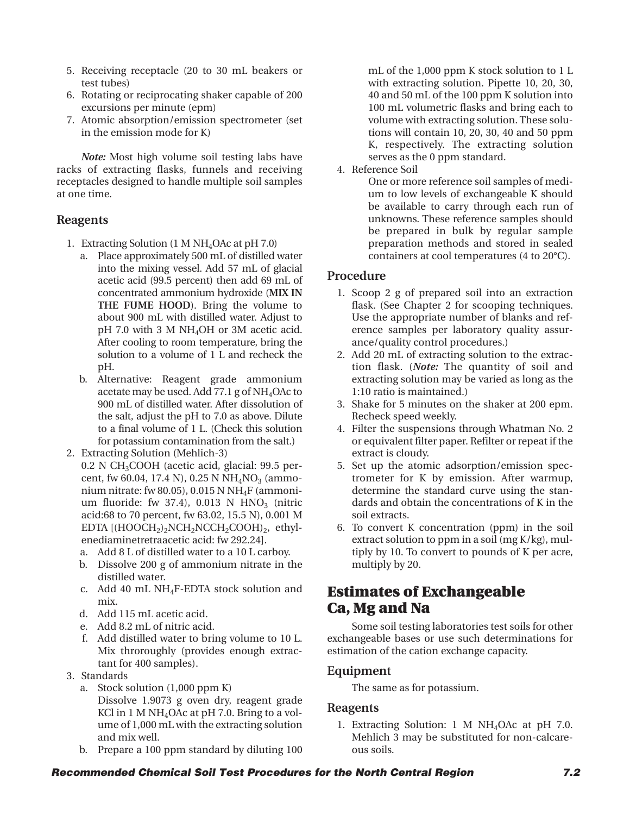- 5. Receiving receptacle (20 to 30 mL beakers or test tubes)
- 6. Rotating or reciprocating shaker capable of 200 excursions per minute (epm)
- 7. Atomic absorption/emission spectrometer (set in the emission mode for K)

*Note:* Most high volume soil testing labs have racks of extracting flasks, funnels and receiving receptacles designed to handle multiple soil samples at one time.

## **Reagents**

- 1. Extracting Solution (1 M NH4OAc at pH 7.0)
	- a. Place approximately 500 mL of distilled water into the mixing vessel. Add 57 mL of glacial acetic acid (99.5 percent) then add 69 mL of concentrated ammonium hydroxide (**MIX IN THE FUME HOOD**). Bring the volume to about 900 mL with distilled water. Adjust to pH 7.0 with 3 M NH4OH or 3M acetic acid. After cooling to room temperature, bring the solution to a volume of 1 L and recheck the pH.
	- b. Alternative: Reagent grade ammonium acetate may be used. Add 77.1 g of  $NH<sub>4</sub>OAC$  to 900 mL of distilled water. After dissolution of the salt, adjust the pH to 7.0 as above. Dilute to a final volume of 1 L. (Check this solution for potassium contamination from the salt.)
- 2. Extracting Solution (Mehlich-3)
	- 0.2 N CH3COOH (acetic acid, glacial: 99.5 percent, fw 60.04, 17.4 N), 0.25 N  $NH_4NO_3$  (ammonium nitrate: fw 80.05), 0.015 N  $NH_4F$  (ammonium fluoride: fw 37.4),  $0.013$  N HNO<sub>3</sub> (nitric acid:68 to 70 percent, fw 63.02, 15.5 N), 0.001 M EDTA  $[(HOOCH<sub>2</sub>)<sub>2</sub>NCH<sub>2</sub>NCCH<sub>2</sub>COOH)<sub>2</sub>$ , ethylenediaminetretraacetic acid: fw 292.24].
	- a. Add 8 L of distilled water to a 10 L carboy.
	- b. Dissolve 200 g of ammonium nitrate in the distilled water.
	- c. Add 40 mL NH4F-EDTA stock solution and mix.
	- d. Add 115 mL acetic acid.
	- e. Add 8.2 mL of nitric acid.
	- f. Add distilled water to bring volume to 10 L. Mix throroughly (provides enough extractant for 400 samples).
- 3. Standards
	- a. Stock solution (1,000 ppm K) Dissolve 1.9073 g oven dry, reagent grade KCl in 1 M NH<sub>4</sub>OAc at pH 7.0. Bring to a volume of 1,000 mL with the extracting solution and mix well.
	- b. Prepare a 100 ppm standard by diluting 100

mL of the 1,000 ppm K stock solution to 1 L with extracting solution. Pipette 10, 20, 30, 40 and 50 mL of the 100 ppm K solution into 100 mL volumetric flasks and bring each to volume with extracting solution. These solutions will contain 10, 20, 30, 40 and 50 ppm K, respectively. The extracting solution serves as the 0 ppm standard.

4. Reference Soil

One or more reference soil samples of medium to low levels of exchangeable K should be available to carry through each run of unknowns. These reference samples should be prepared in bulk by regular sample preparation methods and stored in sealed containers at cool temperatures (4 to 20°C).

## **Procedure**

- 1. Scoop 2 g of prepared soil into an extraction flask. (See Chapter 2 for scooping techniques. Use the appropriate number of blanks and reference samples per laboratory quality assurance/quality control procedures.)
- 2. Add 20 mL of extracting solution to the extraction flask. (*Note:* The quantity of soil and extracting solution may be varied as long as the 1:10 ratio is maintained.)
- 3. Shake for 5 minutes on the shaker at 200 epm. Recheck speed weekly.
- 4. Filter the suspensions through Whatman No. 2 or equivalent filter paper. Refilter or repeat if the extract is cloudy.
- 5. Set up the atomic adsorption/emission spectrometer for K by emission. After warmup, determine the standard curve using the standards and obtain the concentrations of K in the soil extracts.
- 6. To convert K concentration (ppm) in the soil extract solution to ppm in a soil (mg K/kg), multiply by 10. To convert to pounds of K per acre, multiply by 20.

# **Estimates of Exchangeable Ca, Mg and Na**

Some soil testing laboratories test soils for other exchangeable bases or use such determinations for estimation of the cation exchange capacity.

## **Equipment**

The same as for potassium.

#### **Reagents**

1. Extracting Solution: 1 M NH4OAc at pH 7.0. Mehlich 3 may be substituted for non-calcareous soils.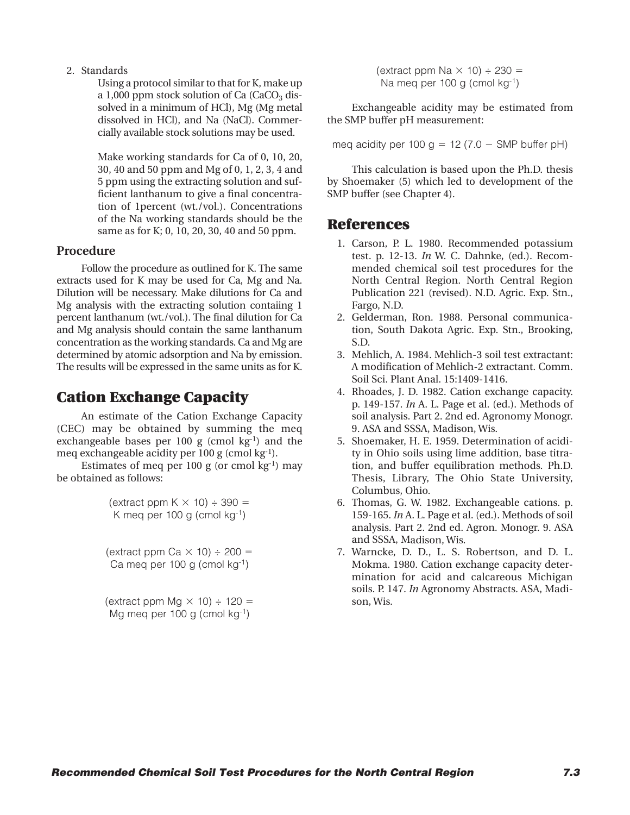#### 2. Standards

Using a protocol similar to that for K, make up a 1,000 ppm stock solution of Ca  $(CaCO<sub>3</sub>$  dissolved in a minimum of HCl), Mg (Mg metal dissolved in HCl), and Na (NaCl). Commercially available stock solutions may be used.

Make working standards for Ca of 0, 10, 20, 30, 40 and 50 ppm and Mg of 0, 1, 2, 3, 4 and 5 ppm using the extracting solution and sufficient lanthanum to give a final concentration of 1percent (wt./vol.). Concentrations of the Na working standards should be the same as for K; 0, 10, 20, 30, 40 and 50 ppm.

#### **Procedure**

Follow the procedure as outlined for K. The same extracts used for K may be used for Ca, Mg and Na. Dilution will be necessary. Make dilutions for Ca and Mg analysis with the extracting solution contaiing 1 percent lanthanum (wt./vol.). The final dilution for Ca and Mg analysis should contain the same lanthanum concentration as the working standards. Ca and Mg are determined by atomic adsorption and Na by emission. The results will be expressed in the same units as for K.

# **Cation Exchange Capacity**

An estimate of the Cation Exchange Capacity (CEC) may be obtained by summing the meq exchangeable bases per 100 g (cmol  $kg^{-1}$ ) and the meq exchangeable acidity per 100 g (cmol kg-1).

Estimates of meq per 100 g (or cmol  $kg^{-1}$ ) may be obtained as follows:

| (extract ppm K $\times$ 10) $\div$ 390 = |  |  |
|------------------------------------------|--|--|
| K meg per 100 g (cmol $kg^{-1}$ )        |  |  |

(extract ppm  $Ca \times 10$ )  $\div 200 =$ Ca meg per 100 g (cmol  $kg^{-1}$ )

(extract ppm  $Mq \times 10$ )  $\div 120 =$ Mg meq per 100 g (cmol kg-1)

(extract ppm  $Na \times 10$ )  $\div$  230 = Na meq per 100 g (cmol kg-1)

Exchangeable acidity may be estimated from the SMP buffer pH measurement:

meg acidity per  $100 g = 12 (7.0 - SMP)$  buffer pH)

This calculation is based upon the Ph.D. thesis by Shoemaker (5) which led to development of the SMP buffer (see Chapter 4).

## **References**

- 1. Carson, P. L. 1980. Recommended potassium test. p. 12-13. *In* W. C. Dahnke, (ed.). Recommended chemical soil test procedures for the North Central Region. North Central Region Publication 221 (revised). N.D. Agric. Exp. Stn., Fargo, N.D.
- 2. Gelderman, Ron. 1988. Personal communication, South Dakota Agric. Exp. Stn., Brooking, S.D.
- 3. Mehlich, A. 1984. Mehlich-3 soil test extractant: A modification of Mehlich-2 extractant. Comm. Soil Sci. Plant Anal. 15:1409-1416.
- 4. Rhoades, J. D. 1982. Cation exchange capacity. p. 149-157. *In* A. L. Page et al. (ed.). Methods of soil analysis. Part 2. 2nd ed. Agronomy Monogr. 9. ASA and SSSA, Madison, Wis.
- 5. Shoemaker, H. E. 1959. Determination of acidity in Ohio soils using lime addition, base titration, and buffer equilibration methods. Ph.D. Thesis, Library, The Ohio State University, Columbus, Ohio.
- 6. Thomas, G. W. 1982. Exchangeable cations. p. 159-165. *In* A. L. Page et al. (ed.). Methods of soil analysis. Part 2. 2nd ed. Agron. Monogr. 9. ASA and SSSA, Madison, Wis.
- 7. Warncke, D. D., L. S. Robertson, and D. L. Mokma. 1980. Cation exchange capacity determination for acid and calcareous Michigan soils. P. 147. *In* Agronomy Abstracts. ASA, Madison, Wis.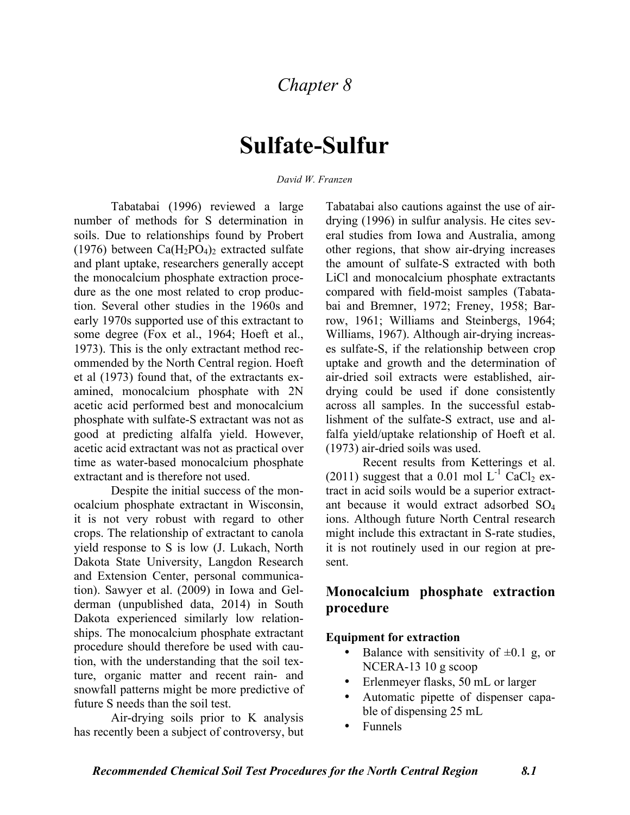# **Sulfate-Sulfur**

#### *David W. Franzen*

Tabatabai (1996) reviewed a large number of methods for S determination in soils. Due to relationships found by Probert (1976) between  $Ca(H_2PO_4)_2$  extracted sulfate and plant uptake, researchers generally accept the monocalcium phosphate extraction procedure as the one most related to crop production. Several other studies in the 1960s and early 1970s supported use of this extractant to some degree (Fox et al., 1964; Hoeft et al., 1973). This is the only extractant method recommended by the North Central region. Hoeft et al (1973) found that, of the extractants examined, monocalcium phosphate with 2N acetic acid performed best and monocalcium phosphate with sulfate-S extractant was not as good at predicting alfalfa yield. However, acetic acid extractant was not as practical over time as water-based monocalcium phosphate extractant and is therefore not used.

Despite the initial success of the monocalcium phosphate extractant in Wisconsin, it is not very robust with regard to other crops. The relationship of extractant to canola yield response to S is low (J. Lukach, North Dakota State University, Langdon Research and Extension Center, personal communication). Sawyer et al. (2009) in Iowa and Gelderman (unpublished data, 2014) in South Dakota experienced similarly low relationships. The monocalcium phosphate extractant procedure should therefore be used with caution, with the understanding that the soil texture, organic matter and recent rain- and snowfall patterns might be more predictive of future S needs than the soil test.

Air-drying soils prior to K analysis has recently been a subject of controversy, but

Tabatabai also cautions against the use of airdrying (1996) in sulfur analysis. He cites several studies from Iowa and Australia, among other regions, that show air-drying increases the amount of sulfate-S extracted with both LiCl and monocalcium phosphate extractants compared with field-moist samples (Tabatabai and Bremner, 1972; Freney, 1958; Barrow, 1961; Williams and Steinbergs, 1964; Williams, 1967). Although air-drying increases sulfate-S, if the relationship between crop uptake and growth and the determination of air-dried soil extracts were established, airdrying could be used if done consistently across all samples. In the successful establishment of the sulfate-S extract, use and alfalfa yield/uptake relationship of Hoeft et al. (1973) air-dried soils was used.

Recent results from Ketterings et al. (2011) suggest that a 0.01 mol  $L^{-1}$  CaCl<sub>2</sub> extract in acid soils would be a superior extractant because it would extract adsorbed SO4 ions. Although future North Central research might include this extractant in S-rate studies, it is not routinely used in our region at present.

## **Monocalcium phosphate extraction procedure**

#### **Equipment for extraction**

- Balance with sensitivity of  $\pm 0.1$  g, or NCERA-13 10 g scoop
- Erlenmeyer flasks, 50 mL or larger
- Automatic pipette of dispenser capable of dispensing 25 mL
- Funnels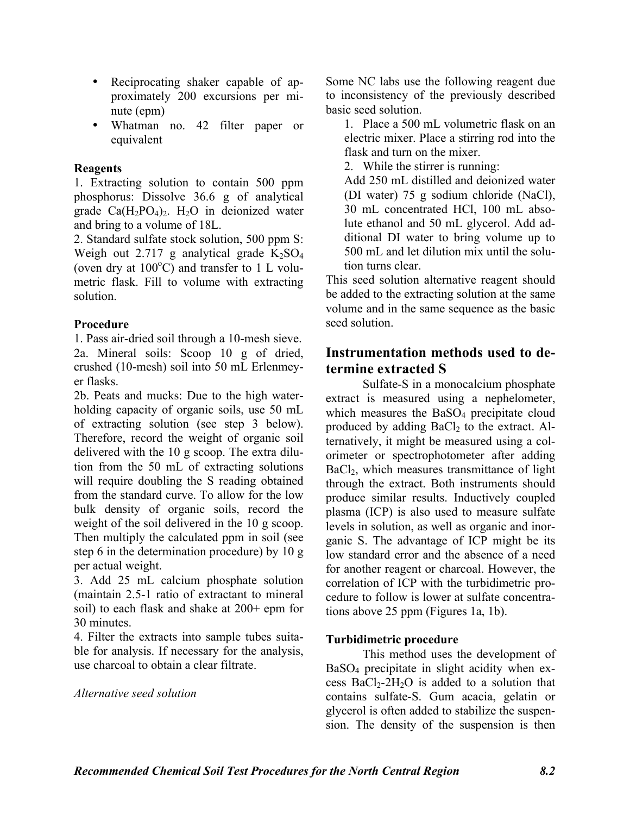- Reciprocating shaker capable of approximately 200 excursions per minute (epm)
- Whatman no. 42 filter paper or equivalent

## **Reagents**

1. Extracting solution to contain 500 ppm phosphorus: Dissolve 36.6 g of analytical grade  $Ca(H_2PO_4)$ . H<sub>2</sub>O in deionized water and bring to a volume of 18L.

2. Standard sulfate stock solution, 500 ppm S: Weigh out 2.717 g analytical grade  $K_2SO_4$ (oven dry at  $100^{\circ}$ C) and transfer to 1 L volumetric flask. Fill to volume with extracting solution.

## **Procedure**

1. Pass air-dried soil through a 10-mesh sieve. 2a. Mineral soils: Scoop 10 g of dried, crushed (10-mesh) soil into 50 mL Erlenmeyer flasks.

2b. Peats and mucks: Due to the high waterholding capacity of organic soils, use 50 mL of extracting solution (see step 3 below). Therefore, record the weight of organic soil delivered with the 10 g scoop. The extra dilution from the 50 mL of extracting solutions will require doubling the S reading obtained from the standard curve. To allow for the low bulk density of organic soils, record the weight of the soil delivered in the 10 g scoop. Then multiply the calculated ppm in soil (see step 6 in the determination procedure) by 10 g per actual weight.

3. Add 25 mL calcium phosphate solution (maintain 2.5-1 ratio of extractant to mineral soil) to each flask and shake at 200+ epm for 30 minutes.

4. Filter the extracts into sample tubes suitable for analysis. If necessary for the analysis, use charcoal to obtain a clear filtrate.

*Alternative seed solution*

Some NC labs use the following reagent due to inconsistency of the previously described basic seed solution.

1. Place a 500 mL volumetric flask on an electric mixer. Place a stirring rod into the flask and turn on the mixer.

2. While the stirrer is running:

Add 250 mL distilled and deionized water (DI water) 75 g sodium chloride (NaCl), 30 mL concentrated HCl, 100 mL absolute ethanol and 50 mL glycerol. Add additional DI water to bring volume up to 500 mL and let dilution mix until the solution turns clear.

This seed solution alternative reagent should be added to the extracting solution at the same volume and in the same sequence as the basic seed solution.

# **Instrumentation methods used to determine extracted S**

Sulfate-S in a monocalcium phosphate extract is measured using a nephelometer, which measures the BaSO<sub>4</sub> precipitate cloud produced by adding  $BaCl<sub>2</sub>$  to the extract. Alternatively, it might be measured using a colorimeter or spectrophotometer after adding BaCl<sub>2</sub>, which measures transmittance of light through the extract. Both instruments should produce similar results. Inductively coupled plasma (ICP) is also used to measure sulfate levels in solution, as well as organic and inorganic S. The advantage of ICP might be its low standard error and the absence of a need for another reagent or charcoal. However, the correlation of ICP with the turbidimetric procedure to follow is lower at sulfate concentrations above 25 ppm (Figures 1a, 1b).

## **Turbidimetric procedure**

This method uses the development of BaSO4 precipitate in slight acidity when excess  $BaCl<sub>2</sub>-2H<sub>2</sub>O$  is added to a solution that contains sulfate-S. Gum acacia, gelatin or glycerol is often added to stabilize the suspension. The density of the suspension is then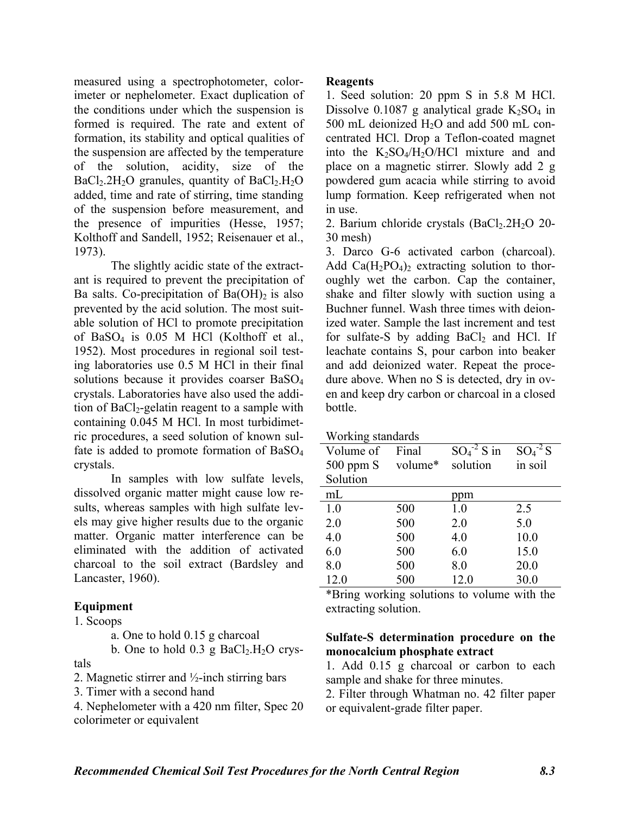measured using a spectrophotometer, colorimeter or nephelometer. Exact duplication of the conditions under which the suspension is formed is required. The rate and extent of formation, its stability and optical qualities of the suspension are affected by the temperature of the solution, acidity, size of the  $BaCl<sub>2</sub>.2H<sub>2</sub>O$  granules, quantity of  $BaCl<sub>2</sub>.H<sub>2</sub>O$ added, time and rate of stirring, time standing of the suspension before measurement, and the presence of impurities (Hesse, 1957; Kolthoff and Sandell, 1952; Reisenauer et al., 1973).

The slightly acidic state of the extractant is required to prevent the precipitation of Ba salts. Co-precipitation of  $Ba(OH)_2$  is also prevented by the acid solution. The most suitable solution of HCl to promote precipitation of BaSO4 is 0.05 M HCl (Kolthoff et al., 1952). Most procedures in regional soil testing laboratories use 0.5 M HCl in their final solutions because it provides coarser BaSO4 crystals. Laboratories have also used the addition of  $BaCl<sub>2</sub>$ -gelatin reagent to a sample with containing 0.045 M HCl. In most turbidimetric procedures, a seed solution of known sulfate is added to promote formation of BaSO<sub>4</sub> crystals.

In samples with low sulfate levels, dissolved organic matter might cause low results, whereas samples with high sulfate levels may give higher results due to the organic matter. Organic matter interference can be eliminated with the addition of activated charcoal to the soil extract (Bardsley and Lancaster, 1960).

## **Equipment**

#### 1. Scoops

a. One to hold 0.15 g charcoal

b. One to hold  $0.3$  g BaCl<sub>2</sub>.H<sub>2</sub>O crystals

2. Magnetic stirrer and ½-inch stirring bars

3. Timer with a second hand

4. Nephelometer with a 420 nm filter, Spec 20 colorimeter or equivalent

#### **Reagents**

1. Seed solution: 20 ppm S in 5.8 M HCl. Dissolve 0.1087 g analytical grade  $K_2SO_4$  in 500 mL deionized  $H_2O$  and add 500 mL concentrated HCl. Drop a Teflon-coated magnet into the  $K_2SO_4/H_2O/HCl$  mixture and and place on a magnetic stirrer. Slowly add 2 g powdered gum acacia while stirring to avoid lump formation. Keep refrigerated when not in use.

2. Barium chloride crystals  $(BaCl<sub>2</sub>.2H<sub>2</sub>O 20-$ 30 mesh)

3. Darco G-6 activated carbon (charcoal). Add  $Ca(H_2PO_4)_2$  extracting solution to thoroughly wet the carbon. Cap the container, shake and filter slowly with suction using a Buchner funnel. Wash three times with deionized water. Sample the last increment and test for sulfate-S by adding  $BaCl<sub>2</sub>$  and HCl. If leachate contains S, pour carbon into beaker and add deionized water. Repeat the procedure above. When no S is detected, dry in oven and keep dry carbon or charcoal in a closed bottle.

| Working standards |
|-------------------|
|                   |

| Volume of     | Final   | $SO_4^{\text{-2}}$ S in | $SO_4^2S$ |
|---------------|---------|-------------------------|-----------|
| $500$ ppm $S$ | volume* | solution                | in soil   |
| Solution      |         |                         |           |
| mL            |         | ppm                     |           |
| 1.0           | 500     | 1.0                     | 2.5       |
| 2.0           | 500     | 2.0                     | 5.0       |
| 4.0           | 500     | 4.0                     | 10.0      |
| 6.0           | 500     | 6.0                     | 15.0      |
| 8.0           | 500     | 8.0                     | 20.0      |
| 12.0          | 500     | 12.0                    | 30.0      |

\*Bring working solutions to volume with the extracting solution.

## **Sulfate-S determination procedure on the monocalcium phosphate extract**

1. Add 0.15 g charcoal or carbon to each sample and shake for three minutes.

2. Filter through Whatman no. 42 filter paper or equivalent-grade filter paper.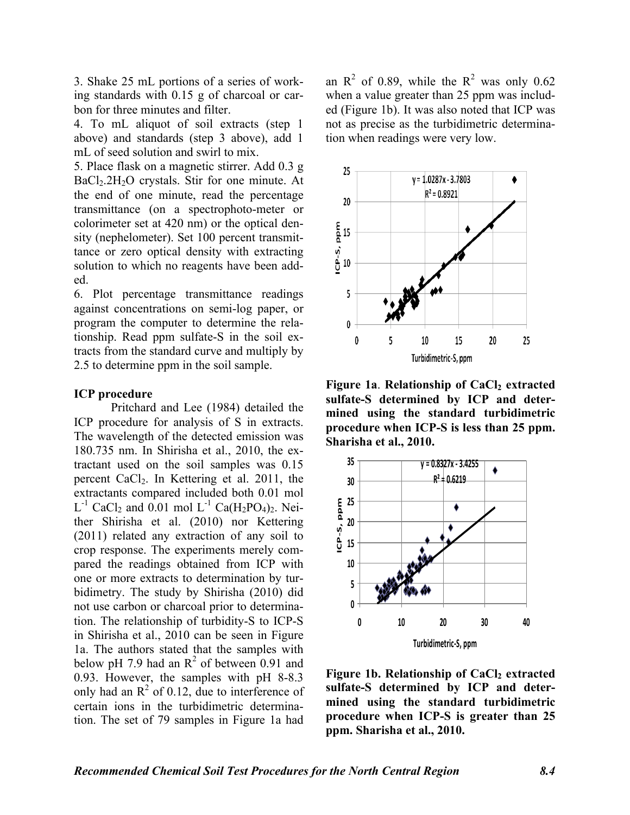3. Shake 25 mL portions of a series of working standards with 0.15 g of charcoal or carbon for three minutes and filter.

4. To mL aliquot of soil extracts (step 1 above) and standards (step 3 above), add 1 mL of seed solution and swirl to mix.

5. Place flask on a magnetic stirrer. Add 0.3 g BaCl<sub>2</sub>.2H<sub>2</sub>O crystals. Stir for one minute. At the end of one minute, read the percentage transmittance (on a spectrophoto-meter or colorimeter set at 420 nm) or the optical density (nephelometer). Set 100 percent transmittance or zero optical density with extracting solution to which no reagents have been added.

6. Plot percentage transmittance readings against concentrations on semi-log paper, or program the computer to determine the relationship. Read ppm sulfate-S in the soil extracts from the standard curve and multiply by 2.5 to determine ppm in the soil sample.

#### **ICP procedure**

Pritchard and Lee (1984) detailed the ICP procedure for analysis of S in extracts. The wavelength of the detected emission was 180.735 nm. In Shirisha et al., 2010, the extractant used on the soil samples was 0.15 percent CaCl2. In Kettering et al. 2011, the extractants compared included both 0.01 mol  $L^{-1}$  CaCl<sub>2</sub> and 0.01 mol  $L^{-1}$  Ca(H<sub>2</sub>PO<sub>4</sub>)<sub>2</sub>. Neither Shirisha et al. (2010) nor Kettering (2011) related any extraction of any soil to crop response. The experiments merely compared the readings obtained from ICP with one or more extracts to determination by turbidimetry. The study by Shirisha (2010) did not use carbon or charcoal prior to determination. The relationship of turbidity-S to ICP-S in Shirisha et al., 2010 can be seen in Figure 1a. The authors stated that the samples with below pH 7.9 had an  $R^2$  of between 0.91 and 0.93. However, the samples with pH 8-8.3 only had an  $R^2$  of 0.12, due to interference of certain ions in the turbidimetric determination. The set of 79 samples in Figure 1a had

an  $R^2$  of 0.89, while the  $R^2$  was only 0.62 when a value greater than 25 ppm was included (Figure 1b). It was also noted that ICP was not as precise as the turbidimetric determination when readings were very low.



**Figure 1a. Relationship of CaCl<sub>2</sub> extracted sulfate-S determined by ICP and determined using the standard turbidimetric procedure when ICP-S is less than 25 ppm. Sharisha et al., 2010.**



Figure 1b. Relationship of CaCl<sub>2</sub> extracted **sulfate-S determined by ICP and determined using the standard turbidimetric procedure when ICP-S is greater than 25 ppm. Sharisha et al., 2010.**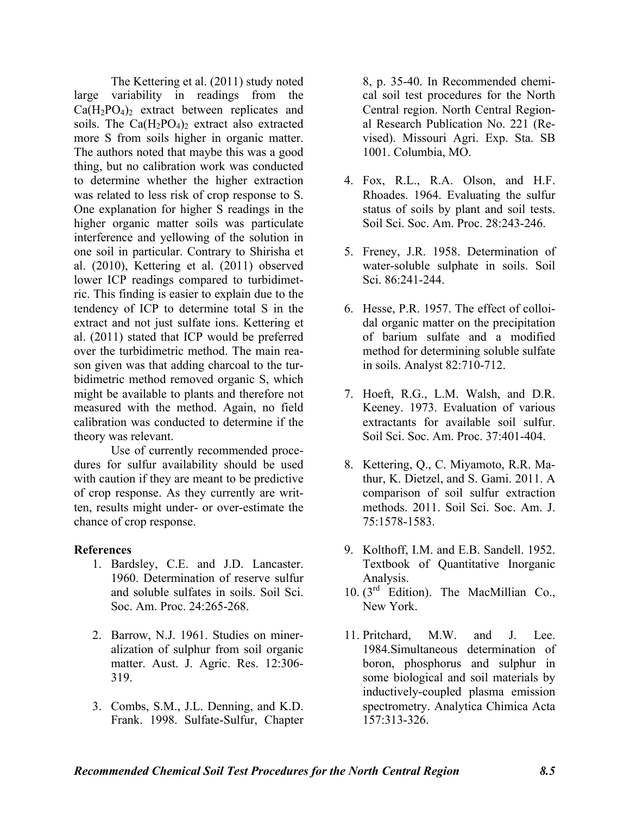The Kettering et al. (2011) study noted large variability in readings from the  $Ca(H_2PO_4)_2$  extract between replicates and soils. The  $Ca(H_2PO_4)_2$  extract also extracted more S from soils higher in organic matter. The authors noted that maybe this was a good thing, but no calibration work was conducted to determine whether the higher extraction was related to less risk of crop response to S. One explanation for higher S readings in the higher organic matter soils was particulate interference and yellowing of the solution in one soil in particular. Contrary to Shirisha et al. (2010), Kettering et al. (2011) observed lower ICP readings compared to turbidimetric. This finding is easier to explain due to the tendency of ICP to determine total S in the extract and not just sulfate ions. Kettering et al. (2011) stated that ICP would be preferred over the turbidimetric method. The main reason given was that adding charcoal to the turbidimetric method removed organic S, which might be available to plants and therefore not measured with the method. Again, no field calibration was conducted to determine if the theory was relevant.

Use of currently recommended procedures for sulfur availability should be used with caution if they are meant to be predictive of crop response. As they currently are written, results might under- or over-estimate the chance of crop response.

#### **References**

- 1. Bardsley, C.E. and J.D. Lancaster. 1960. Determination of reserve sulfur and soluble sulfates in soils. Soil Sci. Soc. Am. Proc. 24:265-268.
- 2. Barrow, N.J. 1961. Studies on mineralization of sulphur from soil organic matter. Aust. J. Agric. Res. 12:306- 319.
- 3. Combs, S.M., J.L. Denning, and K.D. Frank. 1998. Sulfate-Sulfur, Chapter

8, p. 35-40. In Recommended chemical soil test procedures for the North Central region. North Central Regional Research Publication No. 221 (Revised). Missouri Agri. Exp. Sta. SB 1001. Columbia, MO.

- 4. Fox, R.L., R.A. Olson, and H.F. Rhoades. 1964. Evaluating the sulfur status of soils by plant and soil tests. Soil Sci. Soc. Am. Proc. 28:243-246.
- 5. Freney, J.R. 1958. Determination of water-soluble sulphate in soils. Soil Sci. 86:241-244.
- 6. Hesse, P.R. 1957. The effect of colloidal organic matter on the precipitation of barium sulfate and a modified method for determining soluble sulfate in soils. Analyst 82:710-712.
- 7. Hoeft, R.G., L.M. Walsh, and D.R. Keeney. 1973. Evaluation of various extractants for available soil sulfur. Soil Sci. Soc. Am. Proc. 37:401-404.
- 8. Kettering, Q., C. Miyamoto, R.R. Mathur, K. Dietzel, and S. Gami. 2011. A comparison of soil sulfur extraction methods. 2011. Soil Sci. Soc. Am. J. 75:1578-1583.
- 9. Kolthoff, I.M. and E.B. Sandell. 1952. Textbook of Quantitative Inorganic Analysis.
- 10.  $(3<sup>rd</sup>$  Edition). The MacMillian Co., New York.
- 11. Pritchard, M.W. and J. Lee. 1984.Simultaneous determination of boron, phosphorus and sulphur in some biological and soil materials by inductively-coupled plasma emission spectrometry. Analytica Chimica Acta 157:313-326.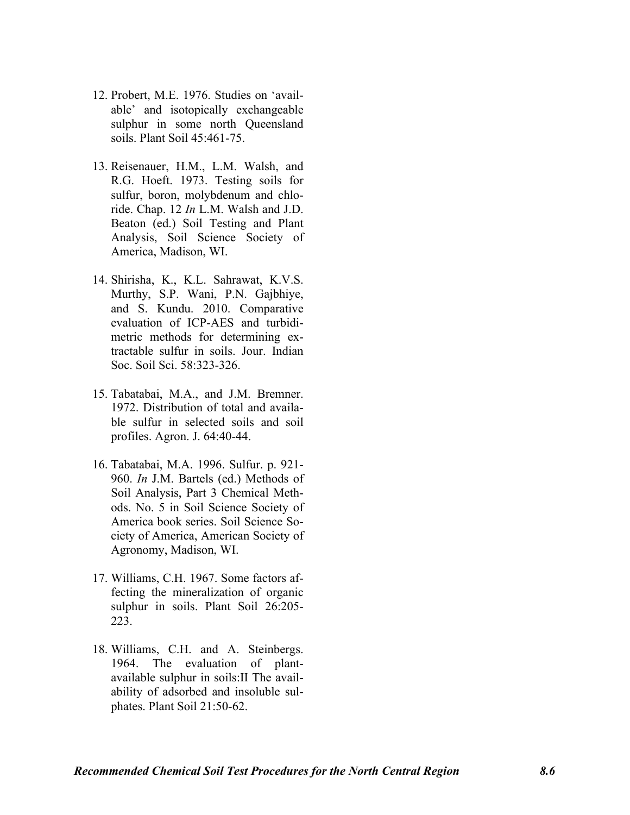- 12. Probert, M.E. 1976. Studies on 'available' and isotopically exchangeable sulphur in some north Queensland soils. Plant Soil 45:461-75.
- 13. Reisenauer, H.M., L.M. Walsh, and R.G. Hoeft. 1973. Testing soils for sulfur, boron, molybdenum and chloride. Chap. 12 *In* L.M. Walsh and J.D. Beaton (ed.) Soil Testing and Plant Analysis, Soil Science Society of America, Madison, WI.
- 14. Shirisha, K., K.L. Sahrawat, K.V.S. Murthy, S.P. Wani, P.N. Gajbhiye, and S. Kundu. 2010. Comparative evaluation of ICP-AES and turbidimetric methods for determining extractable sulfur in soils. Jour. Indian Soc. Soil Sci. 58:323-326.
- 15. Tabatabai, M.A., and J.M. Bremner. 1972. Distribution of total and available sulfur in selected soils and soil profiles. Agron. J. 64:40-44.
- 16. Tabatabai, M.A. 1996. Sulfur. p. 921- 960. *In* J.M. Bartels (ed.) Methods of Soil Analysis, Part 3 Chemical Methods. No. 5 in Soil Science Society of America book series. Soil Science Society of America, American Society of Agronomy, Madison, WI.
- 17. Williams, C.H. 1967. Some factors affecting the mineralization of organic sulphur in soils. Plant Soil 26:205- 223.
- 18. Williams, C.H. and A. Steinbergs. 1964. The evaluation of plantavailable sulphur in soils:II The availability of adsorbed and insoluble sulphates. Plant Soil 21:50-62.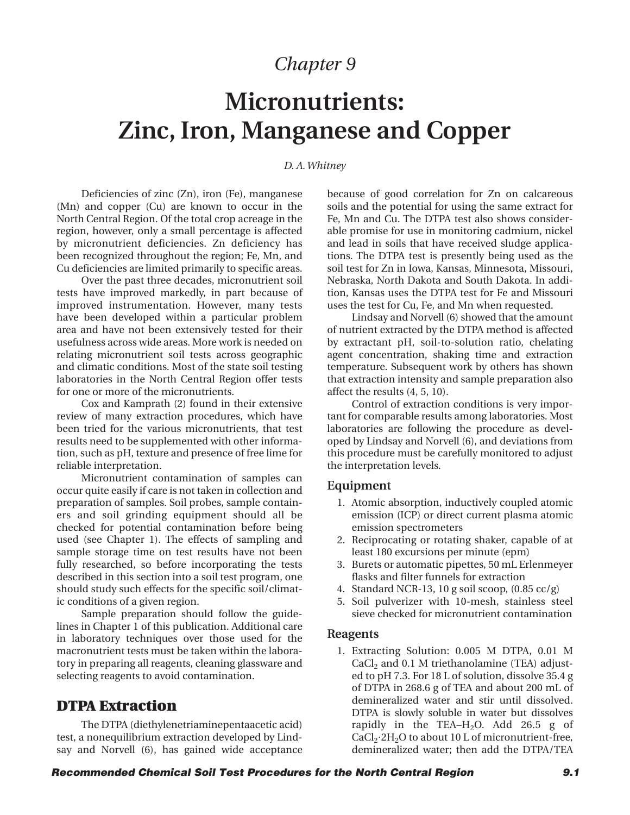# **Micronutrients: Zinc, Iron, Manganese and Copper**

#### *D. A. Whitney*

Deficiencies of zinc (Zn), iron (Fe), manganese (Mn) and copper (Cu) are known to occur in the North Central Region. Of the total crop acreage in the region, however, only a small percentage is affected by micronutrient deficiencies. Zn deficiency has been recognized throughout the region; Fe, Mn, and Cu deficiencies are limited primarily to specific areas.

Over the past three decades, micronutrient soil tests have improved markedly, in part because of improved instrumentation. However, many tests have been developed within a particular problem area and have not been extensively tested for their usefulness across wide areas. More work is needed on relating micronutrient soil tests across geographic and climatic conditions. Most of the state soil testing laboratories in the North Central Region offer tests for one or more of the micronutrients.

Cox and Kamprath (2) found in their extensive review of many extraction procedures, which have been tried for the various micronutrients, that test results need to be supplemented with other information, such as pH, texture and presence of free lime for reliable interpretation.

Micronutrient contamination of samples can occur quite easily if care is not taken in collection and preparation of samples. Soil probes, sample containers and soil grinding equipment should all be checked for potential contamination before being used (see Chapter 1). The effects of sampling and sample storage time on test results have not been fully researched, so before incorporating the tests described in this section into a soil test program, one should study such effects for the specific soil/climatic conditions of a given region.

Sample preparation should follow the guidelines in Chapter 1 of this publication. Additional care in laboratory techniques over those used for the macronutrient tests must be taken within the laboratory in preparing all reagents, cleaning glassware and selecting reagents to avoid contamination.

## **DTPA Extraction**

The DTPA (diethylenetriaminepentaacetic acid) test, a nonequilibrium extraction developed by Lindsay and Norvell (6), has gained wide acceptance because of good correlation for Zn on calcareous soils and the potential for using the same extract for Fe, Mn and Cu. The DTPA test also shows considerable promise for use in monitoring cadmium, nickel and lead in soils that have received sludge applications. The DTPA test is presently being used as the soil test for Zn in Iowa, Kansas, Minnesota, Missouri, Nebraska, North Dakota and South Dakota. In addition, Kansas uses the DTPA test for Fe and Missouri uses the test for Cu, Fe, and Mn when requested.

Lindsay and Norvell (6) showed that the amount of nutrient extracted by the DTPA method is affected by extractant pH, soil-to-solution ratio, chelating agent concentration, shaking time and extraction temperature. Subsequent work by others has shown that extraction intensity and sample preparation also affect the results (4, 5, 10).

Control of extraction conditions is very important for comparable results among laboratories. Most laboratories are following the procedure as developed by Lindsay and Norvell (6), and deviations from this procedure must be carefully monitored to adjust the interpretation levels.

#### **Equipment**

- 1. Atomic absorption, inductively coupled atomic emission (ICP) or direct current plasma atomic emission spectrometers
- 2. Reciprocating or rotating shaker, capable of at least 180 excursions per minute (epm)
- 3. Burets or automatic pipettes, 50 mL Erlenmeyer flasks and filter funnels for extraction
- 4. Standard NCR-13, 10 g soil scoop, (0.85 cc/g)
- 5. Soil pulverizer with 10-mesh, stainless steel sieve checked for micronutrient contamination

#### **Reagents**

1. Extracting Solution: 0.005 M DTPA, 0.01 M  $CaCl<sub>2</sub>$  and 0.1 M triethanolamine (TEA) adjusted to pH 7.3. For 18 L of solution, dissolve 35.4 g of DTPA in 268.6 g of TEA and about 200 mL of demineralized water and stir until dissolved. DTPA is slowly soluble in water but dissolves rapidly in the TEA– $H<sub>2</sub>O$ . Add 26.5 g of CaCl<sub>2</sub>·2H<sub>2</sub>O to about 10 L of micronutrient-free, demineralized water; then add the DTPA/TEA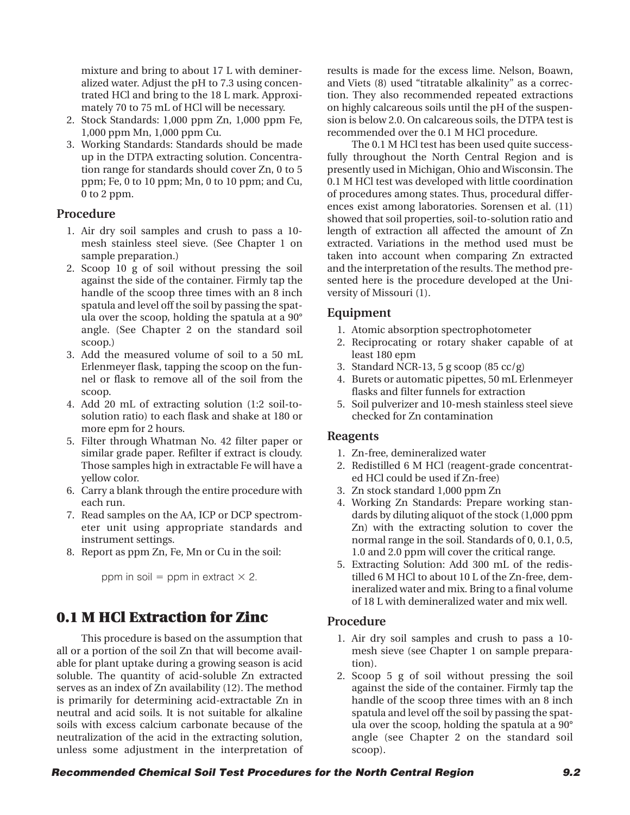mixture and bring to about 17 L with demineralized water. Adjust the pH to 7.3 using concentrated HCl and bring to the 18 L mark. Approximately 70 to 75 mL of HCl will be necessary.

- 2. Stock Standards: 1,000 ppm Zn, 1,000 ppm Fe, 1,000 ppm Mn, 1,000 ppm Cu.
- 3. Working Standards: Standards should be made up in the DTPA extracting solution. Concentration range for standards should cover Zn, 0 to 5 ppm; Fe, 0 to 10 ppm; Mn, 0 to 10 ppm; and Cu, 0 to 2 ppm.

## **Procedure**

- 1. Air dry soil samples and crush to pass a 10 mesh stainless steel sieve. (See Chapter 1 on sample preparation.)
- 2. Scoop 10 g of soil without pressing the soil against the side of the container. Firmly tap the handle of the scoop three times with an 8 inch spatula and level off the soil by passing the spatula over the scoop, holding the spatula at a 90° angle. (See Chapter 2 on the standard soil scoop.)
- 3. Add the measured volume of soil to a 50 mL Erlenmeyer flask, tapping the scoop on the funnel or flask to remove all of the soil from the scoop.
- 4. Add 20 mL of extracting solution (1:2 soil-tosolution ratio) to each flask and shake at 180 or more epm for 2 hours.
- 5. Filter through Whatman No. 42 filter paper or similar grade paper. Refilter if extract is cloudy. Those samples high in extractable Fe will have a yellow color.
- 6. Carry a blank through the entire procedure with each run.
- 7. Read samples on the AA, ICP or DCP spectrometer unit using appropriate standards and instrument settings.
- 8. Report as ppm Zn, Fe, Mn or Cu in the soil:

ppm in soil  $=$  ppm in extract  $\times$  2.

# **0.1 M HCl Extraction for Zinc**

This procedure is based on the assumption that all or a portion of the soil Zn that will become available for plant uptake during a growing season is acid soluble. The quantity of acid-soluble Zn extracted serves as an index of Zn availability (12). The method is primarily for determining acid-extractable Zn in neutral and acid soils. It is not suitable for alkaline soils with excess calcium carbonate because of the neutralization of the acid in the extracting solution, unless some adjustment in the interpretation of

results is made for the excess lime. Nelson, Boawn, and Viets (8) used "titratable alkalinity" as a correction. They also recommended repeated extractions on highly calcareous soils until the pH of the suspension is below 2.0. On calcareous soils, the DTPA test is recommended over the 0.1 M HCl procedure.

The 0.1 M HCl test has been used quite successfully throughout the North Central Region and is presently used in Michigan, Ohio and Wisconsin. The 0.1 M HCl test was developed with little coordination of procedures among states. Thus, procedural differences exist among laboratories. Sorensen et al. (11) showed that soil properties, soil-to-solution ratio and length of extraction all affected the amount of Zn extracted. Variations in the method used must be taken into account when comparing Zn extracted and the interpretation of the results. The method presented here is the procedure developed at the University of Missouri (1).

## **Equipment**

- 1. Atomic absorption spectrophotometer
- 2. Reciprocating or rotary shaker capable of at least 180 epm
- 3. Standard NCR-13, 5 g scoop (85 cc/g)
- 4. Burets or automatic pipettes, 50 mL Erlenmeyer flasks and filter funnels for extraction
- 5. Soil pulverizer and 10-mesh stainless steel sieve checked for Zn contamination

## **Reagents**

- 1. Zn-free, demineralized water
- 2. Redistilled 6 M HCl (reagent-grade concentrated HCl could be used if Zn-free)
- 3. Zn stock standard 1,000 ppm Zn
- 4. Working Zn Standards: Prepare working standards by diluting aliquot of the stock (1,000 ppm Zn) with the extracting solution to cover the normal range in the soil. Standards of 0, 0.1, 0.5, 1.0 and 2.0 ppm will cover the critical range.
- 5. Extracting Solution: Add 300 mL of the redistilled 6 M HCl to about 10 L of the Zn-free, demineralized water and mix. Bring to a final volume of 18 L with demineralized water and mix well.

## **Procedure**

- 1. Air dry soil samples and crush to pass a 10 mesh sieve (see Chapter 1 on sample preparation).
- 2. Scoop 5 g of soil without pressing the soil against the side of the container. Firmly tap the handle of the scoop three times with an 8 inch spatula and level off the soil by passing the spatula over the scoop, holding the spatula at a 90° angle (see Chapter 2 on the standard soil scoop).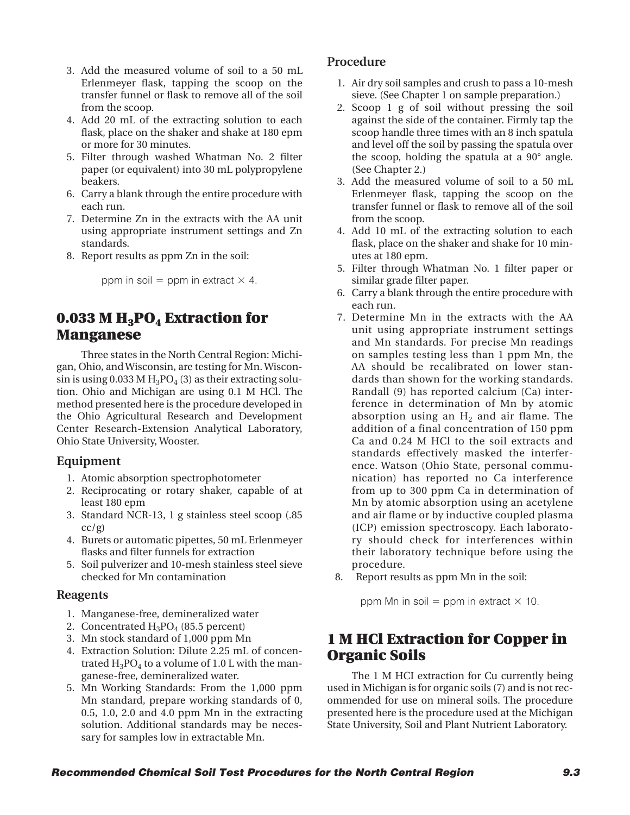- 3. Add the measured volume of soil to a 50 mL Erlenmeyer flask, tapping the scoop on the transfer funnel or flask to remove all of the soil from the scoop.
- 4. Add 20 mL of the extracting solution to each flask, place on the shaker and shake at 180 epm or more for 30 minutes.
- 5. Filter through washed Whatman No. 2 filter paper (or equivalent) into 30 mL polypropylene beakers.
- 6. Carry a blank through the entire procedure with each run.
- 7. Determine Zn in the extracts with the AA unit using appropriate instrument settings and Zn standards.
- 8. Report results as ppm Zn in the soil:

ppm in soil  $=$  ppm in extract  $\times$  4.

# **0.033 M H<sub>3</sub>PO<sub>4</sub> Extraction for Manganese**

Three states in the North Central Region: Michigan, Ohio, and Wisconsin, are testing for Mn. Wisconsin is using 0.033 M  $H_3PO_4$  (3) as their extracting solution. Ohio and Michigan are using 0.1 M HCl. The method presented here is the procedure developed in the Ohio Agricultural Research and Development Center Research-Extension Analytical Laboratory, Ohio State University, Wooster.

## **Equipment**

- 1. Atomic absorption spectrophotometer
- 2. Reciprocating or rotary shaker, capable of at least 180 epm
- 3. Standard NCR-13, 1 g stainless steel scoop (.85  $cc/g$ )
- 4. Burets or automatic pipettes, 50 mL Erlenmeyer flasks and filter funnels for extraction
- 5. Soil pulverizer and 10-mesh stainless steel sieve checked for Mn contamination

#### **Reagents**

- 1. Manganese-free, demineralized water
- 2. Concentrated  $H_3PO_4$  (85.5 percent)
- 3. Mn stock standard of 1,000 ppm Mn
- 4. Extraction Solution: Dilute 2.25 mL of concentrated  $H_3PO_4$  to a volume of 1.0 L with the manganese-free, demineralized water.
- 5. Mn Working Standards: From the 1,000 ppm Mn standard, prepare working standards of 0, 0.5, 1.0, 2.0 and 4.0 ppm Mn in the extracting solution. Additional standards may be necessary for samples low in extractable Mn.

#### **Procedure**

- 1. Air dry soil samples and crush to pass a 10-mesh sieve. (See Chapter 1 on sample preparation.)
- 2. Scoop 1 g of soil without pressing the soil against the side of the container. Firmly tap the scoop handle three times with an 8 inch spatula and level off the soil by passing the spatula over the scoop, holding the spatula at a 90° angle. (See Chapter 2.)
- 3. Add the measured volume of soil to a 50 mL Erlenmeyer flask, tapping the scoop on the transfer funnel or flask to remove all of the soil from the scoop.
- 4. Add 10 mL of the extracting solution to each flask, place on the shaker and shake for 10 minutes at 180 epm.
- 5. Filter through Whatman No. 1 filter paper or similar grade filter paper.
- 6. Carry a blank through the entire procedure with each run.
- 7. Determine Mn in the extracts with the AA unit using appropriate instrument settings and Mn standards. For precise Mn readings on samples testing less than 1 ppm Mn, the AA should be recalibrated on lower standards than shown for the working standards. Randall (9) has reported calcium (Ca) interference in determination of Mn by atomic absorption using an  $H_2$  and air flame. The addition of a final concentration of 150 ppm Ca and 0.24 M HCl to the soil extracts and standards effectively masked the interference. Watson (Ohio State, personal communication) has reported no Ca interference from up to 300 ppm Ca in determination of Mn by atomic absorption using an acetylene and air flame or by inductive coupled plasma (ICP) emission spectroscopy. Each laboratory should check for interferences within their laboratory technique before using the procedure.
- 8. Report results as ppm Mn in the soil:

ppm Mn in soil  $=$  ppm in extract  $\times$  10.

# **1 M HCl Extraction for Copper in Organic Soils**

The 1 M HCI extraction for Cu currently being used in Michigan is for organic soils (7) and is not recommended for use on mineral soils. The procedure presented here is the procedure used at the Michigan State University, Soil and Plant Nutrient Laboratory.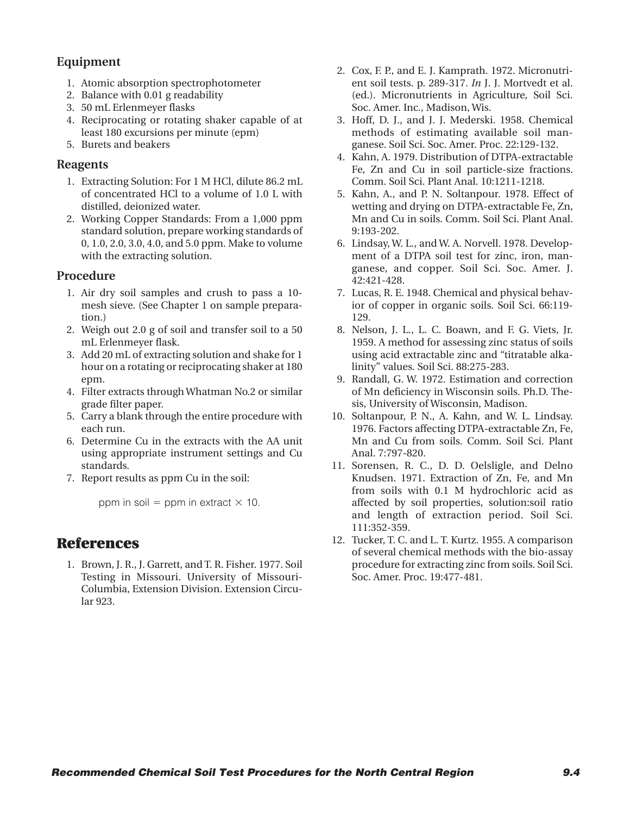## **Equipment**

- 1. Atomic absorption spectrophotometer
- 2. Balance with 0.01 g readability
- 3. 50 mL Erlenmeyer flasks
- 4. Reciprocating or rotating shaker capable of at least 180 excursions per minute (epm)
- 5. Burets and beakers

#### **Reagents**

- 1. Extracting Solution: For 1 M HCl, dilute 86.2 mL of concentrated HCl to a volume of 1.0 L with distilled, deionized water.
- 2. Working Copper Standards: From a 1,000 ppm standard solution, prepare working standards of 0, 1.0, 2.0, 3.0, 4.0, and 5.0 ppm. Make to volume with the extracting solution.

#### **Procedure**

- 1. Air dry soil samples and crush to pass a 10 mesh sieve. (See Chapter 1 on sample preparation.)
- 2. Weigh out 2.0 g of soil and transfer soil to a 50 mL Erlenmeyer flask.
- 3. Add 20 mL of extracting solution and shake for 1 hour on a rotating or reciprocating shaker at 180 epm.
- 4. Filter extracts through Whatman No.2 or similar grade filter paper.
- 5. Carry a blank through the entire procedure with each run.
- 6. Determine Cu in the extracts with the AA unit using appropriate instrument settings and Cu standards.
- 7. Report results as ppm Cu in the soil:

ppm in soil  $=$  ppm in extract  $\times$  10.

## **References**

1. Brown, J. R., J. Garrett, and T. R. Fisher. 1977. Soil Testing in Missouri. University of Missouri-Columbia, Extension Division. Extension Circular 923.

- 2. Cox, F. P., and E. J. Kamprath. 1972. Micronutrient soil tests. p. 289-317. *In* J. J. Mortvedt et al. (ed.). Micronutrients in Agriculture, Soil Sci. Soc. Amer. Inc., Madison, Wis.
- 3. Hoff, D. J., and J. J. Mederski. 1958. Chemical methods of estimating available soil manganese. Soil Sci. Soc. Amer. Proc. 22:129-132.
- 4. Kahn, A. 1979. Distribution of DTPA-extractable Fe, Zn and Cu in soil particle-size fractions. Comm. Soil Sci. Plant Anal. 10:1211-1218.
- 5. Kahn, A., and P. N. Soltanpour. 1978. Effect of wetting and drying on DTPA-extractable Fe, Zn, Mn and Cu in soils. Comm. Soil Sci. Plant Anal. 9:193-202.
- 6. Lindsay, W. L., and W. A. Norvell. 1978. Development of a DTPA soil test for zinc, iron, manganese, and copper. Soil Sci. Soc. Amer. J. 42:421-428.
- 7. Lucas, R. E. 1948. Chemical and physical behavior of copper in organic soils. Soil Sci. 66:119- 129.
- 8. Nelson, J. L., L. C. Boawn, and F. G. Viets, Jr. 1959. A method for assessing zinc status of soils using acid extractable zinc and "titratable alkalinity" values. Soil Sci. 88:275-283.
- 9. Randall, G. W. 1972. Estimation and correction of Mn deficiency in Wisconsin soils. Ph.D. Thesis, University of Wisconsin, Madison.
- 10. Soltanpour, P. N., A. Kahn, and W. L. Lindsay. 1976. Factors affecting DTPA-extractable Zn, Fe, Mn and Cu from soils. Comm. Soil Sci. Plant Anal. 7:797-820.
- 11. Sorensen, R. C., D. D. Oelsligle, and Delno Knudsen. 1971. Extraction of Zn, Fe, and Mn from soils with 0.1 M hydrochloric acid as affected by soil properties, solution:soil ratio and length of extraction period. Soil Sci. 111:352-359.
- 12. Tucker, T. C. and L. T. Kurtz. 1955. A comparison of several chemical methods with the bio-assay procedure for extracting zinc from soils. Soil Sci. Soc. Amer. Proc. 19:477-481.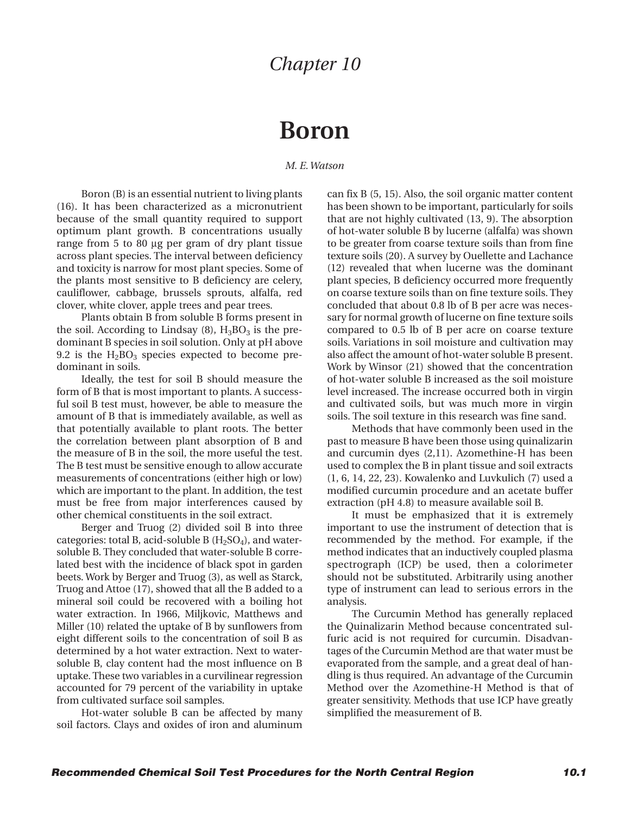# **Boron**

*M. E. Watson*

Boron (B) is an essential nutrient to living plants (16). It has been characterized as a micronutrient because of the small quantity required to support optimum plant growth. B concentrations usually range from 5 to 80 µg per gram of dry plant tissue across plant species. The interval between deficiency and toxicity is narrow for most plant species. Some of the plants most sensitive to B deficiency are celery, cauliflower, cabbage, brussels sprouts, alfalfa, red clover, white clover, apple trees and pear trees.

Plants obtain B from soluble B forms present in the soil. According to Lindsay  $(8)$ ,  $H_3BO_3$  is the predominant B species in soil solution. Only at pH above 9.2 is the  $H_2BO_3$  species expected to become predominant in soils.

Ideally, the test for soil B should measure the form of B that is most important to plants. A successful soil B test must, however, be able to measure the amount of B that is immediately available, as well as that potentially available to plant roots. The better the correlation between plant absorption of B and the measure of B in the soil, the more useful the test. The B test must be sensitive enough to allow accurate measurements of concentrations (either high or low) which are important to the plant. In addition, the test must be free from major interferences caused by other chemical constituents in the soil extract.

Berger and Truog (2) divided soil B into three categories: total B, acid-soluble B  $(H<sub>2</sub>SO<sub>4</sub>)$ , and watersoluble B. They concluded that water-soluble B correlated best with the incidence of black spot in garden beets. Work by Berger and Truog (3), as well as Starck, Truog and Attoe (17), showed that all the B added to a mineral soil could be recovered with a boiling hot water extraction. In 1966, Miljkovic, Matthews and Miller (10) related the uptake of B by sunflowers from eight different soils to the concentration of soil B as determined by a hot water extraction. Next to watersoluble B, clay content had the most influence on B uptake. These two variables in a curvilinear regression accounted for 79 percent of the variability in uptake from cultivated surface soil samples.

Hot-water soluble B can be affected by many soil factors. Clays and oxides of iron and aluminum can fix B (5, 15). Also, the soil organic matter content has been shown to be important, particularly for soils that are not highly cultivated (13, 9). The absorption of hot-water soluble B by lucerne (alfalfa) was shown to be greater from coarse texture soils than from fine texture soils (20). A survey by Ouellette and Lachance (12) revealed that when lucerne was the dominant plant species, B deficiency occurred more frequently on coarse texture soils than on fine texture soils. They concluded that about 0.8 lb of B per acre was necessary for normal growth of lucerne on fine texture soils compared to 0.5 lb of B per acre on coarse texture soils. Variations in soil moisture and cultivation may also affect the amount of hot-water soluble B present. Work by Winsor (21) showed that the concentration of hot-water soluble B increased as the soil moisture level increased. The increase occurred both in virgin and cultivated soils, but was much more in virgin soils. The soil texture in this research was fine sand.

Methods that have commonly been used in the past to measure B have been those using quinalizarin and curcumin dyes (2,11). Azomethine-H has been used to complex the B in plant tissue and soil extracts (1, 6, 14, 22, 23). Kowalenko and Luvkulich (7) used a modified curcumin procedure and an acetate buffer extraction (pH 4.8) to measure available soil B.

It must be emphasized that it is extremely important to use the instrument of detection that is recommended by the method. For example, if the method indicates that an inductively coupled plasma spectrograph (ICP) be used, then a colorimeter should not be substituted. Arbitrarily using another type of instrument can lead to serious errors in the analysis.

The Curcumin Method has generally replaced the Quinalizarin Method because concentrated sulfuric acid is not required for curcumin. Disadvantages of the Curcumin Method are that water must be evaporated from the sample, and a great deal of handling is thus required. An advantage of the Curcumin Method over the Azomethine-H Method is that of greater sensitivity. Methods that use ICP have greatly simplified the measurement of B.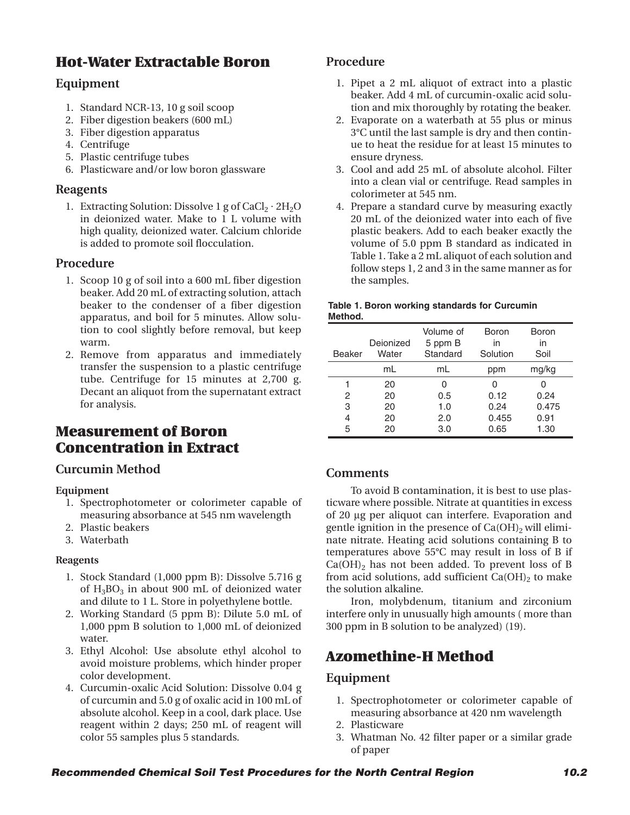# **Hot-Water Extractable Boron**

## **Equipment**

- 1. Standard NCR-13, 10 g soil scoop
- 2. Fiber digestion beakers (600 mL)
- 3. Fiber digestion apparatus
- 4. Centrifuge
- 5. Plastic centrifuge tubes
- 6. Plasticware and/or low boron glassware

## **Reagents**

1. Extracting Solution: Dissolve 1 g of  $CaCl<sub>2</sub> \cdot 2H<sub>2</sub>O$ in deionized water. Make to 1 L volume with high quality, deionized water. Calcium chloride is added to promote soil flocculation.

## **Procedure**

- 1. Scoop 10 g of soil into a 600 mL fiber digestion beaker. Add 20 mL of extracting solution, attach beaker to the condenser of a fiber digestion apparatus, and boil for 5 minutes. Allow solution to cool slightly before removal, but keep warm.
- 2. Remove from apparatus and immediately transfer the suspension to a plastic centrifuge tube. Centrifuge for 15 minutes at 2,700 g. Decant an aliquot from the supernatant extract for analysis.

# **Measurement of Boron Concentration in Extract**

## **Curcumin Method**

#### **Equipment**

- 1. Spectrophotometer or colorimeter capable of measuring absorbance at 545 nm wavelength
- 2. Plastic beakers
- 3. Waterbath

#### **Reagents**

- 1. Stock Standard (1,000 ppm B): Dissolve 5.716 g of  $H_3BO_3$  in about 900 mL of deionized water and dilute to 1 L. Store in polyethylene bottle.
- 2. Working Standard (5 ppm B): Dilute 5.0 mL of 1,000 ppm B solution to 1,000 mL of deionized water.
- 3. Ethyl Alcohol: Use absolute ethyl alcohol to avoid moisture problems, which hinder proper color development.
- 4. Curcumin-oxalic Acid Solution: Dissolve 0.04 g of curcumin and 5.0 g of oxalic acid in 100 mL of absolute alcohol. Keep in a cool, dark place. Use reagent within 2 days; 250 mL of reagent will color 55 samples plus 5 standards.

## **Procedure**

- 1. Pipet a 2 mL aliquot of extract into a plastic beaker. Add 4 mL of curcumin-oxalic acid solution and mix thoroughly by rotating the beaker.
- 2. Evaporate on a waterbath at 55 plus or minus 3°C until the last sample is dry and then continue to heat the residue for at least 15 minutes to ensure dryness.
- 3. Cool and add 25 mL of absolute alcohol. Filter into a clean vial or centrifuge. Read samples in colorimeter at 545 nm.
- 4. Prepare a standard curve by measuring exactly 20 mL of the deionized water into each of five plastic beakers. Add to each beaker exactly the volume of 5.0 ppm B standard as indicated in Table 1. Take a 2 mL aliquot of each solution and follow steps 1, 2 and 3 in the same manner as for the samples.

#### **Table 1. Boron working standards for Curcumin Method.**

| Beaker | Deionized<br>Water | Volume of<br>5 ppm B<br>Standard | Boron<br>in<br>Solution | Boron<br>in<br>Soil |
|--------|--------------------|----------------------------------|-------------------------|---------------------|
|        | mL                 | mL                               | ppm                     | mg/kg               |
| 1      | 20                 |                                  | U                       |                     |
| 2      | 20                 | 0.5                              | 0.12                    | 0.24                |
| 3      | 20                 | 1.0                              | 0.24                    | 0.475               |
| 4      | 20                 | 2.0                              | 0.455                   | 0.91                |
| 5      | 20                 | 3.0                              | 0.65                    | 1.30                |

## **Comments**

To avoid B contamination, it is best to use plasticware where possible. Nitrate at quantities in excess of 20 µg per aliquot can interfere. Evaporation and gentle ignition in the presence of  $Ca(OH)_{2}$  will eliminate nitrate. Heating acid solutions containing B to temperatures above 55°C may result in loss of B if  $Ca(OH)<sub>2</sub>$  has not been added. To prevent loss of B from acid solutions, add sufficient  $Ca(OH)_2$  to make the solution alkaline.

Iron, molybdenum, titanium and zirconium interfere only in unusually high amounts ( more than 300 ppm in B solution to be analyzed) (19).

# **Azomethine-H Method**

#### **Equipment**

- 1. Spectrophotometer or colorimeter capable of measuring absorbance at 420 nm wavelength
- 2. Plasticware
- 3. Whatman No. 42 filter paper or a similar grade of paper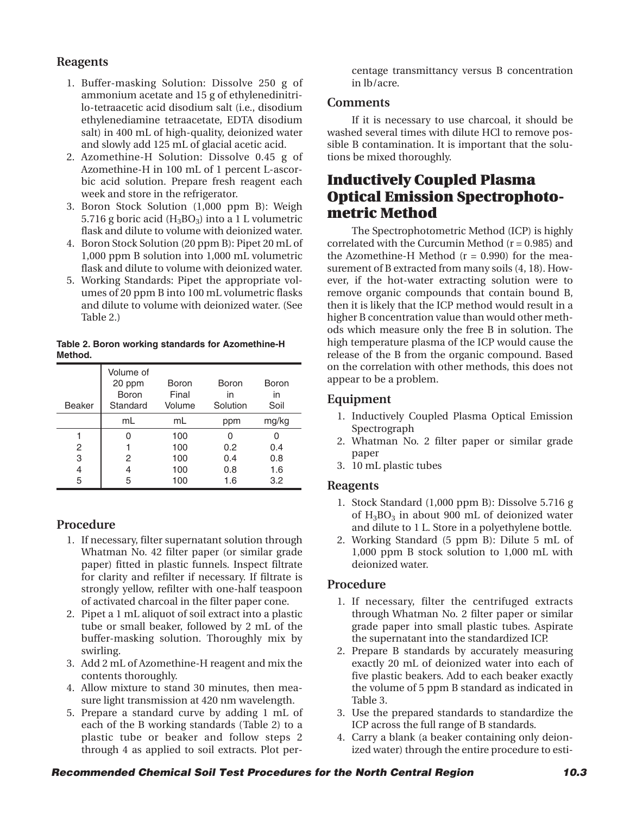## **Reagents**

- 1. Buffer-masking Solution: Dissolve 250 g of ammonium acetate and 15 g of ethylenedinitrilo-tetraacetic acid disodium salt (i.e., disodium ethylenediamine tetraacetate, EDTA disodium salt) in 400 mL of high-quality, deionized water and slowly add 125 mL of glacial acetic acid.
- 2. Azomethine-H Solution: Dissolve 0.45 g of Azomethine-H in 100 mL of 1 percent L-ascorbic acid solution. Prepare fresh reagent each week and store in the refrigerator.
- 3. Boron Stock Solution (1,000 ppm B): Weigh 5.716 g boric acid  $(H_3BO_3)$  into a 1 L volumetric flask and dilute to volume with deionized water.
- 4. Boron Stock Solution (20 ppm B): Pipet 20 mL of 1,000 ppm B solution into 1,000 mL volumetric flask and dilute to volume with deionized water.
- 5. Working Standards: Pipet the appropriate volumes of 20 ppm B into 100 mL volumetric flasks and dilute to volume with deionized water. (See Table 2.)

**Table 2. Boron working standards for Azomethine-H Method.**

| Beaker | Volume of<br>20 ppm<br>Boron<br>Standard | Boron<br>Final<br>Volume | Boron<br>in<br>Solution | Boron<br>in<br>Soil |
|--------|------------------------------------------|--------------------------|-------------------------|---------------------|
|        | mL                                       | mL                       | ppm                     | mg/kg               |
|        |                                          | 100                      |                         |                     |
| 2      |                                          | 100                      | 0.2                     | 0.4                 |
| 3      | 2                                        | 100                      | 0.4                     | 0.8                 |
| 4      | 4                                        | 100                      | 0.8                     | 1.6                 |
| 5      | 5                                        | 100                      | 1.6                     | 3.2                 |

#### **Procedure**

- 1. If necessary, filter supernatant solution through Whatman No. 42 filter paper (or similar grade paper) fitted in plastic funnels. Inspect filtrate for clarity and refilter if necessary. If filtrate is strongly yellow, refilter with one-half teaspoon of activated charcoal in the filter paper cone.
- 2. Pipet a 1 mL aliquot of soil extract into a plastic tube or small beaker, followed by 2 mL of the buffer-masking solution. Thoroughly mix by swirling.
- 3. Add 2 mL of Azomethine-H reagent and mix the contents thoroughly.
- 4. Allow mixture to stand 30 minutes, then measure light transmission at 420 nm wavelength.
- 5. Prepare a standard curve by adding 1 mL of each of the B working standards (Table 2) to a plastic tube or beaker and follow steps 2 through 4 as applied to soil extracts. Plot per-

centage transmittancy versus B concentration in lb/acre.

#### **Comments**

If it is necessary to use charcoal, it should be washed several times with dilute HCl to remove possible B contamination. It is important that the solutions be mixed thoroughly.

# **Inductively Coupled Plasma Optical Emission Spectrophotometric Method**

The Spectrophotometric Method (ICP) is highly correlated with the Curcumin Method  $(r = 0.985)$  and the Azomethine-H Method  $(r = 0.990)$  for the measurement of B extracted from many soils (4, 18). However, if the hot-water extracting solution were to remove organic compounds that contain bound B, then it is likely that the ICP method would result in a higher B concentration value than would other methods which measure only the free B in solution. The high temperature plasma of the ICP would cause the release of the B from the organic compound. Based on the correlation with other methods, this does not appear to be a problem.

## **Equipment**

- 1. Inductively Coupled Plasma Optical Emission Spectrograph
- 2. Whatman No. 2 filter paper or similar grade paper
- 3. 10 mL plastic tubes

#### **Reagents**

- 1. Stock Standard (1,000 ppm B): Dissolve 5.716 g of  $H_3BO_3$  in about 900 mL of deionized water and dilute to 1 L. Store in a polyethylene bottle.
- 2. Working Standard (5 ppm B): Dilute 5 mL of 1,000 ppm B stock solution to 1,000 mL with deionized water.

#### **Procedure**

- 1. If necessary, filter the centrifuged extracts through Whatman No. 2 filter paper or similar grade paper into small plastic tubes. Aspirate the supernatant into the standardized ICP.
- 2. Prepare B standards by accurately measuring exactly 20 mL of deionized water into each of five plastic beakers. Add to each beaker exactly the volume of 5 ppm B standard as indicated in Table 3.
- 3. Use the prepared standards to standardize the ICP across the full range of B standards.
- 4. Carry a blank (a beaker containing only deionized water) through the entire procedure to esti-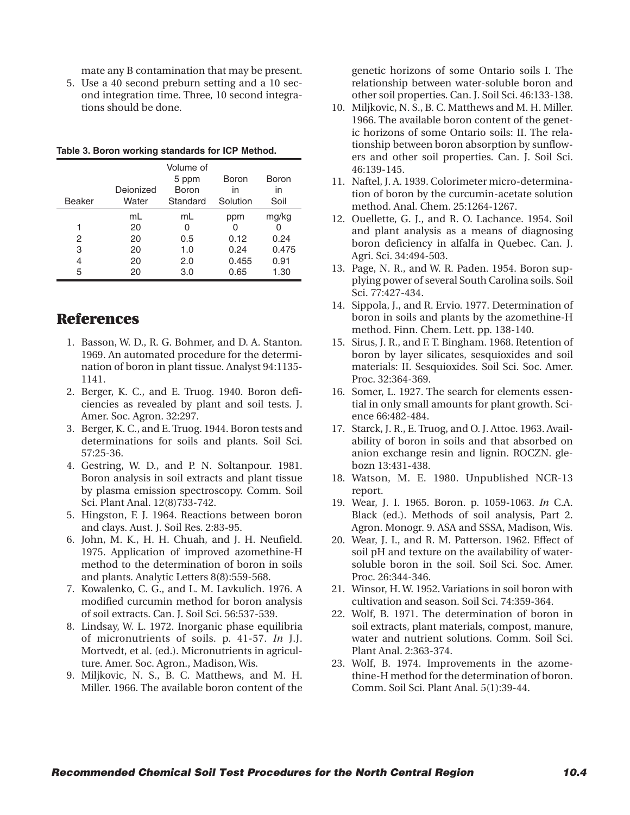mate any B contamination that may be present.

5. Use a 40 second preburn setting and a 10 second integration time. Three, 10 second integrations should be done.

|        |           | Volume of<br>5 ppm | Boron    | Boron |
|--------|-----------|--------------------|----------|-------|
|        | Deionized | Boron              | in       | in    |
| Beaker | Water     | Standard           | Solution | Soil  |
|        | mL        | mL                 | ppm      | mg/kg |
| 1      | 20        | O                  |          |       |
| 2      | 20        | 0.5                | 0.12     | 0.24  |
| 3      | 20        | 1.0                | 0.24     | 0.475 |
| 4      | 20        | 2.0                | 0.455    | 0.91  |
| 5      | 20        | 3.0                | 0.65     | 1.30  |

**Table 3. Boron working standards for ICP Method.**

## **References**

- 1. Basson, W. D., R. G. Bohmer, and D. A. Stanton. 1969. An automated procedure for the determination of boron in plant tissue. Analyst 94:1135- 1141.
- 2. Berger, K. C., and E. Truog. 1940. Boron deficiencies as revealed by plant and soil tests. J. Amer. Soc. Agron. 32:297.
- 3. Berger, K. C., and E. Truog. 1944. Boron tests and determinations for soils and plants. Soil Sci. 57:25-36.
- 4. Gestring, W. D., and P. N. Soltanpour. 1981. Boron analysis in soil extracts and plant tissue by plasma emission spectroscopy. Comm. Soil Sci. Plant Anal. 12(8)733-742.
- 5. Hingston, F. J. 1964. Reactions between boron and clays. Aust. J. Soil Res. 2:83-95.
- 6. John, M. K., H. H. Chuah, and J. H. Neufield. 1975. Application of improved azomethine-H method to the determination of boron in soils and plants. Analytic Letters 8(8):559-568.
- 7. Kowalenko, C. G., and L. M. Lavkulich. 1976. A modified curcumin method for boron analysis of soil extracts. Can. J. Soil Sci. 56:537-539.
- 8. Lindsay, W. L. 1972. Inorganic phase equilibria of micronutrients of soils. p. 41-57. *In* J.J. Mortvedt, et al. (ed.). Micronutrients in agriculture. Amer. Soc. Agron., Madison, Wis.
- 9. Miljkovic, N. S., B. C. Matthews, and M. H. Miller. 1966. The available boron content of the

genetic horizons of some Ontario soils I. The relationship between water-soluble boron and other soil properties. Can. J. Soil Sci. 46:133-138.

- 10. Miljkovic, N. S., B. C. Matthews and M. H. Miller. 1966. The available boron content of the genetic horizons of some Ontario soils: II. The relationship between boron absorption by sunflowers and other soil properties. Can. J. Soil Sci. 46:139-145.
- 11. Naftel, J. A. 1939. Colorimeter micro-determination of boron by the curcumin-acetate solution method. Anal. Chem. 25:1264-1267.
- 12. Ouellette, G. J., and R. O. Lachance. 1954. Soil and plant analysis as a means of diagnosing boron deficiency in alfalfa in Quebec. Can. J. Agri. Sci. 34:494-503.
- 13. Page, N. R., and W. R. Paden. 1954. Boron supplying power of several South Carolina soils. Soil Sci. 77:427-434.
- 14. Sippola, J., and R. Ervio. 1977. Determination of boron in soils and plants by the azomethine-H method. Finn. Chem. Lett. pp. 138-140.
- 15. Sirus, J. R., and F. T. Bingham. 1968. Retention of boron by layer silicates, sesquioxides and soil materials: II. Sesquioxides. Soil Sci. Soc. Amer. Proc. 32:364-369.
- 16. Somer, L. 1927. The search for elements essential in only small amounts for plant growth. Science 66:482-484.
- 17. Starck, J. R., E. Truog, and O. J. Attoe. 1963. Availability of boron in soils and that absorbed on anion exchange resin and lignin. ROCZN. glebozn 13:431-438.
- 18. Watson, M. E. 1980. Unpublished NCR-13 report.
- 19. Wear, J. I. 1965. Boron. p. 1059-1063. *In* C.A. Black (ed.). Methods of soil analysis, Part 2. Agron. Monogr. 9. ASA and SSSA, Madison, Wis.
- 20. Wear, J. I., and R. M. Patterson. 1962. Effect of soil pH and texture on the availability of watersoluble boron in the soil. Soil Sci. Soc. Amer. Proc. 26:344-346.
- 21. Winsor, H. W. 1952. Variations in soil boron with cultivation and season. Soil Sci. 74:359-364.
- 22. Wolf, B. 1971. The determination of boron in soil extracts, plant materials, compost, manure, water and nutrient solutions. Comm. Soil Sci. Plant Anal. 2:363-374.
- 23. Wolf, B. 1974. Improvements in the azomethine-H method for the determination of boron. Comm. Soil Sci. Plant Anal. 5(1):39-44.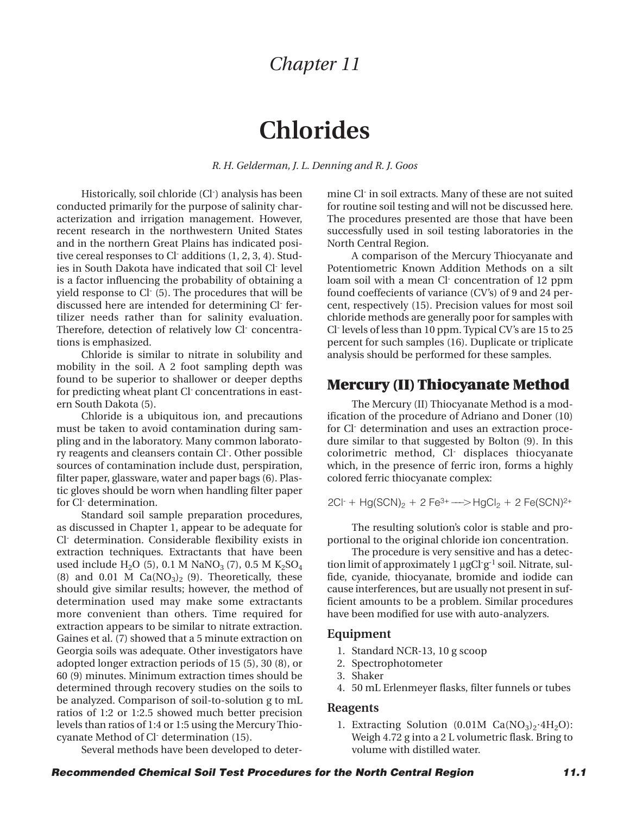# **Chlorides**

*R. H. Gelderman, J. L. Denning and R. J. Goos*

Historically, soil chloride (Cl-) analysis has been conducted primarily for the purpose of salinity characterization and irrigation management. However, recent research in the northwestern United States and in the northern Great Plains has indicated positive cereal responses to Cl- additions (1, 2, 3, 4). Studies in South Dakota have indicated that soil Cl- level is a factor influencing the probability of obtaining a yield response to Cl- (5). The procedures that will be discussed here are intended for determining Cl- fertilizer needs rather than for salinity evaluation. Therefore, detection of relatively low Cl- concentrations is emphasized.

Chloride is similar to nitrate in solubility and mobility in the soil. A 2 foot sampling depth was found to be superior to shallower or deeper depths for predicting wheat plant Cl- concentrations in eastern South Dakota (5).

Chloride is a ubiquitous ion, and precautions must be taken to avoid contamination during sampling and in the laboratory. Many common laboratory reagents and cleansers contain Cl- . Other possible sources of contamination include dust, perspiration, filter paper, glassware, water and paper bags (6). Plastic gloves should be worn when handling filter paper for Cl- determination.

Standard soil sample preparation procedures, as discussed in Chapter 1, appear to be adequate for Cl- determination. Considerable flexibility exists in extraction techniques. Extractants that have been used include H<sub>2</sub>O (5), 0.1 M NaNO<sub>3</sub> (7), 0.5 M K<sub>2</sub>SO<sub>4</sub> (8) and  $0.01$  M  $Ca(NO<sub>3</sub>)<sub>2</sub>$  (9). Theoretically, these should give similar results; however, the method of determination used may make some extractants more convenient than others. Time required for extraction appears to be similar to nitrate extraction. Gaines et al. (7) showed that a 5 minute extraction on Georgia soils was adequate. Other investigators have adopted longer extraction periods of 15 (5), 30 (8), or 60 (9) minutes. Minimum extraction times should be determined through recovery studies on the soils to be analyzed. Comparison of soil-to-solution g to mL ratios of 1:2 or 1:2.5 showed much better precision levels than ratios of 1:4 or 1:5 using the Mercury Thiocyanate Method of Cl- determination (15).

Several methods have been developed to deter-

mine Cl- in soil extracts. Many of these are not suited for routine soil testing and will not be discussed here. The procedures presented are those that have been successfully used in soil testing laboratories in the North Central Region.

A comparison of the Mercury Thiocyanate and Potentiometric Known Addition Methods on a silt loam soil with a mean Cl- concentration of 12 ppm found coeffecients of variance (CV's) of 9 and 24 percent, respectively (15). Precision values for most soil chloride methods are generally poor for samples with Cl- levels of less than 10 ppm. Typical CV's are 15 to 25 percent for such samples (16). Duplicate or triplicate analysis should be performed for these samples.

## **Mercury (II) Thiocyanate Method**

The Mercury (II) Thiocyanate Method is a modification of the procedure of Adriano and Doner (10) for Cl- determination and uses an extraction procedure similar to that suggested by Bolton (9). In this colorimetric method, Cl- displaces thiocyanate which, in the presence of ferric iron, forms a highly colored ferric thiocyanate complex:

$$
2Cl+ + Hg(SCN)2 + 2 Fe3+ \longrightarrow HgCl2 + 2 Fe(SCN)2+
$$

The resulting solution's color is stable and proportional to the original chloride ion concentration.

The procedure is very sensitive and has a detection limit of approximately 1 µgCl g<sup>-1</sup> soil. Nitrate, sulfide, cyanide, thiocyanate, bromide and iodide can cause interferences, but are usually not present in sufficient amounts to be a problem. Similar procedures have been modified for use with auto-analyzers.

#### **Equipment**

- 1. Standard NCR-13, 10 g scoop
- 2. Spectrophotometer
- 3. Shaker
- 4. 50 mL Erlenmeyer flasks, filter funnels or tubes

#### **Reagents**

1. Extracting Solution (0.01M Ca(NO<sub>3</sub>)<sub>2</sub>·4H<sub>2</sub>O): Weigh 4.72 g into a 2 L volumetric flask. Bring to volume with distilled water.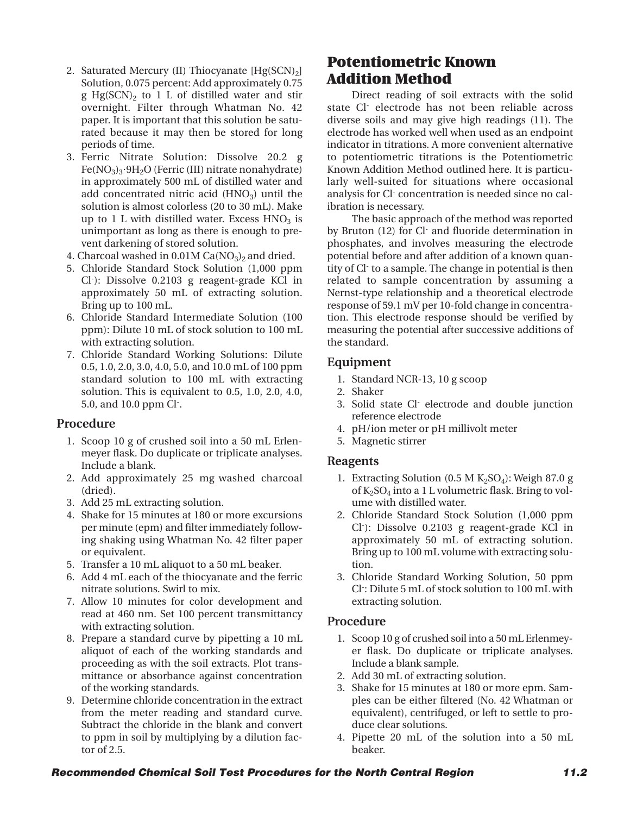- 2. Saturated Mercury (II) Thiocyanate  $[Hg(SCN)_2]$ Solution, 0.075 percent: Add approximately 0.75 g Hg(SCN) $_2$  to 1 L of distilled water and stir overnight. Filter through Whatman No. 42 paper. It is important that this solution be saturated because it may then be stored for long periods of time.
- 3. Ferric Nitrate Solution: Dissolve 20.2 g Fe(NO3)3**•**9H2O (Ferric (III) nitrate nonahydrate) in approximately 500 mL of distilled water and add concentrated nitric acid  $(HNO<sub>3</sub>)$  until the solution is almost colorless (20 to 30 mL). Make up to 1 L with distilled water. Excess  $HNO<sub>3</sub>$  is unimportant as long as there is enough to prevent darkening of stored solution.
- 4. Charcoal washed in  $0.01M$  Ca(NO<sub>3</sub>)<sub>2</sub> and dried.
- 5. Chloride Standard Stock Solution (1,000 ppm Cl- ): Dissolve 0.2103 g reagent-grade KCl in approximately 50 mL of extracting solution. Bring up to 100 mL.
- 6. Chloride Standard Intermediate Solution (100 ppm): Dilute 10 mL of stock solution to 100 mL with extracting solution.
- 7. Chloride Standard Working Solutions: Dilute 0.5, 1.0, 2.0, 3.0, 4.0, 5.0, and 10.0 mL of 100 ppm standard solution to 100 mL with extracting solution. This is equivalent to 0.5, 1.0, 2.0, 4.0, 5.0, and 10.0 ppm Cl- .

#### **Procedure**

- 1. Scoop 10 g of crushed soil into a 50 mL Erlenmeyer flask. Do duplicate or triplicate analyses. Include a blank.
- 2. Add approximately 25 mg washed charcoal (dried).
- 3. Add 25 mL extracting solution.
- 4. Shake for 15 minutes at 180 or more excursions per minute (epm) and filter immediately following shaking using Whatman No. 42 filter paper or equivalent.
- 5. Transfer a 10 mL aliquot to a 50 mL beaker.
- 6. Add 4 mL each of the thiocyanate and the ferric nitrate solutions. Swirl to mix.
- 7. Allow 10 minutes for color development and read at 460 nm. Set 100 percent transmittancy with extracting solution.
- 8. Prepare a standard curve by pipetting a 10 mL aliquot of each of the working standards and proceeding as with the soil extracts. Plot transmittance or absorbance against concentration of the working standards.
- 9. Determine chloride concentration in the extract from the meter reading and standard curve. Subtract the chloride in the blank and convert to ppm in soil by multiplying by a dilution factor of 2.5.

# **Potentiometric Known Addition Method**

Direct reading of soil extracts with the solid state Cl- electrode has not been reliable across diverse soils and may give high readings (11). The electrode has worked well when used as an endpoint indicator in titrations. A more convenient alternative to potentiometric titrations is the Potentiometric Known Addition Method outlined here. It is particularly well-suited for situations where occasional analysis for Cl- concentration is needed since no calibration is necessary.

The basic approach of the method was reported by Bruton (12) for Cl- and fluoride determination in phosphates, and involves measuring the electrode potential before and after addition of a known quantity of Cl- to a sample. The change in potential is then related to sample concentration by assuming a Nernst-type relationship and a theoretical electrode response of 59.1 mV per 10-fold change in concentration. This electrode response should be verified by measuring the potential after successive additions of the standard.

## **Equipment**

- 1. Standard NCR-13, 10 g scoop
- 2. Shaker
- 3. Solid state Cl- electrode and double junction reference electrode
- 4. pH/ion meter or pH millivolt meter
- 5. Magnetic stirrer

#### **Reagents**

- 1. Extracting Solution (0.5 M  $K_2SO_4$ ): Weigh 87.0 g of  $K_2SO_4$  into a 1 L volumetric flask. Bring to volume with distilled water.
- 2. Chloride Standard Stock Solution (1,000 ppm Cl- ): Dissolve 0.2103 g reagent-grade KCl in approximately 50 mL of extracting solution. Bring up to 100 mL volume with extracting solution.
- 3. Chloride Standard Working Solution, 50 ppm Cl- : Dilute 5 mL of stock solution to 100 mL with extracting solution.

#### **Procedure**

- 1. Scoop 10 g of crushed soil into a 50 mL Erlenmeyer flask. Do duplicate or triplicate analyses. Include a blank sample.
- 2. Add 30 mL of extracting solution.
- 3. Shake for 15 minutes at 180 or more epm. Samples can be either filtered (No. 42 Whatman or equivalent), centrifuged, or left to settle to produce clear solutions.
- 4. Pipette 20 mL of the solution into a 50 mL beaker.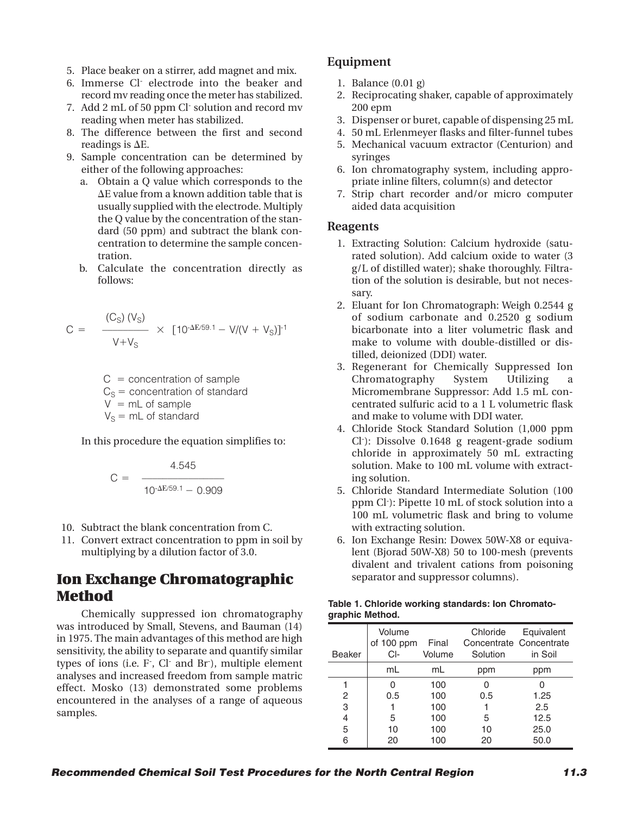- 5. Place beaker on a stirrer, add magnet and mix.
- 6. Immerse Cl- electrode into the beaker and record mv reading once the meter has stabilized.
- 7. Add 2 mL of 50 ppm Cl- solution and record mv reading when meter has stabilized.
- 8. The difference between the first and second readings is  $\Delta E$ .
- 9. Sample concentration can be determined by either of the following approaches:
	- a. Obtain a Q value which corresponds to the **D**E value from a known addition table that is usually supplied with the electrode. Multiply the Q value by the concentration of the standard (50 ppm) and subtract the blank concentration to determine the sample concentration.
	- b. Calculate the concentration directly as follows:

$$
C = \frac{(C_S) (V_S)}{V + V_S} \times [10^{-\Delta E/59.1} - V/(V + V_S)]^{-1}
$$

 $C =$  concentration of sample  $C<sub>S</sub>$  = concentration of standard  $V = mL of sample$  $V_S$  = mL of standard

In this procedure the equation simplifies to:

$$
C = \frac{4.545}{10^{-\Delta E/59.1} - 0.909}
$$

- 10. Subtract the blank concentration from C.
- 11. Convert extract concentration to ppm in soil by multiplying by a dilution factor of 3.0.

# **Ion Exchange Chromatographic Method**

Chemically suppressed ion chromatography was introduced by Small, Stevens, and Bauman (14) in 1975. The main advantages of this method are high sensitivity, the ability to separate and quantify similar types of ions (i.e. F<sup>-</sup>, Cl<sup>-</sup> and Br<sup>-</sup>), multiple element analyses and increased freedom from sample matric effect. Mosko (13) demonstrated some problems encountered in the analyses of a range of aqueous samples.

## **Equipment**

- 1. Balance (0.01 g)
- 2. Reciprocating shaker, capable of approximately 200 epm
- 3. Dispenser or buret, capable of dispensing 25 mL
- 4. 50 mL Erlenmeyer flasks and filter-funnel tubes
- 5. Mechanical vacuum extractor (Centurion) and syringes
- 6. Ion chromatography system, including appropriate inline filters, column(s) and detector
- 7. Strip chart recorder and/or micro computer aided data acquisition

#### **Reagents**

- 1. Extracting Solution: Calcium hydroxide (saturated solution). Add calcium oxide to water (3 g/L of distilled water); shake thoroughly. Filtration of the solution is desirable, but not necessary.
- 2. Eluant for Ion Chromatograph: Weigh 0.2544 g of sodium carbonate and 0.2520 g sodium bicarbonate into a liter volumetric flask and make to volume with double-distilled or distilled, deionized (DDI) water.
- 3. Regenerant for Chemically Suppressed Ion Chromatography System Utilizing a Micromembrane Suppressor: Add 1.5 mL concentrated sulfuric acid to a 1 L volumetric flask and make to volume with DDI water.
- 4. Chloride Stock Standard Solution (1,000 ppm Cl- ): Dissolve 0.1648 g reagent-grade sodium chloride in approximately 50 mL extracting solution. Make to 100 mL volume with extracting solution.
- 5. Chloride Standard Intermediate Solution (100 ppm Cl- ): Pipette 10 mL of stock solution into a 100 mL volumetric flask and bring to volume with extracting solution.
- 6. Ion Exchange Resin: Dowex 50W-X8 or equivalent (Bjorad 50W-X8) 50 to 100-mesh (prevents divalent and trivalent cations from poisoning separator and suppressor columns).

| Table 1. Chloride working standards: Ion Chromato- |  |  |
|----------------------------------------------------|--|--|
| graphic Method.                                    |  |  |

| <b>Beaker</b> | Volume<br>of 100 ppm<br>CI- | Final<br>Volume | Chloride<br>Solution | Equivalent<br>Concentrate Concentrate<br>in Soil |
|---------------|-----------------------------|-----------------|----------------------|--------------------------------------------------|
|               | mL                          | mL              | ppm                  | ppm                                              |
|               |                             | 100             |                      |                                                  |
| 2             | 0.5                         | 100             | 0.5                  | 1.25                                             |
| 3             |                             | 100             |                      | 2.5                                              |
| 4             | 5                           | 100             | 5                    | 12.5                                             |
| 5             | 10                          | 100             | 10                   | 25.0                                             |
| 6             | 20                          | 100             | 20                   | 50.0                                             |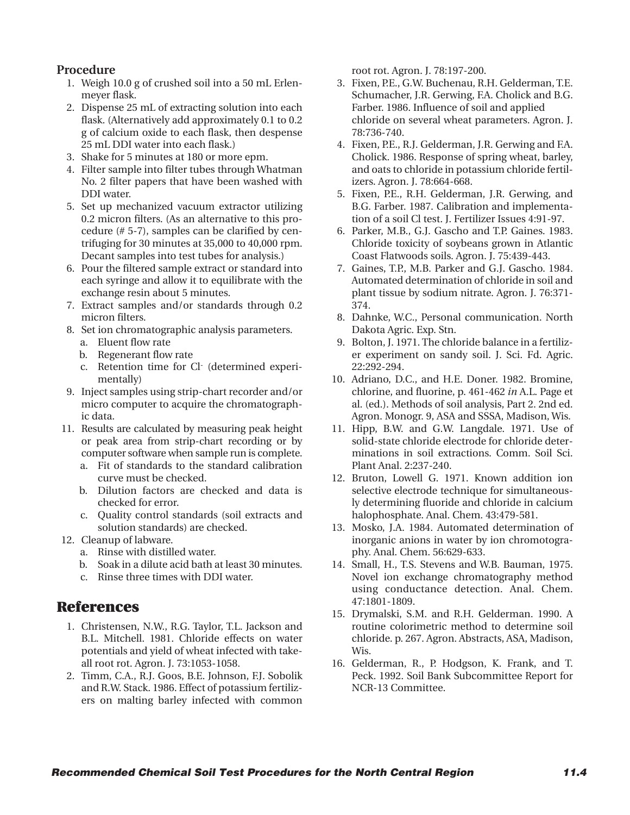## **Procedure**

- 1. Weigh 10.0 g of crushed soil into a 50 mL Erlenmeyer flask.
- 2. Dispense 25 mL of extracting solution into each flask. (Alternatively add approximately 0.1 to 0.2 g of calcium oxide to each flask, then despense 25 mL DDI water into each flask.)
- 3. Shake for 5 minutes at 180 or more epm.
- 4. Filter sample into filter tubes through Whatman No. 2 filter papers that have been washed with DDI water.
- 5. Set up mechanized vacuum extractor utilizing 0.2 micron filters. (As an alternative to this procedure (# 5-7), samples can be clarified by centrifuging for 30 minutes at 35,000 to 40,000 rpm. Decant samples into test tubes for analysis.)
- 6. Pour the filtered sample extract or standard into each syringe and allow it to equilibrate with the exchange resin about 5 minutes.
- 7. Extract samples and/or standards through 0.2 micron filters.
- 8. Set ion chromatographic analysis parameters.
	- a. Eluent flow rate
	- b. Regenerant flow rate
	- c. Retention time for Cl- (determined experimentally)
- 9. Inject samples using strip-chart recorder and/or micro computer to acquire the chromatographic data.
- 11. Results are calculated by measuring peak height or peak area from strip-chart recording or by computer software when sample run is complete.
	- a. Fit of standards to the standard calibration curve must be checked.
	- b. Dilution factors are checked and data is checked for error.
	- c. Quality control standards (soil extracts and solution standards) are checked.
- 12. Cleanup of labware.
	- a. Rinse with distilled water.
	- b. Soak in a dilute acid bath at least 30 minutes.
	- c. Rinse three times with DDI water.

# **References**

- 1. Christensen, N.W., R.G. Taylor, T.L. Jackson and B.L. Mitchell. 1981. Chloride effects on water potentials and yield of wheat infected with takeall root rot. Agron. J. 73:1053-1058.
- 2. Timm, C.A., R.J. Goos, B.E. Johnson, F.J. Sobolik and R.W. Stack. 1986. Effect of potassium fertilizers on malting barley infected with common

root rot. Agron. J. 78:197-200.

- 3. Fixen, P.E., G.W. Buchenau, R.H. Gelderman, T.E. Schumacher, J.R. Gerwing, F.A. Cholick and B.G. Farber. 1986. Influence of soil and applied chloride on several wheat parameters. Agron. J. 78:736-740.
- 4. Fixen, P.E., R.J. Gelderman, J.R. Gerwing and F.A. Cholick. 1986. Response of spring wheat, barley, and oats to chloride in potassium chloride fertilizers. Agron. J. 78:664-668.
- 5. Fixen, P.E., R.H. Gelderman, J.R. Gerwing, and B.G. Farber. 1987. Calibration and implementation of a soil Cl test. J. Fertilizer Issues 4:91-97.
- 6. Parker, M.B., G.J. Gascho and T.P. Gaines. 1983. Chloride toxicity of soybeans grown in Atlantic Coast Flatwoods soils. Agron. J. 75:439-443.
- 7. Gaines, T.P., M.B. Parker and G.J. Gascho. 1984. Automated determination of chloride in soil and plant tissue by sodium nitrate. Agron. J. 76:371- 374.
- 8. Dahnke, W.C., Personal communication. North Dakota Agric. Exp. Stn.
- 9. Bolton, J. 1971. The chloride balance in a fertilizer experiment on sandy soil. J. Sci. Fd. Agric. 22:292-294.
- 10. Adriano, D.C., and H.E. Doner. 1982. Bromine, chlorine, and fluorine, p. 461-462 *in* A.L. Page et al. (ed.). Methods of soil analysis, Part 2. 2nd ed. Agron. Monogr. 9, ASA and SSSA, Madison, Wis.
- 11. Hipp, B.W. and G.W. Langdale. 1971. Use of solid-state chloride electrode for chloride determinations in soil extractions. Comm. Soil Sci. Plant Anal. 2:237-240.
- 12. Bruton, Lowell G. 1971. Known addition ion selective electrode technique for simultaneously determining fluoride and chloride in calcium halophosphate. Anal. Chem. 43:479-581.
- 13. Mosko, J.A. 1984. Automated determination of inorganic anions in water by ion chromotography. Anal. Chem. 56:629-633.
- 14. Small, H., T.S. Stevens and W.B. Bauman, 1975. Novel ion exchange chromatography method using conductance detection. Anal. Chem. 47:1801-1809.
- 15. Drymalski, S.M. and R.H. Gelderman. 1990. A routine colorimetric method to determine soil chloride. p. 267. Agron. Abstracts, ASA, Madison, Wis.
- 16. Gelderman, R., P. Hodgson, K. Frank, and T. Peck. 1992. Soil Bank Subcommittee Report for NCR-13 Committee.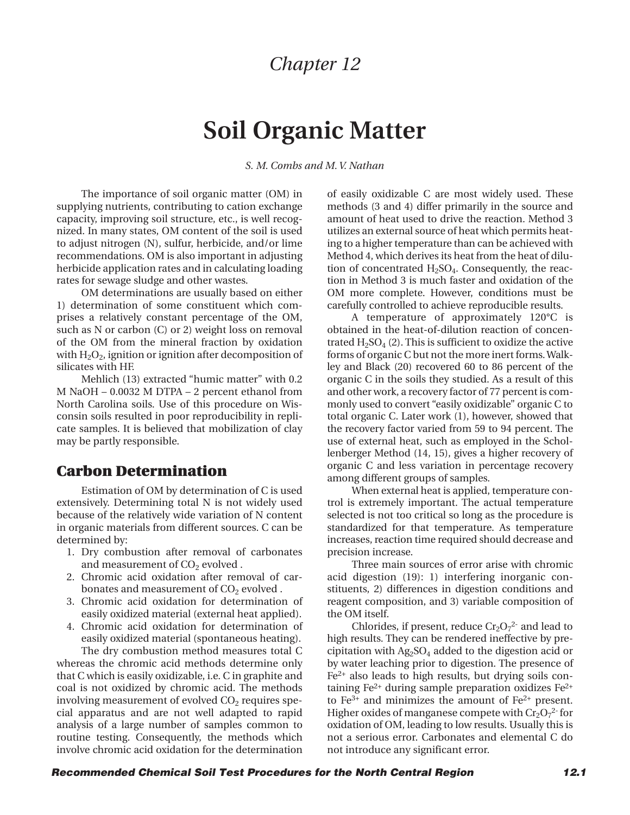# **Soil Organic Matter**

*S. M. Combs and M. V. Nathan*

The importance of soil organic matter (OM) in supplying nutrients, contributing to cation exchange capacity, improving soil structure, etc., is well recognized. In many states, OM content of the soil is used to adjust nitrogen (N), sulfur, herbicide, and/or lime recommendations. OM is also important in adjusting herbicide application rates and in calculating loading rates for sewage sludge and other wastes.

OM determinations are usually based on either 1) determination of some constituent which comprises a relatively constant percentage of the OM, such as N or carbon (C) or 2) weight loss on removal of the OM from the mineral fraction by oxidation with  $H_2O_2$ , ignition or ignition after decomposition of silicates with HF.

Mehlich (13) extracted "humic matter" with 0.2 M NaOH – 0.0032 M DTPA – 2 percent ethanol from North Carolina soils. Use of this procedure on Wisconsin soils resulted in poor reproducibility in replicate samples. It is believed that mobilization of clay may be partly responsible.

## **Carbon Determination**

Estimation of OM by determination of C is used extensively. Determining total N is not widely used because of the relatively wide variation of N content in organic materials from different sources. C can be determined by:

- 1. Dry combustion after removal of carbonates and measurement of  $CO<sub>2</sub>$  evolved.
- 2. Chromic acid oxidation after removal of carbonates and measurement of  $CO<sub>2</sub>$  evolved.
- 3. Chromic acid oxidation for determination of easily oxidized material (external heat applied).
- 4. Chromic acid oxidation for determination of easily oxidized material (spontaneous heating).

The dry combustion method measures total C whereas the chromic acid methods determine only that C which is easily oxidizable, i.e. C in graphite and coal is not oxidized by chromic acid. The methods involving measurement of evolved  $CO<sub>2</sub>$  requires special apparatus and are not well adapted to rapid analysis of a large number of samples common to routine testing. Consequently, the methods which involve chromic acid oxidation for the determination of easily oxidizable C are most widely used. These methods (3 and 4) differ primarily in the source and amount of heat used to drive the reaction. Method 3 utilizes an external source of heat which permits heating to a higher temperature than can be achieved with Method 4, which derives its heat from the heat of dilution of concentrated  $H<sub>2</sub>SO<sub>4</sub>$ . Consequently, the reaction in Method 3 is much faster and oxidation of the OM more complete. However, conditions must be carefully controlled to achieve reproducible results.

A temperature of approximately 120°C is obtained in the heat-of-dilution reaction of concentrated  $H_2SO_4$  (2). This is sufficient to oxidize the active forms of organic C but not the more inert forms. Walkley and Black (20) recovered 60 to 86 percent of the organic C in the soils they studied. As a result of this and other work, a recovery factor of 77 percent is commonly used to convert "easily oxidizable" organic C to total organic C. Later work (1), however, showed that the recovery factor varied from 59 to 94 percent. The use of external heat, such as employed in the Schollenberger Method (14, 15), gives a higher recovery of organic C and less variation in percentage recovery among different groups of samples.

When external heat is applied, temperature control is extremely important. The actual temperature selected is not too critical so long as the procedure is standardized for that temperature. As temperature increases, reaction time required should decrease and precision increase.

Three main sources of error arise with chromic acid digestion (19): 1) interfering inorganic constituents, 2) differences in digestion conditions and reagent composition, and 3) variable composition of the OM itself.

Chlorides, if present, reduce  $Cr_2O_7^{2}$  and lead to high results. They can be rendered ineffective by precipitation with  $Ag_2SO_4$  added to the digestion acid or by water leaching prior to digestion. The presence of Fe2+ also leads to high results, but drying soils containing  $Fe<sup>2+</sup>$  during sample preparation oxidizes  $Fe<sup>2+</sup>$ to  $Fe^{3+}$  and minimizes the amount of  $Fe^{2+}$  present. Higher oxides of manganese compete with  $Cr_2O_7^2$  for oxidation of OM, leading to low results. Usually this is not a serious error. Carbonates and elemental C do not introduce any significant error.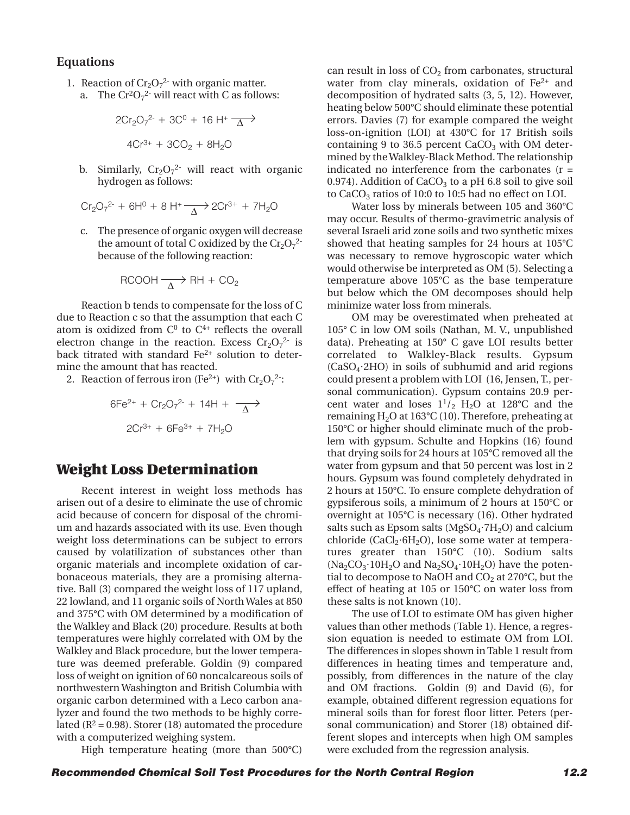#### **Equations**

1. Reaction of  $Cr_2O_7^2$  with organic matter.

a. The 
$$
Cr^2O_7^2
$$
 will react with C as follows:

$$
2Cr2O72- + 3C0 + 16 H+ \overline{\Delta}
$$
  

$$
4Cr3+ + 3CO2 + 8H2O
$$

b. Similarly,  $Cr_2O_7^2$  will react with organic hydrogen as follows:

$$
Cr_2O_7^{2-} + 6H^0 + 8 H^+ \longrightarrow 2Cr^{3+} + 7H_2O
$$

c. The presence of organic oxygen will decrease the amount of total C oxidized by the  $Cr_2O_7^{2-}$ because of the following reaction:

$$
RCOOH \xrightarrow[\Delta]{ } RH + CO_2
$$

Reaction b tends to compensate for the loss of C due to Reaction c so that the assumption that each C atom is oxidized from  $C^0$  to  $C^{4+}$  reflects the overall electron change in the reaction. Excess  $Cr_2O_7^{2-}$  is back titrated with standard Fe<sup>2+</sup> solution to determine the amount that has reacted.

2. Reaction of ferrous iron (Fe<sup>2+</sup>) with  $Cr_2O_7^2$ :

$$
6Fe^{2+} + Cr_2O_7^{2-} + 14H + \frac{\longrightarrow}{\Delta}
$$
  
2Cr<sup>3+</sup> + 6Fe<sup>3+</sup> + 7H<sub>2</sub>O

## **Weight Loss Determination**

Recent interest in weight loss methods has arisen out of a desire to eliminate the use of chromic acid because of concern for disposal of the chromium and hazards associated with its use. Even though weight loss determinations can be subject to errors caused by volatilization of substances other than organic materials and incomplete oxidation of carbonaceous materials, they are a promising alternative. Ball (3) compared the weight loss of 117 upland, 22 lowland, and 11 organic soils of North Wales at 850 and 375°C with OM determined by a modification of the Walkley and Black (20) procedure. Results at both temperatures were highly correlated with OM by the Walkley and Black procedure, but the lower temperature was deemed preferable. Goldin (9) compared loss of weight on ignition of 60 noncalcareous soils of northwestern Washington and British Columbia with organic carbon determined with a Leco carbon analyzer and found the two methods to be highly correlated ( $R^2$  = 0.98). Storer (18) automated the procedure with a computerized weighing system.

High temperature heating (more than 500°C)

can result in loss of  $CO<sub>2</sub>$  from carbonates, structural water from clay minerals, oxidation of  $Fe<sup>2+</sup>$  and decomposition of hydrated salts (3, 5, 12). However, heating below 500°C should eliminate these potential errors. Davies (7) for example compared the weight loss-on-ignition (LOI) at 430°C for 17 British soils containing 9 to 36.5 percent  $CaCO<sub>3</sub>$  with OM determined by the Walkley-Black Method. The relationship indicated no interference from the carbonates (r = 0.974). Addition of  $CaCO<sub>3</sub>$  to a pH 6.8 soil to give soil to CaCO<sub>3</sub> ratios of 10:0 to 10:5 had no effect on LOI.

Water loss by minerals between 105 and 360°C may occur. Results of thermo-gravimetric analysis of several Israeli arid zone soils and two synthetic mixes showed that heating samples for 24 hours at 105°C was necessary to remove hygroscopic water which would otherwise be interpreted as OM (5). Selecting a temperature above 105°C as the base temperature but below which the OM decomposes should help minimize water loss from minerals.

OM may be overestimated when preheated at 105° C in low OM soils (Nathan, M. V., unpublished data). Preheating at 150° C gave LOI results better correlated to Walkley-Black results. Gypsum (CaSO4**•**2HO) in soils of subhumid and arid regions could present a problem with LOI (16, Jensen, T., personal communication). Gypsum contains 20.9 percent water and loses  $1^{1}/_{2}$  H<sub>2</sub>O at 128°C and the remaining  $H_2O$  at 163°C (10). Therefore, preheating at 150°C or higher should eliminate much of the problem with gypsum. Schulte and Hopkins (16) found that drying soils for 24 hours at 105°C removed all the water from gypsum and that 50 percent was lost in 2 hours. Gypsum was found completely dehydrated in 2 hours at 150°C. To ensure complete dehydration of gypsiferous soils, a minimum of 2 hours at 150°C or overnight at 105°C is necessary (16). Other hydrated salts such as Epsom salts (MgSO<sub>4</sub>·7H<sub>2</sub>O) and calcium chloride (CaCl<sub>2</sub>·6H<sub>2</sub>O), lose some water at temperatures greater than 150°C (10). Sodium salts  $(Na_2CO_3 \cdot 10H_2O$  and  $Na_2SO_4 \cdot 10H_2O$  have the potential to decompose to NaOH and  $CO<sub>2</sub>$  at 270°C, but the effect of heating at 105 or 150°C on water loss from these salts is not known (10).

The use of LOI to estimate OM has given higher values than other methods (Table 1). Hence, a regression equation is needed to estimate OM from LOI. The differences in slopes shown in Table 1 result from differences in heating times and temperature and, possibly, from differences in the nature of the clay and OM fractions. Goldin (9) and David (6), for example, obtained different regression equations for mineral soils than for forest floor litter. Peters (personal communication) and Storer (18) obtained different slopes and intercepts when high OM samples were excluded from the regression analysis.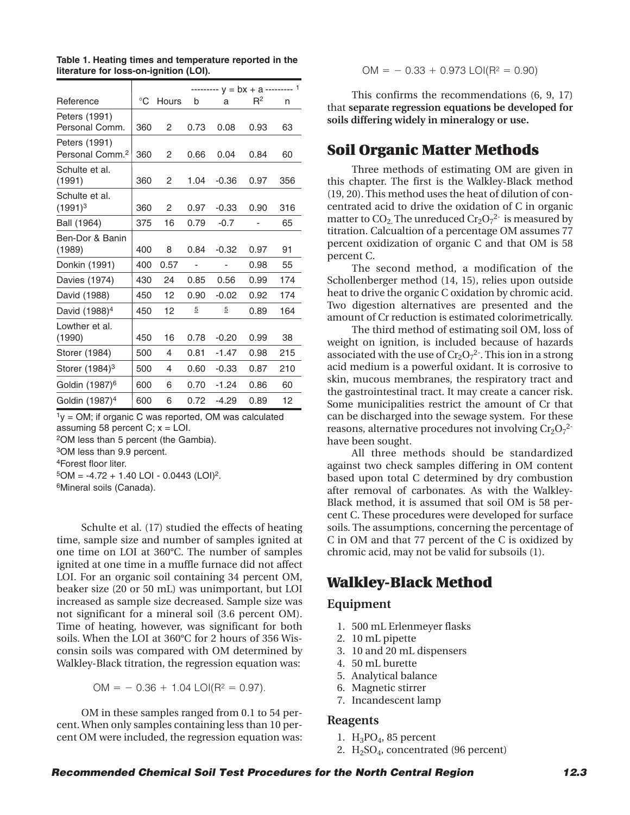| Reference                                    | °C  | Hours | b    | a       | $R^2$ | n   |
|----------------------------------------------|-----|-------|------|---------|-------|-----|
| Peters (1991)<br>Personal Comm.              | 360 | 2     | 0.73 | 0.08    | 0.93  | 63  |
| Peters (1991)<br>Personal Comm. <sup>2</sup> | 360 | 2     | 0.66 | 0.04    | 0.84  | 60  |
| Schulte et al.<br>(1991)                     | 360 | 2     | 1.04 | $-0.36$ | 0.97  | 356 |
| Schulte et al.<br>$(1991)^3$                 | 360 | 2     | 0.97 | $-0.33$ | 0.90  | 316 |
| Ball (1964)                                  | 375 | 16    | 0.79 | $-0.7$  |       | 65  |
| Ben-Dor & Banin<br>(1989)                    | 400 | 8     | 0.84 | $-0.32$ | 0.97  | 91  |
| Donkin (1991)                                | 400 | 0.57  | ٠    |         | 0.98  | 55  |
| Davies (1974)                                | 430 | 24    | 0.85 | 0.56    | 0.99  | 174 |
| David (1988)                                 | 450 | 12    | 0.90 | $-0.02$ | 0.92  | 174 |
| David (1988) <sup>4</sup>                    | 450 | 12    | 5    | 5       | 0.89  | 164 |
| Lowther et al.<br>(1990)                     | 450 | 16    | 0.78 | $-0.20$ | 0.99  | 38  |
| Storer (1984)                                | 500 | 4     | 0.81 | $-1.47$ | 0.98  | 215 |
| Storer (1984) <sup>3</sup>                   | 500 | 4     | 0.60 | $-0.33$ | 0.87  | 210 |
| Goldin (1987) <sup>6</sup>                   | 600 | 6     | 0.70 | $-1.24$ | 0.86  | 60  |
| Goldin (1987) <sup>4</sup>                   | 600 | 6     | 0.72 | $-4.29$ | 0.89  | 12  |

**Table 1. Heating times and temperature reported in the literature for loss-on-ignition (LOI).**

 $1_V = OM$ ; if organic C was reported, OM was calculated assuming 58 percent  $C$ ;  $x =$  LOI.

2OM less than 5 percent (the Gambia).

3OM less than 9.9 percent.

4Forest floor liter.

 $5OM = -4.72 + 1.40$  LOI - 0.0443 (LOI)<sup>2</sup>.

6Mineral soils (Canada).

Schulte et al. (17) studied the effects of heating time, sample size and number of samples ignited at one time on LOI at 360°C. The number of samples ignited at one time in a muffle furnace did not affect LOI. For an organic soil containing 34 percent OM, beaker size (20 or 50 mL) was unimportant, but LOI increased as sample size decreased. Sample size was not significant for a mineral soil (3.6 percent OM). Time of heating, however, was significant for both soils. When the LOI at 360°C for 2 hours of 356 Wisconsin soils was compared with OM determined by Walkley-Black titration, the regression equation was:

 $OM = -0.36 + 1.04$  LOI(R<sup>2</sup> = 0.97).

OM in these samples ranged from 0.1 to 54 percent. When only samples containing less than 10 percent OM were included, the regression equation was:

$$
OM = -0.33 + 0.973
$$
  $LOI(R2 = 0.90)$ 

This confirms the recommendations (6, 9, 17) that **separate regression equations be developed for soils differing widely in mineralogy or use.**

### **Soil Organic Matter Methods**

Three methods of estimating OM are given in this chapter. The first is the Walkley-Black method (19, 20). This method uses the heat of dilution of concentrated acid to drive the oxidation of C in organic matter to CO<sub>2.</sub> The unreduced Cr<sub>2</sub>O<sub>7</sub><sup>2-</sup> is measured by titration. Calcualtion of a percentage OM assumes 77 percent oxidization of organic C and that OM is 58 percent C.

The second method, a modification of the Schollenberger method (14, 15), relies upon outside heat to drive the organic C oxidation by chromic acid. Two digestion alternatives are presented and the amount of Cr reduction is estimated colorimetrically.

The third method of estimating soil OM, loss of weight on ignition, is included because of hazards associated with the use of  $Cr_2O_7^2$ . This ion in a strong acid medium is a powerful oxidant. It is corrosive to skin, mucous membranes, the respiratory tract and the gastrointestinal tract. It may create a cancer risk. Some municipalities restrict the amount of Cr that can be discharged into the sewage system. For these reasons, alternative procedures not involving  $\rm Cr_2O_7$ <sup>2-</sup> have been sought.

All three methods should be standardized against two check samples differing in OM content based upon total C determined by dry combustion after removal of carbonates. As with the Walkley-Black method, it is assumed that soil OM is 58 percent C. These procedures were developed for surface soils. The assumptions, concerning the percentage of C in OM and that 77 percent of the C is oxidized by chromic acid, may not be valid for subsoils (1).

# **Walkley-Black Method**

#### **Equipment**

- 1. 500 mL Erlenmeyer flasks
- 2. 10 mL pipette
- 3. 10 and 20 mL dispensers
- 4. 50 mL burette
- 5. Analytical balance
- 6. Magnetic stirrer
- 7. Incandescent lamp

#### **Reagents**

- 1.  $H_3PO_4$ , 85 percent
- 2.  $H_2SO_4$ , concentrated (96 percent)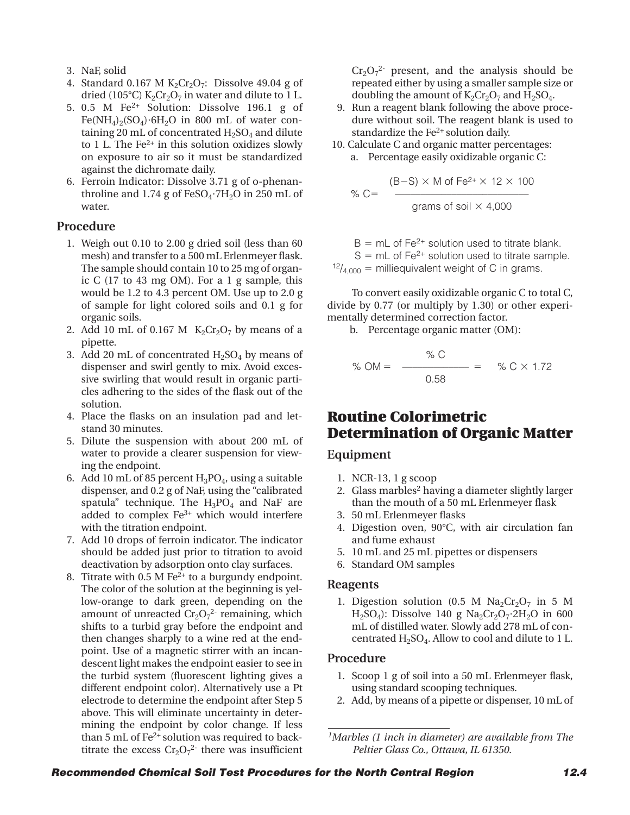- 3. NaF, solid
- 4. Standard 0.167 M  $K_2Cr_2O_7$ : Dissolve 49.04 g of dried (105°C)  $K_2Cr_2O_7$  in water and dilute to 1 L.
- 5. 0.5 M Fe2+ Solution: Dissolve 196.1 g of  $Fe(NH_4)_2(SO_4) \cdot 6H_2O$  in 800 mL of water containing 20 mL of concentrated  $H_2SO_4$  and dilute to 1 L. The  $Fe<sup>2+</sup>$  in this solution oxidizes slowly on exposure to air so it must be standardized against the dichromate daily.
- 6. Ferroin Indicator: Dissolve 3.71 g of o-phenanthroline and 1.74 g of FeSO<sub>4</sub>·7H<sub>2</sub>O in 250 mL of water.

### **Procedure**

- 1. Weigh out 0.10 to 2.00 g dried soil (less than 60 mesh) and transfer to a 500 mL Erlenmeyer flask. The sample should contain 10 to 25 mg of organic C (17 to 43 mg OM). For a 1 g sample, this would be 1.2 to 4.3 percent OM. Use up to 2.0 g of sample for light colored soils and 0.1 g for organic soils.
- 2. Add 10 mL of 0.167 M  $K_2Cr_2O_7$  by means of a pipette.
- 3. Add 20 mL of concentrated  $H<sub>2</sub>SO<sub>4</sub>$  by means of dispenser and swirl gently to mix. Avoid excessive swirling that would result in organic particles adhering to the sides of the flask out of the solution.
- 4. Place the flasks on an insulation pad and letstand 30 minutes.
- 5. Dilute the suspension with about 200 mL of water to provide a clearer suspension for viewing the endpoint.
- 6. Add 10 mL of 85 percent  $H_3PO_4$ , using a suitable dispenser, and 0.2 g of NaF, using the "calibrated spatula" technique. The  $H_3PO_4$  and NaF are added to complex Fe3+ which would interfere with the titration endpoint.
- 7. Add 10 drops of ferroin indicator. The indicator should be added just prior to titration to avoid deactivation by adsorption onto clay surfaces.
- 8. Titrate with  $0.5 M Fe<sup>2+</sup>$  to a burgundy endpoint. The color of the solution at the beginning is yellow-orange to dark green, depending on the amount of unreacted  $Cr_2O_7^2$  remaining, which shifts to a turbid gray before the endpoint and then changes sharply to a wine red at the endpoint. Use of a magnetic stirrer with an incandescent light makes the endpoint easier to see in the turbid system (fluorescent lighting gives a different endpoint color). Alternatively use a Pt electrode to determine the endpoint after Step 5 above. This will eliminate uncertainty in determining the endpoint by color change. If less than 5 mL of Fe<sup>2+</sup> solution was required to backtitrate the excess  $Cr_2O_7^2$  there was insufficient

 $Cr_2O_7^2$  present, and the analysis should be repeated either by using a smaller sample size or doubling the amount of  $K_2Cr_2O_7$  and  $H_2SO_4$ .

- 9. Run a reagent blank following the above procedure without soil. The reagent blank is used to standardize the Fe<sup>2+</sup> solution daily.
- 10. Calculate C and organic matter percentages: a. Percentage easily oxidizable organic C:

% C=  
\n
$$
{}^{(B-S) \times M \text{ of } Fe^{2+} \times 12 \times 100}
$$
\n
$$
S = \frac{1}{2}
$$
\n
$$
S = \frac{1}{2}
$$
\n
$$
S = \frac{1}{2}
$$
\n
$$
S = \frac{1}{2}
$$
\n
$$
S = \frac{1}{2}
$$
\n
$$
S = \frac{1}{2}
$$

 $B = mL$  of Fe<sup>2+</sup> solution used to titrate blank.  $S = mL$  of Fe<sup>2+</sup> solution used to titrate sample.  $12/4,000 =$  milliequivalent weight of C in grams.

To convert easily oxidizable organic C to total C, divide by 0.77 (or multiply by 1.30) or other experimentally determined correction factor.

b. Percentage organic matter (OM):

% OM = 
$$
\frac{\% C}{0.58}
$$
 =  $\% C \times 1.72$ 

## **Routine Colorimetric Determination of Organic Matter**

#### **Equipment**

- 1. NCR-13, 1 g scoop
- 2. Glass marbles<sup>2</sup> having a diameter slightly larger than the mouth of a 50 mL Erlenmeyer flask
- 3. 50 mL Erlenmeyer flasks
- 4. Digestion oven, 90°C, with air circulation fan and fume exhaust
- 5. 10 mL and 25 mL pipettes or dispensers
- 6. Standard OM samples

#### **Reagents**

1. Digestion solution (0.5 M  $\text{Na}_2\text{Cr}_2\text{O}_7$  in 5 M H<sub>2</sub>SO<sub>4</sub>): Dissolve 140 g Na<sub>2</sub>Cr<sub>2</sub>O<sub>7</sub>·2H<sub>2</sub>O in 600 mL of distilled water. Slowly add 278 mL of concentrated  $H_2SO_4$ . Allow to cool and dilute to 1 L.

#### **Procedure**

- 1. Scoop 1 g of soil into a 50 mL Erlenmeyer flask, using standard scooping techniques.
- 2. Add, by means of a pipette or dispenser, 10 mL of

*<sup>1</sup>Marbles (1 inch in diameter) are available from The Peltier Glass Co., Ottawa, IL 61350.*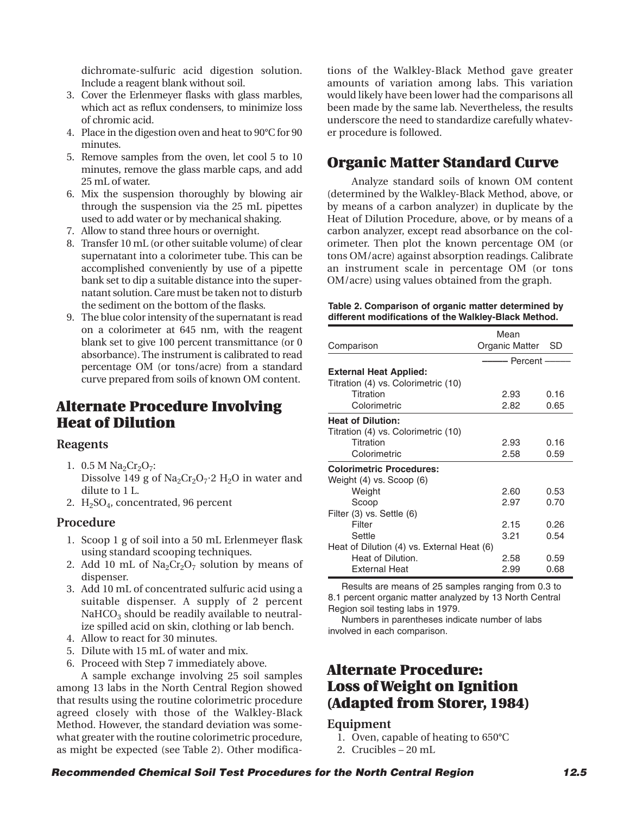dichromate-sulfuric acid digestion solution. Include a reagent blank without soil.

- 3. Cover the Erlenmeyer flasks with glass marbles, which act as reflux condensers, to minimize loss of chromic acid.
- 4. Place in the digestion oven and heat to 90°C for 90 minutes.
- 5. Remove samples from the oven, let cool 5 to 10 minutes, remove the glass marble caps, and add 25 mL of water.
- 6. Mix the suspension thoroughly by blowing air through the suspension via the 25 mL pipettes used to add water or by mechanical shaking.
- 7. Allow to stand three hours or overnight.
- 8. Transfer 10 mL (or other suitable volume) of clear supernatant into a colorimeter tube. This can be accomplished conveniently by use of a pipette bank set to dip a suitable distance into the supernatant solution. Care must be taken not to disturb the sediment on the bottom of the flasks.
- 9. The blue color intensity of the supernatant is read on a colorimeter at 645 nm, with the reagent blank set to give 100 percent transmittance (or 0 absorbance). The instrument is calibrated to read percentage OM (or tons/acre) from a standard curve prepared from soils of known OM content.

# **Alternate Procedure Involving Heat of Dilution**

#### **Reagents**

- 1.  $0.5 M Na<sub>2</sub>Cr<sub>2</sub>O<sub>7</sub>$ : Dissolve 149 g of  $Na<sub>2</sub>Cr<sub>2</sub>O<sub>7</sub>$ <sup>2</sup> H<sub>2</sub>O in water and dilute to 1 L.
- 2.  $H<sub>2</sub>SO<sub>4</sub>$ , concentrated, 96 percent

#### **Procedure**

- 1. Scoop 1 g of soil into a 50 mL Erlenmeyer flask using standard scooping techniques.
- 2. Add 10 mL of  $Na<sub>2</sub>Cr<sub>2</sub>O<sub>7</sub>$  solution by means of dispenser.
- 3. Add 10 mL of concentrated sulfuric acid using a suitable dispenser. A supply of 2 percent  $NAHCO<sub>3</sub>$  should be readily available to neutralize spilled acid on skin, clothing or lab bench.
- 4. Allow to react for 30 minutes.
- 5. Dilute with 15 mL of water and mix.
- 6. Proceed with Step 7 immediately above.

A sample exchange involving 25 soil samples among 13 labs in the North Central Region showed that results using the routine colorimetric procedure agreed closely with those of the Walkley-Black Method. However, the standard deviation was somewhat greater with the routine colorimetric procedure, as might be expected (see Table 2). Other modifications of the Walkley-Black Method gave greater amounts of variation among labs. This variation would likely have been lower had the comparisons all been made by the same lab. Nevertheless, the results underscore the need to standardize carefully whatever procedure is followed.

# **Organic Matter Standard Curve**

Analyze standard soils of known OM content (determined by the Walkley-Black Method, above, or by means of a carbon analyzer) in duplicate by the Heat of Dilution Procedure, above, or by means of a carbon analyzer, except read absorbance on the colorimeter. Then plot the known percentage OM (or tons OM/acre) against absorption readings. Calibrate an instrument scale in percentage OM (or tons OM/acre) using values obtained from the graph.

#### **Table 2. Comparison of organic matter determined by different modifications of the Walkley-Black Method.**

|                                            | Mean              |      |
|--------------------------------------------|-------------------|------|
| Comparison                                 | Organic Matter SD |      |
|                                            | ——— Percent —     |      |
| <b>External Heat Applied:</b>              |                   |      |
| Titration (4) vs. Colorimetric (10)        |                   |      |
| Titration                                  | 2.93              | 0.16 |
| Colorimetric                               | 2.82              | 0.65 |
| <b>Heat of Dilution:</b>                   |                   |      |
| Titration (4) vs. Colorimetric (10)        |                   |      |
| Titration                                  | 2.93              | 0.16 |
| Colorimetric                               | 2.58              | 0.59 |
| <b>Colorimetric Procedures:</b>            |                   |      |
| Weight (4) vs. Scoop (6)                   |                   |      |
| Weight                                     | 2.60              | 0.53 |
| Scoop                                      | 2.97              | 0.70 |
| Filter (3) vs. Settle (6)                  |                   |      |
| Filter                                     | 2.15              | 0.26 |
| Settle                                     | 3.21              | 0.54 |
| Heat of Dilution (4) vs. External Heat (6) |                   |      |
| Heat of Dilution.                          | 2.58              | 0.59 |
| External Heat                              | 2.99              | 0.68 |

Results are means of 25 samples ranging from 0.3 to 8.1 percent organic matter analyzed by 13 North Central Region soil testing labs in 1979.

Numbers in parentheses indicate number of labs involved in each comparison.

# **Alternate Procedure: Loss of Weight on Ignition (Adapted from Storer, 1984)**

#### **Equipment**

- 1. Oven, capable of heating to 650°C
- 2. Crucibles 20 mL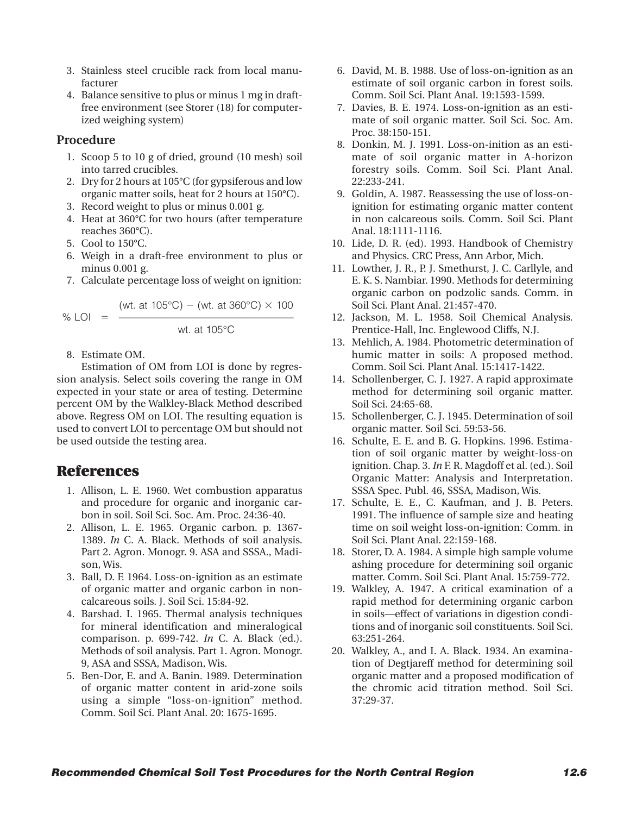- 3. Stainless steel crucible rack from local manufacturer
- 4. Balance sensitive to plus or minus 1 mg in draftfree environment (see Storer (18) for computerized weighing system)

#### **Procedure**

- 1. Scoop 5 to 10 g of dried, ground (10 mesh) soil into tarred crucibles.
- 2. Dry for 2 hours at 105°C (for gypsiferous and low organic matter soils, heat for 2 hours at 150°C).
- 3. Record weight to plus or minus 0.001 g.
- 4. Heat at 360°C for two hours (after temperature reaches 360°C).
- 5. Cool to 150°C.
- 6. Weigh in a draft-free environment to plus or minus 0.001 g.
- 7. Calculate percentage loss of weight on ignition:

% LOI = 
$$
\frac{\text{(wt. at 105°C)} - \text{(wt. at 360°C)} \times 100}{\text{wt. at 105°C}}
$$

8. Estimate OM.

Estimation of OM from LOI is done by regression analysis. Select soils covering the range in OM expected in your state or area of testing. Determine percent OM by the Walkley-Black Method described above. Regress OM on LOI. The resulting equation is used to convert LOI to percentage OM but should not be used outside the testing area.

# **References**

- 1. Allison, L. E. 1960. Wet combustion apparatus and procedure for organic and inorganic carbon in soil. Soil Sci. Soc. Am. Proc. 24:36-40.
- 2. Allison, L. E. 1965. Organic carbon. p. 1367- 1389. *In* C. A. Black. Methods of soil analysis. Part 2. Agron. Monogr. 9. ASA and SSSA., Madison, Wis.
- 3. Ball, D. F. 1964. Loss-on-ignition as an estimate of organic matter and organic carbon in noncalcareous soils. J. Soil Sci. 15:84-92.
- 4. Barshad. I. 1965. Thermal analysis techniques for mineral identification and mineralogical comparison. p. 699-742. *In* C. A. Black (ed.). Methods of soil analysis. Part 1. Agron. Monogr. 9, ASA and SSSA, Madison, Wis.
- 5. Ben-Dor, E. and A. Banin. 1989. Determination of organic matter content in arid-zone soils using a simple "loss-on-ignition" method. Comm. Soil Sci. Plant Anal. 20: 1675-1695.
- 6. David, M. B. 1988. Use of loss-on-ignition as an estimate of soil organic carbon in forest soils. Comm. Soil Sci. Plant Anal. 19:1593-1599.
- 7. Davies, B. E. 1974. Loss-on-ignition as an estimate of soil organic matter. Soil Sci. Soc. Am. Proc. 38:150-151.
- 8. Donkin, M. J. 1991. Loss-on-inition as an estimate of soil organic matter in A-horizon forestry soils. Comm. Soil Sci. Plant Anal. 22:233-241.
- 9. Goldin, A. 1987. Reassessing the use of loss-onignition for estimating organic matter content in non calcareous soils. Comm. Soil Sci. Plant Anal. 18:1111-1116.
- 10. Lide, D. R. (ed). 1993. Handbook of Chemistry and Physics. CRC Press, Ann Arbor, Mich.
- 11. Lowther, J. R., P. J. Smethurst, J. C. Carllyle, and E. K. S. Nambiar. 1990. Methods for determining organic carbon on podzolic sands. Comm. in Soil Sci. Plant Anal. 21:457-470.
- 12. Jackson, M. L. 1958. Soil Chemical Analysis. Prentice-Hall, Inc. Englewood Cliffs, N.J.
- 13. Mehlich, A. 1984. Photometric determination of humic matter in soils: A proposed method. Comm. Soil Sci. Plant Anal. 15:1417-1422.
- 14. Schollenberger, C. J. 1927. A rapid approximate method for determining soil organic matter. Soil Sci. 24:65-68.
- 15. Schollenberger, C. J. 1945. Determination of soil organic matter. Soil Sci. 59:53-56.
- 16. Schulte, E. E. and B. G. Hopkins. 1996. Estimation of soil organic matter by weight-loss-on ignition. Chap. 3. *In* F. R. Magdoff et al. (ed.). Soil Organic Matter: Analysis and Interpretation. SSSA Spec. Publ. 46, SSSA, Madison, Wis.
- 17. Schulte, E. E., C. Kaufman, and J. B. Peters. 1991. The influence of sample size and heating time on soil weight loss-on-ignition: Comm. in Soil Sci. Plant Anal. 22:159-168.
- 18. Storer, D. A. 1984. A simple high sample volume ashing procedure for determining soil organic matter. Comm. Soil Sci. Plant Anal. 15:759-772.
- 19. Walkley, A. 1947. A critical examination of a rapid method for determining organic carbon in soils—effect of variations in digestion conditions and of inorganic soil constituents. Soil Sci. 63:251-264.
- 20. Walkley, A., and I. A. Black. 1934. An examination of Degtjareff method for determining soil organic matter and a proposed modification of the chromic acid titration method. Soil Sci. 37:29-37.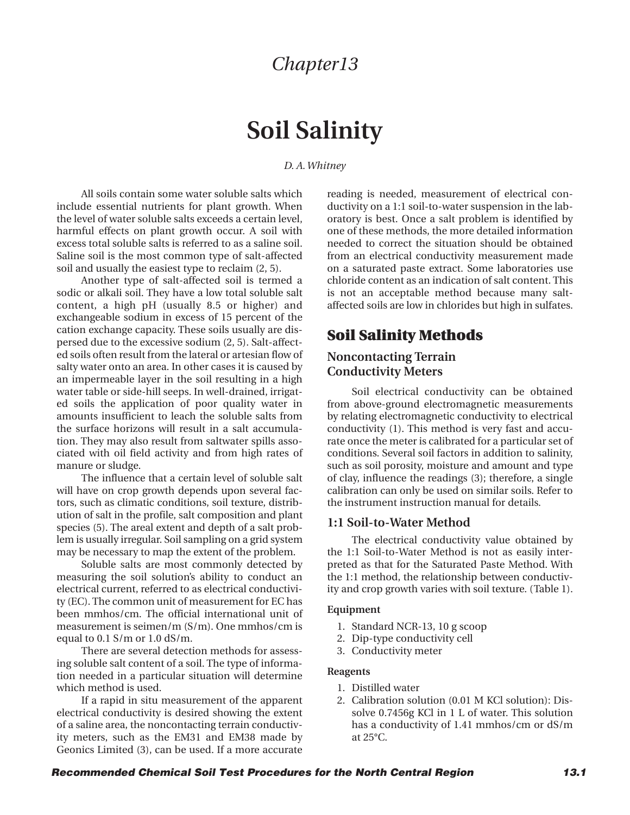# **Soil Salinity**

#### *D. A. Whitney*

All soils contain some water soluble salts which include essential nutrients for plant growth. When the level of water soluble salts exceeds a certain level, harmful effects on plant growth occur. A soil with excess total soluble salts is referred to as a saline soil. Saline soil is the most common type of salt-affected soil and usually the easiest type to reclaim (2, 5).

Another type of salt-affected soil is termed a sodic or alkali soil. They have a low total soluble salt content, a high pH (usually 8.5 or higher) and exchangeable sodium in excess of 15 percent of the cation exchange capacity. These soils usually are dispersed due to the excessive sodium (2, 5). Salt-affected soils often result from the lateral or artesian flow of salty water onto an area. In other cases it is caused by an impermeable layer in the soil resulting in a high water table or side-hill seeps. In well-drained, irrigated soils the application of poor quality water in amounts insufficient to leach the soluble salts from the surface horizons will result in a salt accumulation. They may also result from saltwater spills associated with oil field activity and from high rates of manure or sludge.

The influence that a certain level of soluble salt will have on crop growth depends upon several factors, such as climatic conditions, soil texture, distribution of salt in the profile, salt composition and plant species (5). The areal extent and depth of a salt problem is usually irregular. Soil sampling on a grid system may be necessary to map the extent of the problem.

Soluble salts are most commonly detected by measuring the soil solution's ability to conduct an electrical current, referred to as electrical conductivity (EC). The common unit of measurement for EC has been mmhos/cm. The official international unit of measurement is seimen/m (S/m). One mmhos/cm is equal to 0.1 S/m or 1.0 dS/m.

There are several detection methods for assessing soluble salt content of a soil. The type of information needed in a particular situation will determine which method is used.

If a rapid in situ measurement of the apparent electrical conductivity is desired showing the extent of a saline area, the noncontacting terrain conductivity meters, such as the EM31 and EM38 made by Geonics Limited (3), can be used. If a more accurate reading is needed, measurement of electrical conductivity on a 1:1 soil-to-water suspension in the laboratory is best. Once a salt problem is identified by one of these methods, the more detailed information needed to correct the situation should be obtained from an electrical conductivity measurement made on a saturated paste extract. Some laboratories use chloride content as an indication of salt content. This is not an acceptable method because many saltaffected soils are low in chlorides but high in sulfates.

# **Soil Salinity Methods**

### **Noncontacting Terrain Conductivity Meters**

Soil electrical conductivity can be obtained from above-ground electromagnetic measurements by relating electromagnetic conductivity to electrical conductivity (1). This method is very fast and accurate once the meter is calibrated for a particular set of conditions. Several soil factors in addition to salinity, such as soil porosity, moisture and amount and type of clay, influence the readings (3); therefore, a single calibration can only be used on similar soils. Refer to the instrument instruction manual for details.

#### **1:1 Soil-to-Water Method**

The electrical conductivity value obtained by the 1:1 Soil-to-Water Method is not as easily interpreted as that for the Saturated Paste Method. With the 1:1 method, the relationship between conductivity and crop growth varies with soil texture. (Table 1).

#### **Equipment**

- 1. Standard NCR-13, 10 g scoop
- 2. Dip-type conductivity cell
- 3. Conductivity meter

#### **Reagents**

- 1. Distilled water
- 2. Calibration solution (0.01 M KCl solution): Dissolve 0.7456g KCl in 1 L of water. This solution has a conductivity of 1.41 mmhos/cm or dS/m at 25°C.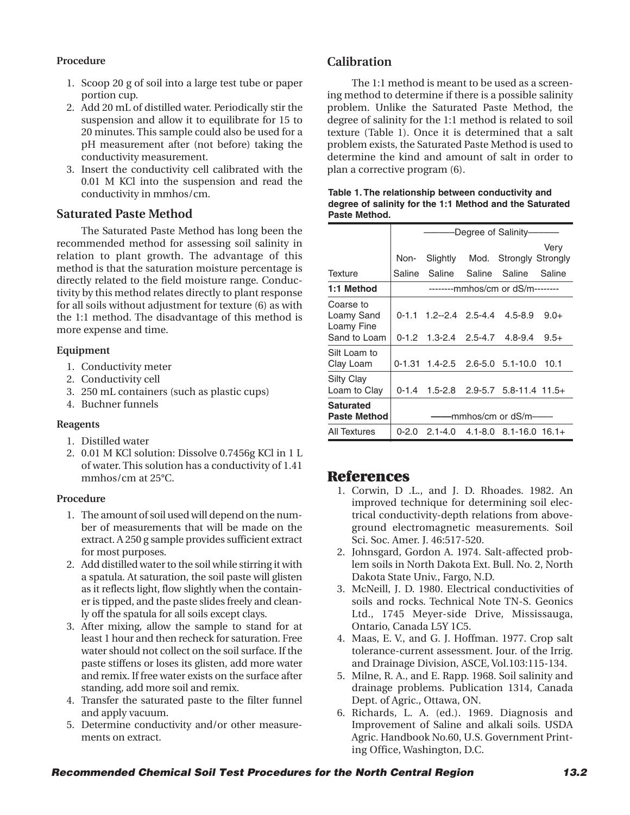#### **Procedure**

- 1. Scoop 20 g of soil into a large test tube or paper portion cup.
- 2. Add 20 mL of distilled water. Periodically stir the suspension and allow it to equilibrate for 15 to 20 minutes. This sample could also be used for a pH measurement after (not before) taking the conductivity measurement.
- 3. Insert the conductivity cell calibrated with the 0.01 M KCl into the suspension and read the conductivity in mmhos/cm.

#### **Saturated Paste Method**

The Saturated Paste Method has long been the recommended method for assessing soil salinity in relation to plant growth. The advantage of this method is that the saturation moisture percentage is directly related to the field moisture range. Conductivity by this method relates directly to plant response for all soils without adjustment for texture (6) as with the 1:1 method. The disadvantage of this method is more expense and time.

#### **Equipment**

- 1. Conductivity meter
- 2. Conductivity cell
- 3. 250 mL containers (such as plastic cups)
- 4. Buchner funnels

#### **Reagents**

- 1. Distilled water
- 2. 0.01 M KCl solution: Dissolve 0.7456g KCl in 1 L of water. This solution has a conductivity of 1.41 mmhos/cm at 25°C.

#### **Procedure**

- 1. The amount of soil used will depend on the number of measurements that will be made on the extract. A 250 g sample provides sufficient extract for most purposes.
- 2. Add distilled water to the soil while stirring it with a spatula. At saturation, the soil paste will glisten as it reflects light, flow slightly when the container is tipped, and the paste slides freely and cleanly off the spatula for all soils except clays.
- 3. After mixing, allow the sample to stand for at least 1 hour and then recheck for saturation. Free water should not collect on the soil surface. If the paste stiffens or loses its glisten, add more water and remix. If free water exists on the surface after standing, add more soil and remix.
- 4. Transfer the saturated paste to the filter funnel and apply vacuum.
- 5. Determine conductivity and/or other measurements on extract.

## **Calibration**

The 1:1 method is meant to be used as a screening method to determine if there is a possible salinity problem. Unlike the Saturated Paste Method, the degree of salinity for the 1:1 method is related to soil texture (Table 1). Once it is determined that a salt problem exists, the Saturated Paste Method is used to determine the kind and amount of salt in order to plan a corrective program (6).

| Pasie Melliou.                          |           |                       |  |                                               |        |  |
|-----------------------------------------|-----------|-----------------------|--|-----------------------------------------------|--------|--|
|                                         |           |                       |  | Degree of Salinity-                           |        |  |
|                                         |           |                       |  |                                               | Very   |  |
|                                         | Non-      |                       |  | Slightly Mod. Strongly Strongly               |        |  |
| <b>Texture</b>                          | Saline    | Saline                |  | Saline Saline                                 | Saline |  |
| 1:1 Method                              |           |                       |  | --------mmhos/cm or dS/m--------              |        |  |
| Coarse to<br>Loamy Sand<br>Loamy Fine   |           |                       |  | $0-1.1$ 1.2--2.4 2.5-4.4 4.5-8.9              | $9.0+$ |  |
| Sand to Loam                            |           | 0-1.2 1.3-2.4 2.5-4.7 |  | 4.8-9.4                                       | $9.5+$ |  |
| Silt Loam to<br>Clay Loam               |           |                       |  | $0-1.31$ 1.4-2.5 2.6-5.0 5.1-10.0             | 10.1   |  |
| Silty Clay<br>Loam to Clay              |           |                       |  | 0-1.4 1.5-2.8 2.9-5.7 5.8-11.4 11.5+          |        |  |
| <b>Saturated</b><br><b>Paste Method</b> |           | -mmhos/cm or dS/m-    |  |                                               |        |  |
| All Textures                            | $0 - 2.0$ |                       |  | $2.1 - 4.0$ $4.1 - 8.0$ $8.1 - 16.0$ $16.1 +$ |        |  |

#### **Table 1. The relationship between conductivity and degree of salinity for the 1:1 Method and the Saturated Paste Method.**

## **References**

- 1. Corwin, D .L., and J. D. Rhoades. 1982. An improved technique for determining soil electrical conductivity-depth relations from aboveground electromagnetic measurements. Soil Sci. Soc. Amer. J. 46:517-520.
- 2. Johnsgard, Gordon A. 1974. Salt-affected problem soils in North Dakota Ext. Bull. No. 2, North Dakota State Univ., Fargo, N.D.
- 3. McNeill, J. D. 1980. Electrical conductivities of soils and rocks. Technical Note TN-S. Geonics Ltd., 1745 Meyer-side Drive, Mississauga, Ontario, Canada L5Y 1C5.
- 4. Maas, E. V., and G. J. Hoffman. 1977. Crop salt tolerance-current assessment. Jour. of the Irrig. and Drainage Division, ASCE, Vol.103:115-134.
- 5. Milne, R. A., and E. Rapp. 1968. Soil salinity and drainage problems. Publication 1314, Canada Dept. of Agric., Ottawa, ON.
- 6. Richards, L. A. (ed.). 1969. Diagnosis and Improvement of Saline and alkali soils. USDA Agric. Handbook No.60, U.S. Government Printing Office, Washington, D.C.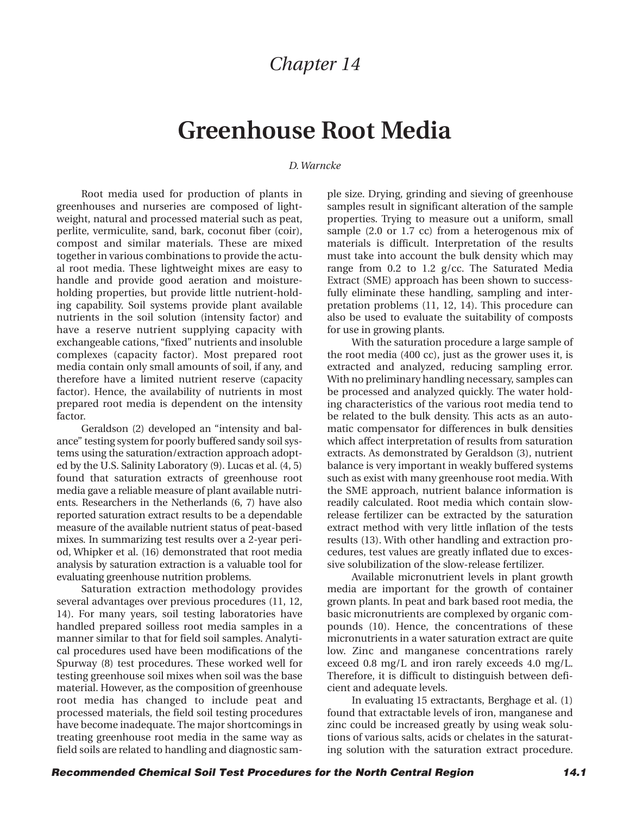# **Greenhouse Root Media**

#### *D. Warncke*

Root media used for production of plants in greenhouses and nurseries are composed of lightweight, natural and processed material such as peat, perlite, vermiculite, sand, bark, coconut fiber (coir), compost and similar materials. These are mixed together in various combinations to provide the actual root media. These lightweight mixes are easy to handle and provide good aeration and moistureholding properties, but provide little nutrient-holding capability. Soil systems provide plant available nutrients in the soil solution (intensity factor) and have a reserve nutrient supplying capacity with exchangeable cations, "fixed" nutrients and insoluble complexes (capacity factor). Most prepared root media contain only small amounts of soil, if any, and therefore have a limited nutrient reserve (capacity factor). Hence, the availability of nutrients in most prepared root media is dependent on the intensity factor.

Geraldson (2) developed an "intensity and balance" testing system for poorly buffered sandy soil systems using the saturation/extraction approach adopted by the U.S. Salinity Laboratory (9). Lucas et al. (4, 5) found that saturation extracts of greenhouse root media gave a reliable measure of plant available nutrients. Researchers in the Netherlands (6, 7) have also reported saturation extract results to be a dependable measure of the available nutrient status of peat-based mixes. In summarizing test results over a 2-year period, Whipker et al. (16) demonstrated that root media analysis by saturation extraction is a valuable tool for evaluating greenhouse nutrition problems.

Saturation extraction methodology provides several advantages over previous procedures (11, 12, 14). For many years, soil testing laboratories have handled prepared soilless root media samples in a manner similar to that for field soil samples. Analytical procedures used have been modifications of the Spurway (8) test procedures. These worked well for testing greenhouse soil mixes when soil was the base material. However, as the composition of greenhouse root media has changed to include peat and processed materials, the field soil testing procedures have become inadequate. The major shortcomings in treating greenhouse root media in the same way as field soils are related to handling and diagnostic sample size. Drying, grinding and sieving of greenhouse samples result in significant alteration of the sample properties. Trying to measure out a uniform, small sample (2.0 or 1.7 cc) from a heterogenous mix of materials is difficult. Interpretation of the results must take into account the bulk density which may range from 0.2 to 1.2 g/cc. The Saturated Media Extract (SME) approach has been shown to successfully eliminate these handling, sampling and interpretation problems (11, 12, 14). This procedure can also be used to evaluate the suitability of composts for use in growing plants.

With the saturation procedure a large sample of the root media (400 cc), just as the grower uses it, is extracted and analyzed, reducing sampling error. With no preliminary handling necessary, samples can be processed and analyzed quickly. The water holding characteristics of the various root media tend to be related to the bulk density. This acts as an automatic compensator for differences in bulk densities which affect interpretation of results from saturation extracts. As demonstrated by Geraldson (3), nutrient balance is very important in weakly buffered systems such as exist with many greenhouse root media. With the SME approach, nutrient balance information is readily calculated. Root media which contain slowrelease fertilizer can be extracted by the saturation extract method with very little inflation of the tests results (13). With other handling and extraction procedures, test values are greatly inflated due to excessive solubilization of the slow-release fertilizer.

Available micronutrient levels in plant growth media are important for the growth of container grown plants. In peat and bark based root media, the basic micronutrients are complexed by organic compounds (10). Hence, the concentrations of these micronutrients in a water saturation extract are quite low. Zinc and manganese concentrations rarely exceed 0.8 mg/L and iron rarely exceeds 4.0 mg/L. Therefore, it is difficult to distinguish between deficient and adequate levels.

In evaluating 15 extractants, Berghage et al. (1) found that extractable levels of iron, manganese and zinc could be increased greatly by using weak solutions of various salts, acids or chelates in the saturating solution with the saturation extract procedure.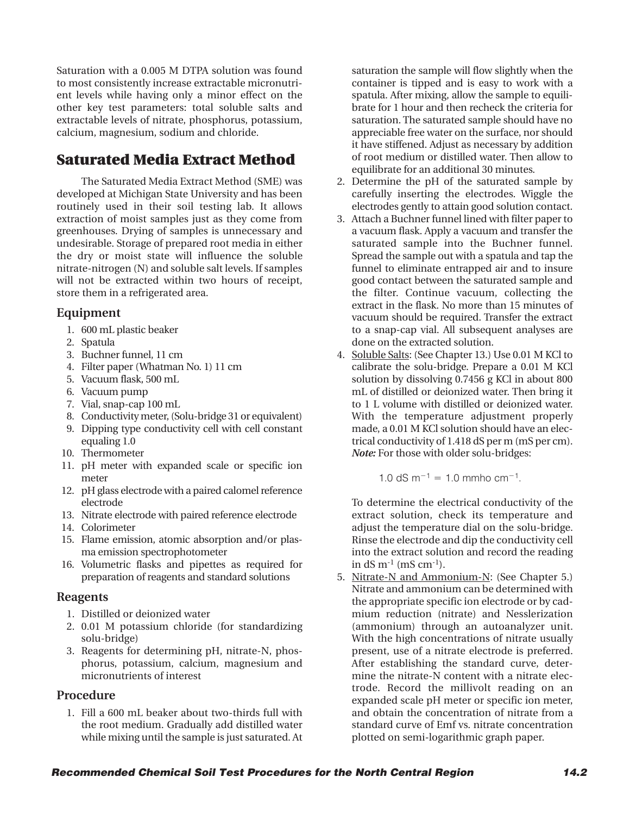Saturation with a 0.005 M DTPA solution was found to most consistently increase extractable micronutrient levels while having only a minor effect on the other key test parameters: total soluble salts and extractable levels of nitrate, phosphorus, potassium, calcium, magnesium, sodium and chloride.

# **Saturated Media Extract Method**

The Saturated Media Extract Method (SME) was developed at Michigan State University and has been routinely used in their soil testing lab. It allows extraction of moist samples just as they come from greenhouses. Drying of samples is unnecessary and undesirable. Storage of prepared root media in either the dry or moist state will influence the soluble nitrate-nitrogen (N) and soluble salt levels. If samples will not be extracted within two hours of receipt, store them in a refrigerated area.

#### **Equipment**

- 1. 600 mL plastic beaker
- 2. Spatula
- 3. Buchner funnel, 11 cm
- 4. Filter paper (Whatman No. 1) 11 cm
- 5. Vacuum flask, 500 mL
- 6. Vacuum pump
- 7. Vial, snap-cap 100 mL
- 8. Conductivity meter, (Solu-bridge 31 or equivalent)
- 9. Dipping type conductivity cell with cell constant equaling 1.0
- 10. Thermometer
- 11. pH meter with expanded scale or specific ion meter
- 12. pH glass electrode with a paired calomel reference electrode
- 13. Nitrate electrode with paired reference electrode
- 14. Colorimeter
- 15. Flame emission, atomic absorption and/or plasma emission spectrophotometer
- 16. Volumetric flasks and pipettes as required for preparation of reagents and standard solutions

#### **Reagents**

- 1. Distilled or deionized water
- 2. 0.01 M potassium chloride (for standardizing solu-bridge)
- 3. Reagents for determining pH, nitrate-N, phosphorus, potassium, calcium, magnesium and micronutrients of interest

#### **Procedure**

1. Fill a 600 mL beaker about two-thirds full with the root medium. Gradually add distilled water while mixing until the sample is just saturated. At saturation the sample will flow slightly when the container is tipped and is easy to work with a spatula. After mixing, allow the sample to equilibrate for 1 hour and then recheck the criteria for saturation. The saturated sample should have no appreciable free water on the surface, nor should it have stiffened. Adjust as necessary by addition of root medium or distilled water. Then allow to equilibrate for an additional 30 minutes.

- 2. Determine the pH of the saturated sample by carefully inserting the electrodes. Wiggle the electrodes gently to attain good solution contact.
- 3. Attach a Buchner funnel lined with filter paper to a vacuum flask. Apply a vacuum and transfer the saturated sample into the Buchner funnel. Spread the sample out with a spatula and tap the funnel to eliminate entrapped air and to insure good contact between the saturated sample and the filter. Continue vacuum, collecting the extract in the flask. No more than 15 minutes of vacuum should be required. Transfer the extract to a snap-cap vial. All subsequent analyses are done on the extracted solution.
- 4. Soluble Salts: (See Chapter 13.) Use 0.01 M KCl to calibrate the solu-bridge. Prepare a 0.01 M KCl solution by dissolving 0.7456 g KCl in about 800 mL of distilled or deionized water. Then bring it to 1 L volume with distilled or deionized water. With the temperature adjustment properly made, a 0.01 M KCl solution should have an electrical conductivity of 1.418 dS per m (mS per cm). *Note:* For those with older solu-bridges:

$$
1.0 \text{ dS m}^{-1} = 1.0 \text{ mmho cm}^{-1}
$$
.

To determine the electrical conductivity of the extract solution, check its temperature and adjust the temperature dial on the solu-bridge. Rinse the electrode and dip the conductivity cell into the extract solution and record the reading in  $dS \, \text{m}^{-1}$  (mS cm<sup>-1</sup>).

5. Nitrate-N and Ammonium-N: (See Chapter 5.) Nitrate and ammonium can be determined with the appropriate specific ion electrode or by cadmium reduction (nitrate) and Nesslerization (ammonium) through an autoanalyzer unit. With the high concentrations of nitrate usually present, use of a nitrate electrode is preferred. After establishing the standard curve, determine the nitrate-N content with a nitrate electrode. Record the millivolt reading on an expanded scale pH meter or specific ion meter, and obtain the concentration of nitrate from a standard curve of Emf vs. nitrate concentration plotted on semi-logarithmic graph paper.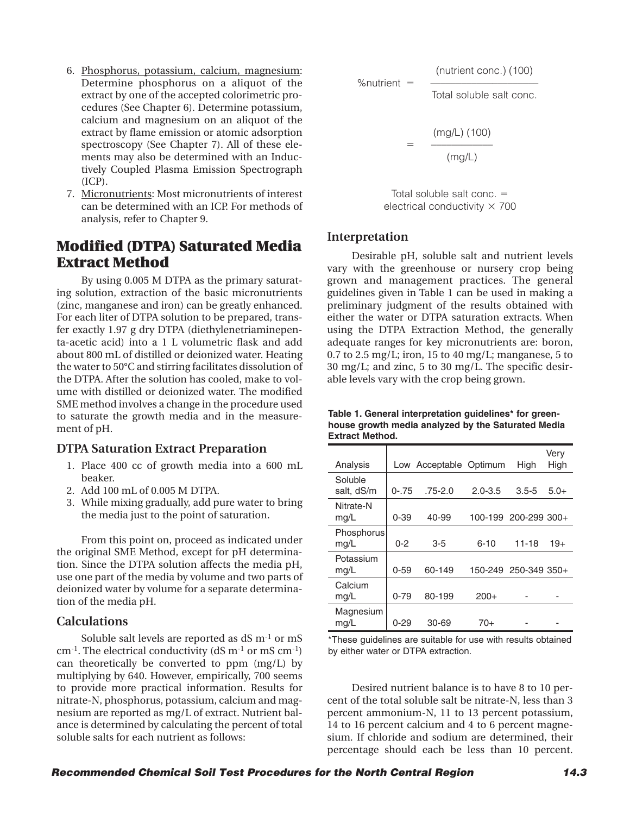- 6. Phosphorus, potassium, calcium, magnesium: Determine phosphorus on a aliquot of the extract by one of the accepted colorimetric procedures (See Chapter 6). Determine potassium, calcium and magnesium on an aliquot of the extract by flame emission or atomic adsorption spectroscopy (See Chapter 7). All of these elements may also be determined with an Inductively Coupled Plasma Emission Spectrograph (ICP).
- 7. Micronutrients: Most micronutrients of interest can be determined with an ICP. For methods of analysis, refer to Chapter 9.

# **Modified (DTPA) Saturated Media Extract Method**

By using 0.005 M DTPA as the primary saturating solution, extraction of the basic micronutrients (zinc, manganese and iron) can be greatly enhanced. For each liter of DTPA solution to be prepared, transfer exactly 1.97 g dry DTPA (diethylenetriaminepenta-acetic acid) into a 1 L volumetric flask and add about 800 mL of distilled or deionized water. Heating the water to 50°C and stirring facilitates dissolution of the DTPA. After the solution has cooled, make to volume with distilled or deionized water. The modified SME method involves a change in the procedure used to saturate the growth media and in the measurement of pH.

#### **DTPA Saturation Extract Preparation**

- 1. Place 400 cc of growth media into a 600 mL beaker.
- 2. Add 100 mL of 0.005 M DTPA.
- 3. While mixing gradually, add pure water to bring the media just to the point of saturation.

From this point on, proceed as indicated under the original SME Method, except for pH determination. Since the DTPA solution affects the media pH, use one part of the media by volume and two parts of deionized water by volume for a separate determination of the media pH.

#### **Calculations**

Soluble salt levels are reported as dS m<sup>-1</sup> or mS cm-1. The electrical conductivity (dS m-1 or mS cm-1) can theoretically be converted to ppm (mg/L) by multiplying by 640. However, empirically, 700 seems to provide more practical information. Results for nitrate-N, phosphorus, potassium, calcium and magnesium are reported as mg/L of extract. Nutrient balance is determined by calculating the percent of total soluble salts for each nutrient as follows:

%nutrient = 
$$
\frac{\text{(nutrient conc.) (100)}}{\text{Total soluble salt conc.}}
$$

\n
$$
= \frac{\text{(mg/L) (100)}}{\text{(mg/L)}}
$$

Total soluble salt conc. **5** electrical conductivity  $\times$  700

#### **Interpretation**

Desirable pH, soluble salt and nutrient levels vary with the greenhouse or nursery crop being grown and management practices. The general guidelines given in Table 1 can be used in making a preliminary judgment of the results obtained with either the water or DTPA saturation extracts. When using the DTPA Extraction Method, the generally adequate ranges for key micronutrients are: boron, 0.7 to 2.5 mg/L; iron, 15 to 40 mg/L; manganese, 5 to 30 mg/L; and zinc, 5 to 30 mg/L. The specific desirable levels vary with the crop being grown.

**Table 1. General interpretation guidelines\* for greenhouse growth media analyzed by the Saturated Media Extract Method.**

| Analysis              |          | Low Acceptable Optimum |             | High                 | Verv<br>High |
|-----------------------|----------|------------------------|-------------|----------------------|--------------|
| Soluble<br>salt, dS/m | $0 - 75$ | $.75 - 2.0$            | $2.0 - 3.5$ | $3.5 - 5$            | $5.0+$       |
| Nitrate-N<br>mg/L     | $0 - 39$ | 40-99                  |             | 100-199 200-299 300+ |              |
| Phosphorus<br>mg/L    | $0 - 2$  | $3 - 5$                | $6 - 10$    | $11 - 18$            | $19+$        |
| Potassium<br>mg/L     | $0 - 59$ | 60-149                 |             | 150-249 250-349 350+ |              |
| Calcium<br>mg/L       | $0 - 79$ | 80-199                 | $200+$      |                      |              |
| Magnesium<br>mg/L     | $0 - 29$ | 30-69                  | 70+         |                      |              |

\*These guidelines are suitable for use with results obtained by either water or DTPA extraction.

Desired nutrient balance is to have 8 to 10 percent of the total soluble salt be nitrate-N, less than 3 percent ammonium-N, 11 to 13 percent potassium, 14 to 16 percent calcium and 4 to 6 percent magnesium. If chloride and sodium are determined, their percentage should each be less than 10 percent.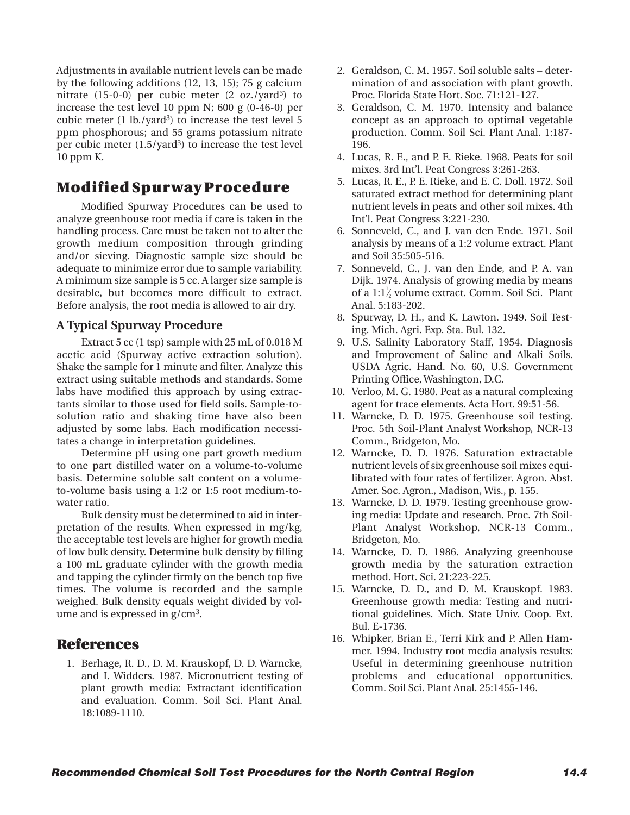Adjustments in available nutrient levels can be made by the following additions (12, 13, 15); 75 g calcium nitrate  $(15-0-0)$  per cubic meter  $(2 \text{ oz.}/\text{yard}^3)$  to increase the test level 10 ppm N; 600 g (0-46-0) per cubic meter  $(1 \text{ lb./}\sqrt{3})$  to increase the test level 5 ppm phosphorous; and 55 grams potassium nitrate per cubic meter  $(1.5/\text{yard}^3)$  to increase the test level 10 ppm K.

# **Modified Spurway Procedure**

Modified Spurway Procedures can be used to analyze greenhouse root media if care is taken in the handling process. Care must be taken not to alter the growth medium composition through grinding and/or sieving. Diagnostic sample size should be adequate to minimize error due to sample variability. A minimum size sample is 5 cc. A larger size sample is desirable, but becomes more difficult to extract. Before analysis, the root media is allowed to air dry.

#### **A Typical Spurway Procedure**

Extract 5 cc (1 tsp) sample with 25 mL of 0.018 M acetic acid (Spurway active extraction solution). Shake the sample for 1 minute and filter. Analyze this extract using suitable methods and standards. Some labs have modified this approach by using extractants similar to those used for field soils. Sample-tosolution ratio and shaking time have also been adjusted by some labs. Each modification necessitates a change in interpretation guidelines.

Determine pH using one part growth medium to one part distilled water on a volume-to-volume basis. Determine soluble salt content on a volumeto-volume basis using a 1:2 or 1:5 root medium-towater ratio.

Bulk density must be determined to aid in interpretation of the results. When expressed in mg/kg, the acceptable test levels are higher for growth media of low bulk density. Determine bulk density by filling a 100 mL graduate cylinder with the growth media and tapping the cylinder firmly on the bench top five times. The volume is recorded and the sample weighed. Bulk density equals weight divided by volume and is expressed in g/cm3.

## **References**

1. Berhage, R. D., D. M. Krauskopf, D. D. Warncke, and I. Widders. 1987. Micronutrient testing of plant growth media: Extractant identification and evaluation. Comm. Soil Sci. Plant Anal. 18:1089-1110.

- 2. Geraldson, C. M. 1957. Soil soluble salts determination of and association with plant growth. Proc. Florida State Hort. Soc. 71:121-127.
- 3. Geraldson, C. M. 1970. Intensity and balance concept as an approach to optimal vegetable production. Comm. Soil Sci. Plant Anal. 1:187- 196.
- 4. Lucas, R. E., and P. E. Rieke. 1968. Peats for soil mixes. 3rd Int'l. Peat Congress 3:261-263.
- 5. Lucas, R. E., P. E. Rieke, and E. C. Doll. 1972. Soil saturated extract method for determining plant nutrient levels in peats and other soil mixes. 4th Int'l. Peat Congress 3:221-230.
- 6. Sonneveld, C., and J. van den Ende. 1971. Soil analysis by means of a 1:2 volume extract. Plant and Soil 35:505-516.
- 7. Sonneveld, C., J. van den Ende, and P. A. van Dijk. 1974. Analysis of growing media by means of a  $1:1^1/2$  volume extract. Comm. Soil Sci. Plant ⁄ Anal. 5:183-202.
- 8. Spurway, D. H., and K. Lawton. 1949. Soil Testing. Mich. Agri. Exp. Sta. Bul. 132.
- 9. U.S. Salinity Laboratory Staff, 1954. Diagnosis and Improvement of Saline and Alkali Soils. USDA Agric. Hand. No. 60, U.S. Government Printing Office, Washington, D.C.
- 10. Verloo, M. G. 1980. Peat as a natural complexing agent for trace elements. Acta Hort. 99:51-56.
- 11. Warncke, D. D. 1975. Greenhouse soil testing. Proc. 5th Soil-Plant Analyst Workshop, NCR-13 Comm., Bridgeton, Mo.
- 12. Warncke, D. D. 1976. Saturation extractable nutrient levels of six greenhouse soil mixes equilibrated with four rates of fertilizer. Agron. Abst. Amer. Soc. Agron., Madison, Wis., p. 155.
- 13. Warncke, D. D. 1979. Testing greenhouse growing media: Update and research. Proc. 7th Soil-Plant Analyst Workshop, NCR-13 Comm., Bridgeton, Mo.
- 14. Warncke, D. D. 1986. Analyzing greenhouse growth media by the saturation extraction method. Hort. Sci. 21:223-225.
- 15. Warncke, D. D., and D. M. Krauskopf. 1983. Greenhouse growth media: Testing and nutritional guidelines. Mich. State Univ. Coop. Ext. Bul. E-1736.
- 16. Whipker, Brian E., Terri Kirk and P. Allen Hammer. 1994. Industry root media analysis results: Useful in determining greenhouse nutrition problems and educational opportunities. Comm. Soil Sci. Plant Anal. 25:1455-146.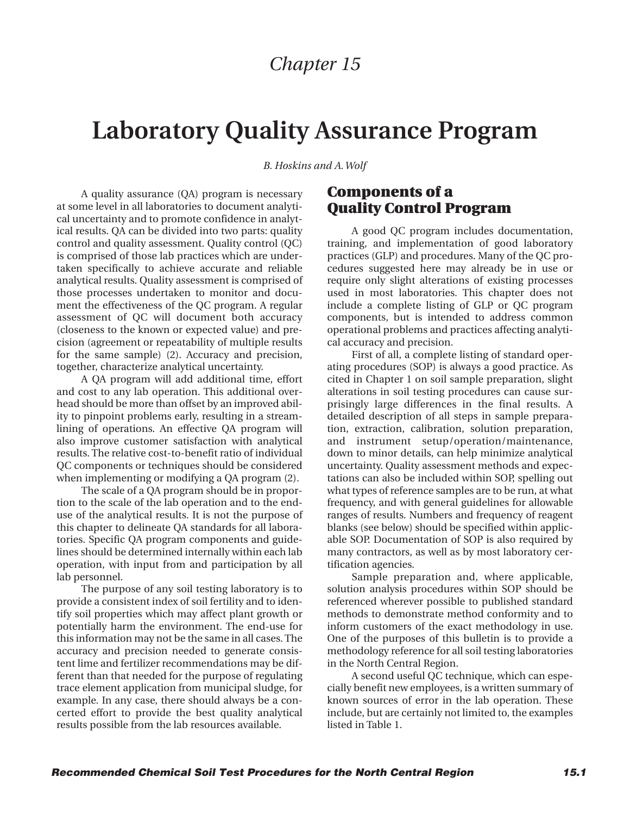# **Laboratory Quality Assurance Program**

*B. Hoskins and A. Wolf*

A quality assurance (QA) program is necessary at some level in all laboratories to document analytical uncertainty and to promote confidence in analytical results. QA can be divided into two parts: quality control and quality assessment. Quality control (QC) is comprised of those lab practices which are undertaken specifically to achieve accurate and reliable analytical results. Quality assessment is comprised of those processes undertaken to monitor and document the effectiveness of the QC program. A regular assessment of QC will document both accuracy (closeness to the known or expected value) and precision (agreement or repeatability of multiple results for the same sample) (2). Accuracy and precision, together, characterize analytical uncertainty.

A QA program will add additional time, effort and cost to any lab operation. This additional overhead should be more than offset by an improved ability to pinpoint problems early, resulting in a streamlining of operations. An effective QA program will also improve customer satisfaction with analytical results. The relative cost-to-benefit ratio of individual QC components or techniques should be considered when implementing or modifying a QA program (2).

The scale of a QA program should be in proportion to the scale of the lab operation and to the enduse of the analytical results. It is not the purpose of this chapter to delineate QA standards for all laboratories. Specific QA program components and guidelines should be determined internally within each lab operation, with input from and participation by all lab personnel.

The purpose of any soil testing laboratory is to provide a consistent index of soil fertility and to identify soil properties which may affect plant growth or potentially harm the environment. The end-use for this information may not be the same in all cases. The accuracy and precision needed to generate consistent lime and fertilizer recommendations may be different than that needed for the purpose of regulating trace element application from municipal sludge, for example. In any case, there should always be a concerted effort to provide the best quality analytical results possible from the lab resources available.

# **Components of a Quality Control Program**

A good QC program includes documentation, training, and implementation of good laboratory practices (GLP) and procedures. Many of the QC procedures suggested here may already be in use or require only slight alterations of existing processes used in most laboratories. This chapter does not include a complete listing of GLP or QC program components, but is intended to address common operational problems and practices affecting analytical accuracy and precision.

First of all, a complete listing of standard operating procedures (SOP) is always a good practice. As cited in Chapter 1 on soil sample preparation, slight alterations in soil testing procedures can cause surprisingly large differences in the final results. A detailed description of all steps in sample preparation, extraction, calibration, solution preparation, and instrument setup/operation/maintenance, down to minor details, can help minimize analytical uncertainty. Quality assessment methods and expectations can also be included within SOP, spelling out what types of reference samples are to be run, at what frequency, and with general guidelines for allowable ranges of results. Numbers and frequency of reagent blanks (see below) should be specified within applicable SOP. Documentation of SOP is also required by many contractors, as well as by most laboratory certification agencies.

Sample preparation and, where applicable, solution analysis procedures within SOP should be referenced wherever possible to published standard methods to demonstrate method conformity and to inform customers of the exact methodology in use. One of the purposes of this bulletin is to provide a methodology reference for all soil testing laboratories in the North Central Region.

A second useful QC technique, which can especially benefit new employees, is a written summary of known sources of error in the lab operation. These include, but are certainly not limited to, the examples listed in Table 1.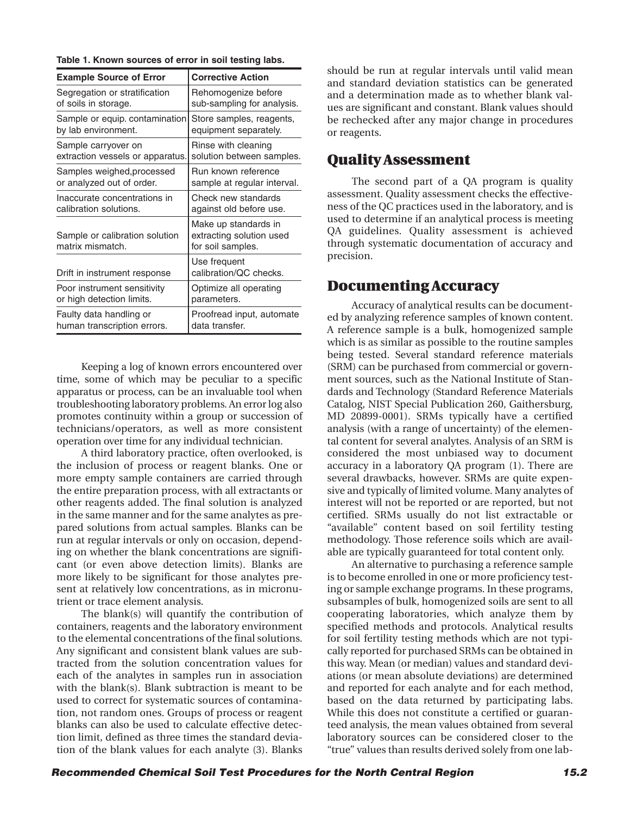| Table T. KNOWN SOURCES OF ENOT IN SOIL LESTING 1805. |                                                                       |
|------------------------------------------------------|-----------------------------------------------------------------------|
| <b>Example Source of Error</b>                       | <b>Corrective Action</b>                                              |
| Segregation or stratification                        | Rehomogenize before                                                   |
| of soils in storage.                                 | sub-sampling for analysis.                                            |
| Sample or equip. contamination                       | Store samples, reagents,                                              |
| by lab environment.                                  | equipment separately.                                                 |
| Sample carryover on                                  | Rinse with cleaning                                                   |
| extraction vessels or apparatus.                     | solution between samples.                                             |
| Samples weighed, processed                           | Run known reference                                                   |
| or analyzed out of order.                            | sample at regular interval.                                           |
| Inaccurate concentrations in                         | Check new standards                                                   |
| calibration solutions.                               | against old before use.                                               |
| Sample or calibration solution<br>matrix mismatch.   | Make up standards in<br>extracting solution used<br>for soil samples. |
| Drift in instrument response                         | Use frequent<br>calibration/QC checks.                                |

Poor instrument sensitivity | Optimize all operating

Faulty data handling or **Proofread input, automate** 

or high detection limits. parameters.

human transcription errors. | data transfer.

#### **Table 1. Known sources of error in soil testing labs.**

Keeping a log of known errors encountered over time, some of which may be peculiar to a specific apparatus or process, can be an invaluable tool when troubleshooting laboratory problems. An error log also promotes continuity within a group or succession of technicians/operators, as well as more consistent operation over time for any individual technician.

A third laboratory practice, often overlooked, is the inclusion of process or reagent blanks. One or more empty sample containers are carried through the entire preparation process, with all extractants or other reagents added. The final solution is analyzed in the same manner and for the same analytes as prepared solutions from actual samples. Blanks can be run at regular intervals or only on occasion, depending on whether the blank concentrations are significant (or even above detection limits). Blanks are more likely to be significant for those analytes present at relatively low concentrations, as in micronutrient or trace element analysis.

The blank(s) will quantify the contribution of containers, reagents and the laboratory environment to the elemental concentrations of the final solutions. Any significant and consistent blank values are subtracted from the solution concentration values for each of the analytes in samples run in association with the blank(s). Blank subtraction is meant to be used to correct for systematic sources of contamination, not random ones. Groups of process or reagent blanks can also be used to calculate effective detection limit, defined as three times the standard deviation of the blank values for each analyte (3). Blanks

should be run at regular intervals until valid mean and standard deviation statistics can be generated and a determination made as to whether blank values are significant and constant. Blank values should be rechecked after any major change in procedures or reagents.

## **Quality Assessment**

The second part of a QA program is quality assessment. Quality assessment checks the effectiveness of the QC practices used in the laboratory, and is used to determine if an analytical process is meeting QA guidelines. Quality assessment is achieved through systematic documentation of accuracy and precision.

## **Documenting Accuracy**

Accuracy of analytical results can be documented by analyzing reference samples of known content. A reference sample is a bulk, homogenized sample which is as similar as possible to the routine samples being tested. Several standard reference materials (SRM) can be purchased from commercial or government sources, such as the National Institute of Standards and Technology (Standard Reference Materials Catalog, NIST Special Publication 260, Gaithersburg, MD 20899-0001). SRMs typically have a certified analysis (with a range of uncertainty) of the elemental content for several analytes. Analysis of an SRM is considered the most unbiased way to document accuracy in a laboratory QA program (1). There are several drawbacks, however. SRMs are quite expensive and typically of limited volume. Many analytes of interest will not be reported or are reported, but not certified. SRMs usually do not list extractable or "available" content based on soil fertility testing methodology. Those reference soils which are available are typically guaranteed for total content only.

An alternative to purchasing a reference sample is to become enrolled in one or more proficiency testing or sample exchange programs. In these programs, subsamples of bulk, homogenized soils are sent to all cooperating laboratories, which analyze them by specified methods and protocols. Analytical results for soil fertility testing methods which are not typically reported for purchased SRMs can be obtained in this way. Mean (or median) values and standard deviations (or mean absolute deviations) are determined and reported for each analyte and for each method, based on the data returned by participating labs. While this does not constitute a certified or guaranteed analysis, the mean values obtained from several laboratory sources can be considered closer to the "true" values than results derived solely from one lab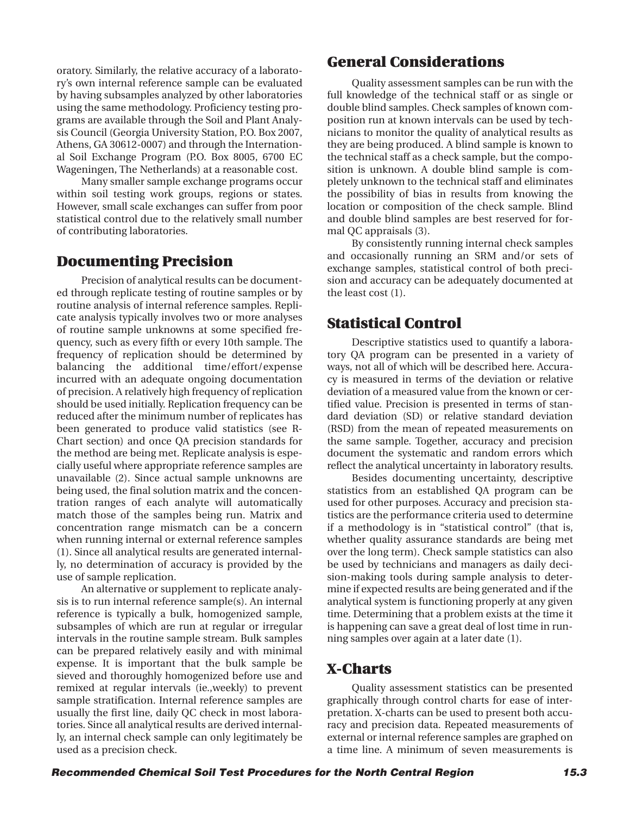oratory. Similarly, the relative accuracy of a laboratory's own internal reference sample can be evaluated by having subsamples analyzed by other laboratories using the same methodology. Proficiency testing programs are available through the Soil and Plant Analysis Council (Georgia University Station, P.O. Box 2007, Athens, GA 30612-0007) and through the International Soil Exchange Program (P.O. Box 8005, 6700 EC Wageningen, The Netherlands) at a reasonable cost.

Many smaller sample exchange programs occur within soil testing work groups, regions or states. However, small scale exchanges can suffer from poor statistical control due to the relatively small number of contributing laboratories.

## **Documenting Precision**

Precision of analytical results can be documented through replicate testing of routine samples or by routine analysis of internal reference samples. Replicate analysis typically involves two or more analyses of routine sample unknowns at some specified frequency, such as every fifth or every 10th sample. The frequency of replication should be determined by balancing the additional time/effort/expense incurred with an adequate ongoing documentation of precision. A relatively high frequency of replication should be used initially. Replication frequency can be reduced after the minimum number of replicates has been generated to produce valid statistics (see R-Chart section) and once QA precision standards for the method are being met. Replicate analysis is especially useful where appropriate reference samples are unavailable (2). Since actual sample unknowns are being used, the final solution matrix and the concentration ranges of each analyte will automatically match those of the samples being run. Matrix and concentration range mismatch can be a concern when running internal or external reference samples (1). Since all analytical results are generated internally, no determination of accuracy is provided by the use of sample replication.

An alternative or supplement to replicate analysis is to run internal reference sample(s). An internal reference is typically a bulk, homogenized sample, subsamples of which are run at regular or irregular intervals in the routine sample stream. Bulk samples can be prepared relatively easily and with minimal expense. It is important that the bulk sample be sieved and thoroughly homogenized before use and remixed at regular intervals (ie.,weekly) to prevent sample stratification. Internal reference samples are usually the first line, daily QC check in most laboratories. Since all analytical results are derived internally, an internal check sample can only legitimately be used as a precision check.

# **General Considerations**

Quality assessment samples can be run with the full knowledge of the technical staff or as single or double blind samples. Check samples of known composition run at known intervals can be used by technicians to monitor the quality of analytical results as they are being produced. A blind sample is known to the technical staff as a check sample, but the composition is unknown. A double blind sample is completely unknown to the technical staff and eliminates the possibility of bias in results from knowing the location or composition of the check sample. Blind and double blind samples are best reserved for formal QC appraisals (3).

By consistently running internal check samples and occasionally running an SRM and/or sets of exchange samples, statistical control of both precision and accuracy can be adequately documented at the least cost (1).

# **Statistical Control**

Descriptive statistics used to quantify a laboratory QA program can be presented in a variety of ways, not all of which will be described here. Accuracy is measured in terms of the deviation or relative deviation of a measured value from the known or certified value. Precision is presented in terms of standard deviation (SD) or relative standard deviation (RSD) from the mean of repeated measurements on the same sample. Together, accuracy and precision document the systematic and random errors which reflect the analytical uncertainty in laboratory results.

Besides documenting uncertainty, descriptive statistics from an established QA program can be used for other purposes. Accuracy and precision statistics are the performance criteria used to determine if a methodology is in "statistical control" (that is, whether quality assurance standards are being met over the long term). Check sample statistics can also be used by technicians and managers as daily decision-making tools during sample analysis to determine if expected results are being generated and if the analytical system is functioning properly at any given time. Determining that a problem exists at the time it is happening can save a great deal of lost time in running samples over again at a later date (1).

# **X-Charts**

Quality assessment statistics can be presented graphically through control charts for ease of interpretation. X-charts can be used to present both accuracy and precision data. Repeated measurements of external or internal reference samples are graphed on a time line. A minimum of seven measurements is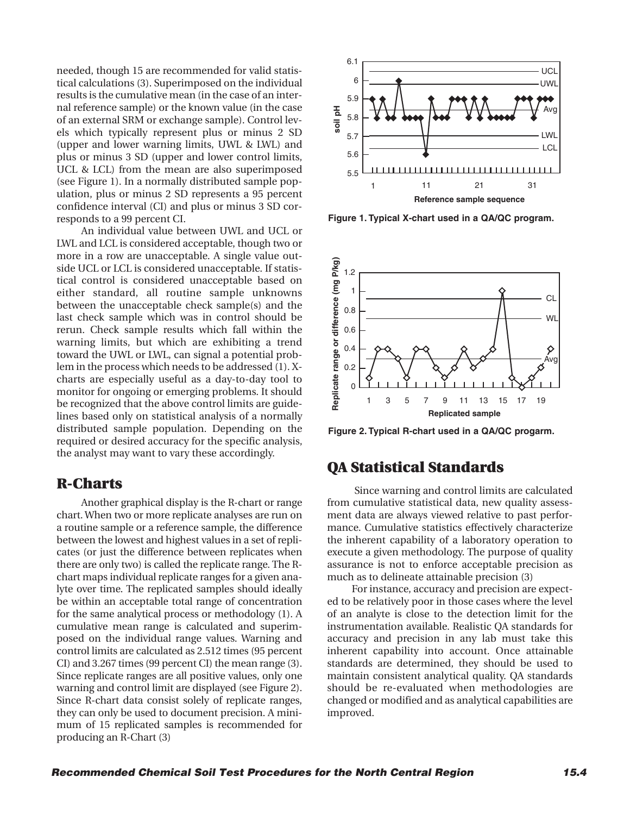needed, though 15 are recommended for valid statistical calculations (3). Superimposed on the individual results is the cumulative mean (in the case of an internal reference sample) or the known value (in the case of an external SRM or exchange sample). Control levels which typically represent plus or minus 2 SD (upper and lower warning limits, UWL & LWL) and plus or minus 3 SD (upper and lower control limits, UCL & LCL) from the mean are also superimposed (see Figure 1). In a normally distributed sample population, plus or minus 2 SD represents a 95 percent confidence interval (CI) and plus or minus 3 SD corresponds to a 99 percent CI.

An individual value between UWL and UCL or LWL and LCL is considered acceptable, though two or more in a row are unacceptable. A single value outside UCL or LCL is considered unacceptable. If statistical control is considered unacceptable based on either standard, all routine sample unknowns between the unacceptable check sample(s) and the last check sample which was in control should be rerun. Check sample results which fall within the warning limits, but which are exhibiting a trend toward the UWL or LWL, can signal a potential problem in the process which needs to be addressed (1). Xcharts are especially useful as a day-to-day tool to monitor for ongoing or emerging problems. It should be recognized that the above control limits are guidelines based only on statistical analysis of a normally distributed sample population. Depending on the required or desired accuracy for the specific analysis, the analyst may want to vary these accordingly.

## **R-Charts**

Another graphical display is the R-chart or range chart. When two or more replicate analyses are run on a routine sample or a reference sample, the difference between the lowest and highest values in a set of replicates (or just the difference between replicates when there are only two) is called the replicate range. The Rchart maps individual replicate ranges for a given analyte over time. The replicated samples should ideally be within an acceptable total range of concentration for the same analytical process or methodology (1). A cumulative mean range is calculated and superimposed on the individual range values. Warning and control limits are calculated as 2.512 times (95 percent CI) and 3.267 times (99 percent CI) the mean range (3). Since replicate ranges are all positive values, only one warning and control limit are displayed (see Figure 2). Since R-chart data consist solely of replicate ranges, they can only be used to document precision. A minimum of 15 replicated samples is recommended for producing an R-Chart (3)



**Figure 1. Typical X-chart used in a QA/QC program.**



**Figure 2. Typical R-chart used in a QA/QC progarm.**

## **QA Statistical Standards**

Since warning and control limits are calculated from cumulative statistical data, new quality assessment data are always viewed relative to past performance. Cumulative statistics effectively characterize the inherent capability of a laboratory operation to execute a given methodology. The purpose of quality assurance is not to enforce acceptable precision as much as to delineate attainable precision (3)

For instance, accuracy and precision are expected to be relatively poor in those cases where the level of an analyte is close to the detection limit for the instrumentation available. Realistic QA standards for accuracy and precision in any lab must take this inherent capability into account. Once attainable standards are determined, they should be used to maintain consistent analytical quality. QA standards should be re-evaluated when methodologies are changed or modified and as analytical capabilities are improved.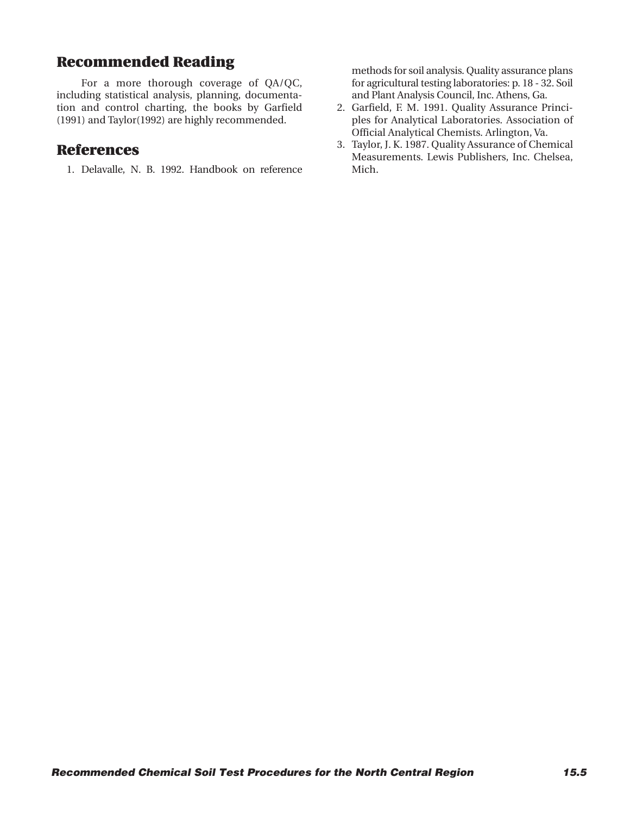# **Recommended Reading**

For a more thorough coverage of QA/QC, including statistical analysis, planning, documentation and control charting, the books by Garfield (1991) and Taylor(1992) are highly recommended.

### **References**

1. Delavalle, N. B. 1992. Handbook on reference

methods for soil analysis. Quality assurance plans for agricultural testing laboratories: p. 18 - 32. Soil and Plant Analysis Council, Inc. Athens, Ga.

- 2. Garfield, F. M. 1991. Quality Assurance Principles for Analytical Laboratories. Association of Official Analytical Chemists. Arlington, Va.
- 3. Taylor, J. K. 1987. Quality Assurance of Chemical Measurements. Lewis Publishers, Inc. Chelsea, Mich.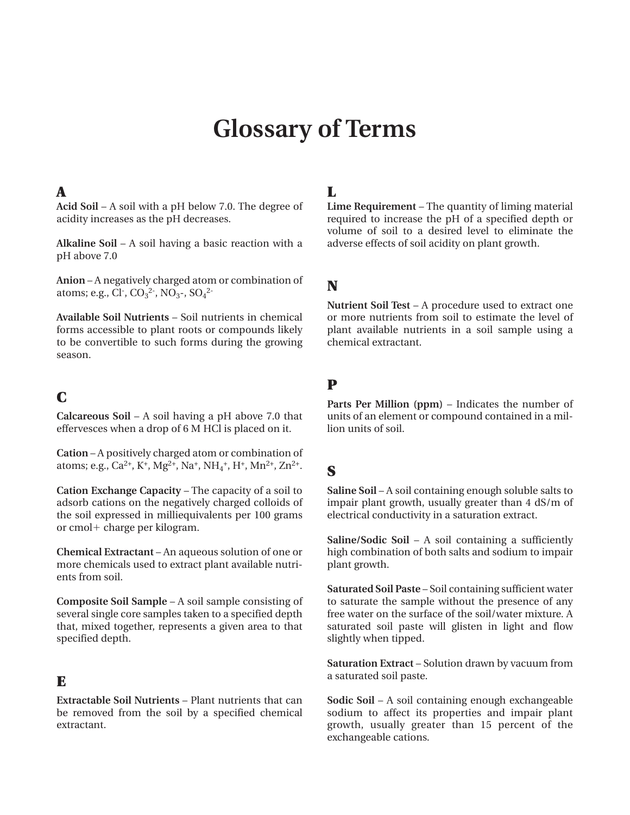# **Glossary of Terms**

#### **A**

**Acid Soil** – A soil with a pH below 7.0. The degree of acidity increases as the pH decreases.

**Alkaline Soil** – A soil having a basic reaction with a pH above 7.0

**Anion** – A negatively charged atom or combination of atoms; e.g., Cl<sup>-</sup>, CO<sub>3</sub><sup>2-</sup>, NO<sub>3</sub>-, SO<sub>4</sub><sup>2-</sup>

**Available Soil Nutrients** – Soil nutrients in chemical forms accessible to plant roots or compounds likely to be convertible to such forms during the growing season.

# **C**

**Calcareous Soil** – A soil having a pH above 7.0 that effervesces when a drop of 6 M HCl is placed on it.

**Cation** – A positively charged atom or combination of atoms; e.g., Ca<sup>2+</sup>, K<sup>+</sup>, Mg<sup>2+</sup>, Na<sup>+</sup>, NH<sub>4</sub><sup>+</sup>, H<sup>+</sup>, Mn<sup>2+</sup>, Zn<sup>2+</sup>.

**Cation Exchange Capacity** – The capacity of a soil to adsorb cations on the negatively charged colloids of the soil expressed in milliequivalents per 100 grams or cmol**1** charge per kilogram.

**Chemical Extractant** – An aqueous solution of one or more chemicals used to extract plant available nutrients from soil.

**Composite Soil Sample** – A soil sample consisting of several single core samples taken to a specified depth that, mixed together, represents a given area to that specified depth.

#### **E**

**Extractable Soil Nutrients** – Plant nutrients that can be removed from the soil by a specified chemical extractant.

#### **L**

**Lime Requirement** – The quantity of liming material required to increase the pH of a specified depth or volume of soil to a desired level to eliminate the adverse effects of soil acidity on plant growth.

# **N**

**Nutrient Soil Test** – A procedure used to extract one or more nutrients from soil to estimate the level of plant available nutrients in a soil sample using a chemical extractant.

# **P**

**Parts Per Million (ppm)** – Indicates the number of units of an element or compound contained in a million units of soil.

# **S**

**Saline Soil** – A soil containing enough soluble salts to impair plant growth, usually greater than 4 dS/m of electrical conductivity in a saturation extract.

**Saline/Sodic Soil** – A soil containing a sufficiently high combination of both salts and sodium to impair plant growth.

**Saturated Soil Paste** – Soil containing sufficient water to saturate the sample without the presence of any free water on the surface of the soil/water mixture. A saturated soil paste will glisten in light and flow slightly when tipped.

**Saturation Extract** – Solution drawn by vacuum from a saturated soil paste.

**Sodic Soil** – A soil containing enough exchangeable sodium to affect its properties and impair plant growth, usually greater than 15 percent of the exchangeable cations.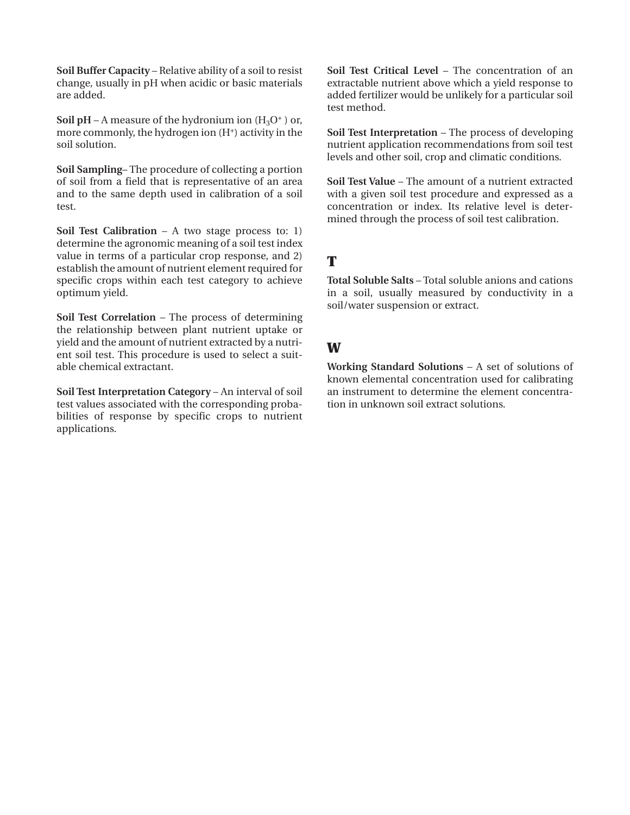**Soil Buffer Capacity** – Relative ability of a soil to resist change, usually in pH when acidic or basic materials are added.

**Soil pH** – A measure of the hydronium ion  $(H_3O^+)$  or, more commonly, the hydrogen ion  $(H^+)$  activity in the soil solution.

**Soil Sampling**– The procedure of collecting a portion of soil from a field that is representative of an area and to the same depth used in calibration of a soil test.

**Soil Test Calibration** – A two stage process to: 1) determine the agronomic meaning of a soil test index value in terms of a particular crop response, and 2) establish the amount of nutrient element required for specific crops within each test category to achieve optimum yield.

**Soil Test Correlation** – The process of determining the relationship between plant nutrient uptake or yield and the amount of nutrient extracted by a nutrient soil test. This procedure is used to select a suitable chemical extractant.

**Soil Test Interpretation Category** – An interval of soil test values associated with the corresponding probabilities of response by specific crops to nutrient applications.

**Soil Test Critical Level** – The concentration of an extractable nutrient above which a yield response to added fertilizer would be unlikely for a particular soil test method.

**Soil Test Interpretation** – The process of developing nutrient application recommendations from soil test levels and other soil, crop and climatic conditions.

**Soil Test Value** – The amount of a nutrient extracted with a given soil test procedure and expressed as a concentration or index. Its relative level is determined through the process of soil test calibration.

# **T**

**Total Soluble Salts** – Total soluble anions and cations in a soil, usually measured by conductivity in a soil/water suspension or extract.

## **W**

**Working Standard Solutions** – A set of solutions of known elemental concentration used for calibrating an instrument to determine the element concentration in unknown soil extract solutions.